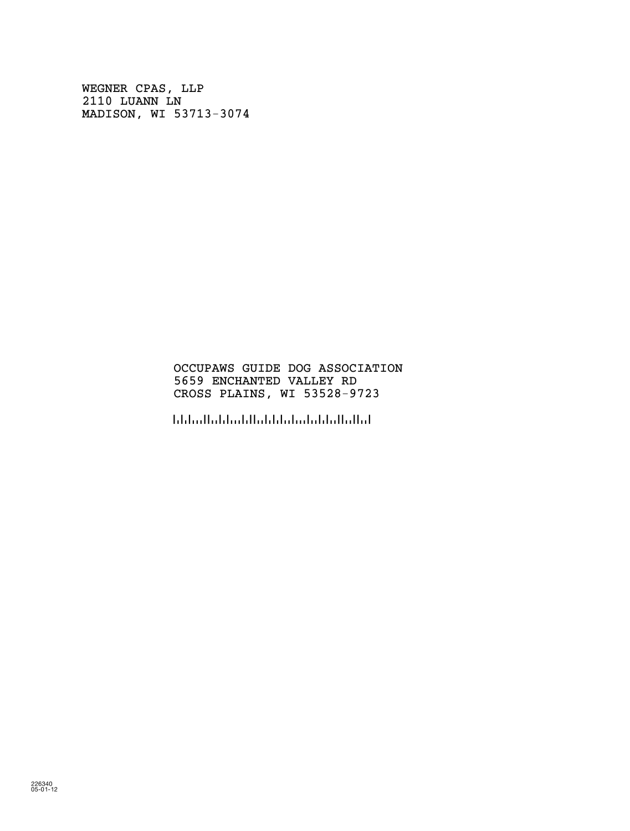WEGNER CPAS, LLP 2110 LUANN LN MADISON, WI 53713-3074

## OCCUPAWS GUIDE DOG ASSOCIATION 5659 ENCHANTED VALLEY RD CROSS PLAINS, WI 53528-9723

!5352897236!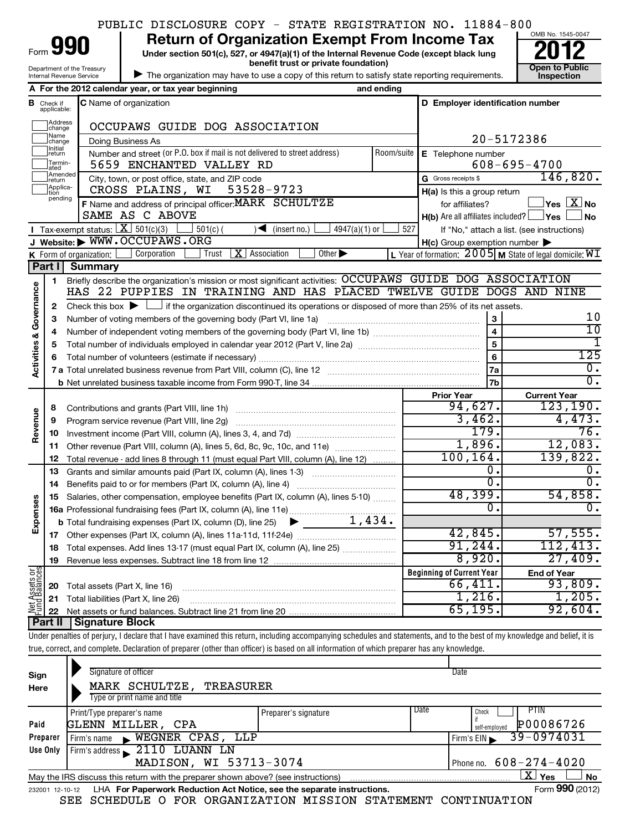|  |  | PUBLIC DISCLOSURE COPY - STATE REGISTRATION NO. 11884-800 |  |
|--|--|-----------------------------------------------------------|--|
|  |  |                                                           |  |

| urn of Organization Exempt From Ind |  |  |  |
|-------------------------------------|--|--|--|
|-------------------------------------|--|--|--|

Department of the Treasury Internal Revenue Service

Form

**Under section 501(c), 527, or 4947(a)(1) of the Internal Revenue Code (except black lung benefit trust or private foundation) Construction Construction Construction Construction 990** Return of Organization Exempt From Income Tax  $\frac{6008 \text{ No. 1545-004}}{2012}$ 

| The organization may have to use a copy of this return to satisfy state reporting requirements.



|                         |                                  | A For the 2012 calendar year, or tax year beginning                                                                                                                                | and ending |                                                     |                                                                     |  |  |
|-------------------------|----------------------------------|------------------------------------------------------------------------------------------------------------------------------------------------------------------------------------|------------|-----------------------------------------------------|---------------------------------------------------------------------|--|--|
|                         | <b>B</b> Check if<br>applicable: | C Name of organization                                                                                                                                                             |            | D Employer identification number                    |                                                                     |  |  |
|                         | Address<br>change                | OCCUPAWS GUIDE DOG ASSOCIATION                                                                                                                                                     |            |                                                     |                                                                     |  |  |
|                         | Name<br>change                   | Doing Business As                                                                                                                                                                  |            | 20-5172386                                          |                                                                     |  |  |
|                         | Initial<br>return                | Number and street (or P.O. box if mail is not delivered to street address)                                                                                                         | Room/suite | E Telephone number                                  |                                                                     |  |  |
|                         | Termin-<br>ated                  | 5659 ENCHANTED VALLEY RD                                                                                                                                                           |            |                                                     | $608 - 695 - 4700$                                                  |  |  |
|                         | Amended<br>return                | City, town, or post office, state, and ZIP code                                                                                                                                    |            | G Gross receipts \$                                 | 146,820.                                                            |  |  |
|                         | Applica-<br>tion<br>pending      | CROSS PLAINS, WI<br>53528-9723                                                                                                                                                     |            | $H(a)$ is this a group return                       |                                                                     |  |  |
|                         |                                  | F Name and address of principal officer: MARK SCHULTZE                                                                                                                             |            | for affiliates?                                     | $\log  X $ No                                                       |  |  |
|                         |                                  | SAME AS C ABOVE                                                                                                                                                                    |            | $H(b)$ Are all affiliates included? $\Box$ Yes      | ⊥No                                                                 |  |  |
|                         |                                  | Tax-exempt status: $X \overline{301(c)(3)}$<br>4947(a)(1) or<br>$501(c)$ (<br>(insert no.)<br>$\blacktriangleright$                                                                | 527        |                                                     | If "No," attach a list. (see instructions)                          |  |  |
|                         |                                  | J Website: WWW.OCCUPAWS.ORG                                                                                                                                                        |            | $H(c)$ Group exemption number $\blacktriangleright$ |                                                                     |  |  |
|                         |                                  | $\vert$ X   Association<br>Other $\blacktriangleright$<br><b>K</b> Form of organization: $\Box$ Corporation<br>Trust                                                               |            |                                                     | L Year of formation: $2005 \text{ m}$ State of legal domicile: $WI$ |  |  |
|                         | Part I                           | <b>Summary</b>                                                                                                                                                                     |            |                                                     |                                                                     |  |  |
|                         | $\mathbf{1}$                     | Briefly describe the organization's mission or most significant activities: OCCUPAWS GUIDE DOG ASSOCIATION<br>HAS 22 PUPPIES IN TRAINING AND HAS PLACED TWELVE GUIDE DOGS AND NINE |            |                                                     |                                                                     |  |  |
| Activities & Governance |                                  |                                                                                                                                                                                    |            |                                                     |                                                                     |  |  |
|                         | 2                                | Check this box $\blacktriangleright$ $\Box$ if the organization discontinued its operations or disposed of more than 25% of its net assets.                                        |            |                                                     | 10                                                                  |  |  |
|                         | з<br>4                           |                                                                                                                                                                                    |            | 3<br>$\overline{\mathbf{4}}$                        | 10                                                                  |  |  |
|                         | 5                                |                                                                                                                                                                                    |            |                                                     | 1                                                                   |  |  |
|                         | 6                                |                                                                                                                                                                                    | 6          | 125                                                 |                                                                     |  |  |
|                         |                                  |                                                                                                                                                                                    |            | l 7a                                                | $0$ .                                                               |  |  |
|                         |                                  |                                                                                                                                                                                    |            | 7b                                                  | $\overline{0}$ .                                                    |  |  |
|                         |                                  |                                                                                                                                                                                    |            | <b>Prior Year</b>                                   | <b>Current Year</b>                                                 |  |  |
|                         | 8                                |                                                                                                                                                                                    |            | 94,627.                                             | 123, 190.                                                           |  |  |
|                         | 9                                | Program service revenue (Part VIII, line 2g)                                                                                                                                       |            | 3,462.                                              | 4,473.                                                              |  |  |
| Revenue                 | 10                               |                                                                                                                                                                                    |            | 179.                                                | $\overline{76}$ .                                                   |  |  |
|                         | 11                               | Other revenue (Part VIII, column (A), lines 5, 6d, 8c, 9c, 10c, and 11e)                                                                                                           |            | 1,896.                                              | 12,083.                                                             |  |  |
|                         | 12                               | Total revenue - add lines 8 through 11 (must equal Part VIII, column (A), line 12)                                                                                                 |            | 100, 164.                                           | 139,822.                                                            |  |  |
|                         | 13                               | Grants and similar amounts paid (Part IX, column (A), lines 1-3) <i></i>                                                                                                           |            | 0.                                                  | 0.                                                                  |  |  |
|                         | 14                               |                                                                                                                                                                                    |            | $\overline{0}$ .                                    | $\overline{0}$ .                                                    |  |  |
|                         | 15                               | Salaries, other compensation, employee benefits (Part IX, column (A), lines 5-10)                                                                                                  |            | 48,399.                                             | 54,858.                                                             |  |  |
| Expenses                |                                  |                                                                                                                                                                                    |            | 0.                                                  | 0.                                                                  |  |  |
|                         |                                  | 1,434.<br><b>b</b> Total fundraising expenses (Part IX, column (D), line 25) $\blacktriangleright$                                                                                 |            |                                                     |                                                                     |  |  |
|                         | 17                               |                                                                                                                                                                                    |            | 42,845.                                             | 57, 555.                                                            |  |  |
|                         | 18                               | Total expenses. Add lines 13-17 (must equal Part IX, column (A), line 25) <i></i>                                                                                                  |            | 91, 244.                                            | 112,413.                                                            |  |  |
|                         |                                  | 19 Revenue less expenses. Subtract line 18 from line 12                                                                                                                            |            | 8,920.                                              | 27,409.                                                             |  |  |
|                         |                                  |                                                                                                                                                                                    |            | <b>Beginning of Current Year</b>                    | <b>End of Year</b>                                                  |  |  |
| Net Assets or           | 20                               | Total assets (Part X, line 16)                                                                                                                                                     |            | 66,411.                                             | 93,809.                                                             |  |  |
|                         | 21                               | Total liabilities (Part X, line 26)                                                                                                                                                |            | 1,216.                                              | 1,205.                                                              |  |  |
|                         | 22                               |                                                                                                                                                                                    |            | 65, 195.                                            | 92,604.                                                             |  |  |
|                         | Part II                          | <b>Signature Block</b>                                                                                                                                                             |            |                                                     |                                                                     |  |  |
|                         |                                  | Under penalties of perjury, I declare that I have examined this return, including accompanying schedules and statements, and to the best of my knowledge and belief, it is         |            |                                                     |                                                                     |  |  |

true, correct, and complete. Declaration of preparer (other than officer) is based on all information of which preparer has any knowledge.

| Sign<br>Here | Signature of officer<br>MARK SCHULTZE,<br>TREASURER<br>Type or print name and title                                |                      |      | Date                           |  |  |
|--------------|--------------------------------------------------------------------------------------------------------------------|----------------------|------|--------------------------------|--|--|
|              | Print/Type preparer's name                                                                                         | Preparer's signature | Date | PTIN<br>Check                  |  |  |
| Paid         | P00086726<br>GLENN MILLER, CPA<br>self-emploved                                                                    |                      |      |                                |  |  |
| Preparer     | Firm's name WEGNER CPAS, LLP                                                                                       |                      |      | $39 - 0974031$<br>Firm's $EIN$ |  |  |
| Use Only     | Firm's address $\geq 2110$ LUANN LN                                                                                |                      |      |                                |  |  |
|              | MADISON, WI 53713-3074                                                                                             |                      |      | Phone no. $608 - 274 - 4020$   |  |  |
|              | $\mathbf{X}$ Yes<br><b>No</b><br>May the IRS discuss this return with the preparer shown above? (see instructions) |                      |      |                                |  |  |
|              | Form 990 (2012)<br>LHA For Paperwork Reduction Act Notice, see the separate instructions.<br>232001 12-10-12       |                      |      |                                |  |  |
|              | COURDILL O ROD ODCANTRANTANI MICCION CHARRMEME COMPINIUM<br>$\alpha$ mm                                            |                      |      |                                |  |  |

SEE SCHEDULE O FOR ORGANIZATION MISSION STATEMENT CONTINUATION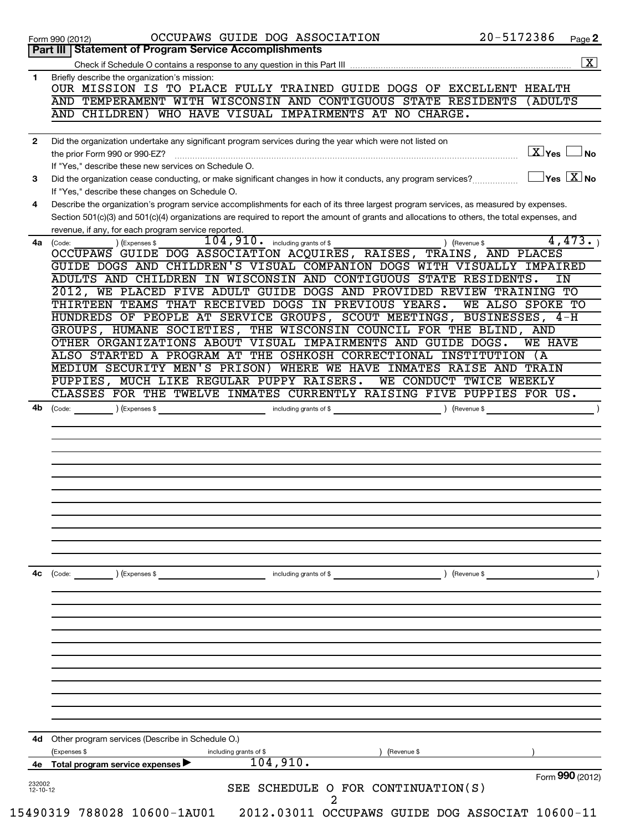|              | Part III   Statement of Program Service Accomplishments                                                                                                         |                        | Page 2                                         |
|--------------|-----------------------------------------------------------------------------------------------------------------------------------------------------------------|------------------------|------------------------------------------------|
|              |                                                                                                                                                                 |                        | $\boxed{\textbf{X}}$                           |
| 1            | Briefly describe the organization's mission:                                                                                                                    |                        |                                                |
|              | OUR MISSION IS TO PLACE FULLY TRAINED GUIDE DOGS OF EXCELLENT HEALTH                                                                                            |                        |                                                |
|              | AND TEMPERAMENT WITH WISCONSIN AND CONTIGUOUS STATE RESIDENTS                                                                                                   | (ADULTS                |                                                |
|              | WHO HAVE VISUAL IMPAIRMENTS AT NO CHARGE.<br>AND CHILDREN)                                                                                                      |                        |                                                |
| $\mathbf{2}$ | Did the organization undertake any significant program services during the year which were not listed on                                                        |                        |                                                |
|              | the prior Form 990 or 990-EZ?                                                                                                                                   | $\boxed{\text{X}}$ Yes | N <sub>o</sub>                                 |
|              | If "Yes," describe these new services on Schedule O.                                                                                                            |                        |                                                |
| 3            | Did the organization cease conducting, or make significant changes in how it conducts, any program services?<br>If "Yes," describe these changes on Schedule O. |                        | $\overline{\ }$ Yes $\overline{\ \text{X}}$ No |
| 4            | Describe the organization's program service accomplishments for each of its three largest program services, as measured by expenses.                            |                        |                                                |
|              | Section 501(c)(3) and 501(c)(4) organizations are required to report the amount of grants and allocations to others, the total expenses, and                    |                        |                                                |
|              | revenue, if any, for each program service reported.                                                                                                             |                        |                                                |
| 4a           | $\overline{104,910}$ . including grants of \$<br>) (Revenue \$<br>) (Expenses \$<br>(Code:                                                                      |                        | 4,473.                                         |
|              | OCCUPAWS GUIDE DOG ASSOCIATION ACQUIRES, RAISES, TRAINS, AND PLACES<br>GUIDE DOGS AND CHILDREN'S VISUAL COMPANION DOGS WITH VISUALLY IMPAIRED                   |                        |                                                |
|              | ADULTS AND CHILDREN IN WISCONSIN AND CONTIGUOUS STATE RESIDENTS.                                                                                                |                        | IN                                             |
|              | 2012, WE PLACED FIVE ADULT GUIDE DOGS AND PROVIDED REVIEW TRAINING TO                                                                                           |                        |                                                |
|              | THIRTEEN TEAMS THAT RECEIVED DOGS IN PREVIOUS YEARS.<br>WE ALSO SPOKE TO                                                                                        |                        |                                                |
|              | HUNDREDS OF PEOPLE AT SERVICE GROUPS, SCOUT MEETINGS, BUSINESSES, 4-H                                                                                           |                        |                                                |
|              | GROUPS, HUMANE SOCIETIES, THE WISCONSIN COUNCIL FOR THE BLIND, AND                                                                                              |                        |                                                |
|              | OTHER ORGANIZATIONS ABOUT VISUAL IMPAIRMENTS AND GUIDE DOGS.                                                                                                    | <b>WE HAVE</b>         |                                                |
|              | ALSO STARTED A PROGRAM AT THE OSHKOSH CORRECTIONAL INSTITUTION (A                                                                                               |                        |                                                |
|              | MEDIUM SECURITY MEN'S PRISON) WHERE WE HAVE INMATES RAISE AND TRAIN                                                                                             |                        |                                                |
|              | PUPPIES, MUCH LIKE REGULAR PUPPY RAISERS.<br>WE CONDUCT TWICE WEEKLY<br>CLASSES FOR THE TWELVE INMATES CURRENTLY RAISING FIVE PUPPIES FOR US.                   |                        |                                                |
| 4b           | including grants of \$<br>(Code: ) (Expenses \$<br>(Revenue \$                                                                                                  |                        |                                                |
|              |                                                                                                                                                                 |                        |                                                |
|              |                                                                                                                                                                 |                        |                                                |
|              |                                                                                                                                                                 |                        |                                                |
|              |                                                                                                                                                                 |                        |                                                |
| 4с           | ) (Revenue \$<br>(Code:<br>) (Expenses \$<br>including grants of \$                                                                                             |                        |                                                |
|              |                                                                                                                                                                 |                        |                                                |
|              |                                                                                                                                                                 |                        |                                                |
|              |                                                                                                                                                                 |                        |                                                |
|              |                                                                                                                                                                 |                        |                                                |
|              |                                                                                                                                                                 |                        |                                                |
| 4d           | Other program services (Describe in Schedule O.)                                                                                                                |                        |                                                |
|              | Expenses \$<br>including grants of \$<br>(Revenue \$                                                                                                            |                        |                                                |
|              |                                                                                                                                                                 |                        |                                                |
| 4е<br>232002 | 104,910.<br>Total program service expenses<br>SEE SCHEDULE O FOR CONTINUATION(S)                                                                                | Form 990 (2012)        |                                                |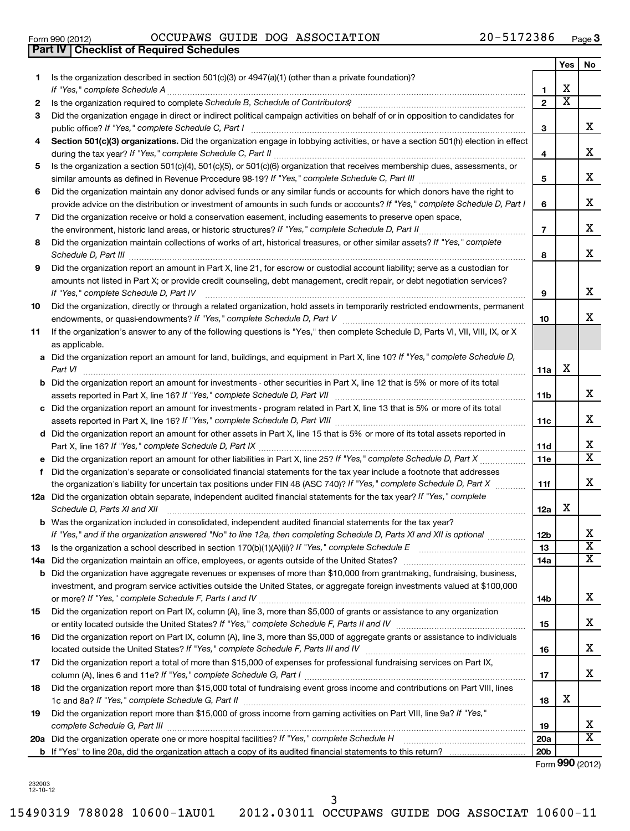|    |                                                                                                                                      |                 | Yes                     | No                      |
|----|--------------------------------------------------------------------------------------------------------------------------------------|-----------------|-------------------------|-------------------------|
| 1. | Is the organization described in section $501(c)(3)$ or $4947(a)(1)$ (other than a private foundation)?                              |                 |                         |                         |
|    | If "Yes," complete Schedule A                                                                                                        | 1               | х                       |                         |
| 2  |                                                                                                                                      | $\mathbf{2}$    | $\overline{\textbf{x}}$ |                         |
| 3  | Did the organization engage in direct or indirect political campaign activities on behalf of or in opposition to candidates for      |                 |                         |                         |
|    | public office? If "Yes," complete Schedule C, Part I                                                                                 | 3               |                         | x                       |
| 4  | Section 501(c)(3) organizations. Did the organization engage in lobbying activities, or have a section 501(h) election in effect     |                 |                         | x                       |
|    | Is the organization a section 501(c)(4), 501(c)(5), or 501(c)(6) organization that receives membership dues, assessments, or         | 4               |                         |                         |
| 5  |                                                                                                                                      | 5               |                         | х                       |
| 6  | Did the organization maintain any donor advised funds or any similar funds or accounts for which donors have the right to            |                 |                         |                         |
|    | provide advice on the distribution or investment of amounts in such funds or accounts? If "Yes," complete Schedule D, Part I         | 6               |                         | х                       |
| 7  | Did the organization receive or hold a conservation easement, including easements to preserve open space,                            |                 |                         |                         |
|    |                                                                                                                                      | $\overline{7}$  |                         | x                       |
| 8  | Did the organization maintain collections of works of art, historical treasures, or other similar assets? If "Yes," complete         |                 |                         |                         |
|    | Schedule D, Part III                                                                                                                 | 8               |                         | х                       |
| 9  | Did the organization report an amount in Part X, line 21, for escrow or custodial account liability; serve as a custodian for        |                 |                         |                         |
|    | amounts not listed in Part X; or provide credit counseling, debt management, credit repair, or debt negotiation services?            |                 |                         |                         |
|    | If "Yes," complete Schedule D, Part IV                                                                                               | 9               |                         | x                       |
| 10 | Did the organization, directly or through a related organization, hold assets in temporarily restricted endowments, permanent        |                 |                         |                         |
|    |                                                                                                                                      | 10              |                         | x                       |
| 11 | If the organization's answer to any of the following questions is "Yes," then complete Schedule D, Parts VI, VII, VIII, IX, or X     |                 |                         |                         |
|    | as applicable.                                                                                                                       |                 |                         |                         |
|    | a Did the organization report an amount for land, buildings, and equipment in Part X, line 10? If "Yes," complete Schedule D,        |                 |                         |                         |
|    | Part VI                                                                                                                              | 11a             | х                       |                         |
|    | <b>b</b> Did the organization report an amount for investments - other securities in Part X, line 12 that is 5% or more of its total |                 |                         |                         |
|    |                                                                                                                                      | 11b             |                         | x                       |
|    | c Did the organization report an amount for investments - program related in Part X, line 13 that is 5% or more of its total         |                 |                         | х                       |
|    | d Did the organization report an amount for other assets in Part X, line 15 that is 5% or more of its total assets reported in       | 11c             |                         |                         |
|    |                                                                                                                                      | 11d             |                         | x                       |
|    |                                                                                                                                      | 11e             |                         | $\overline{\mathtt{x}}$ |
| f. | Did the organization's separate or consolidated financial statements for the tax year include a footnote that addresses              |                 |                         |                         |
|    | the organization's liability for uncertain tax positions under FIN 48 (ASC 740)? If "Yes," complete Schedule D, Part X               | 11f             |                         | x                       |
|    | 12a Did the organization obtain separate, independent audited financial statements for the tax year? If "Yes," complete              |                 |                         |                         |
|    | Schedule D, Parts XI and XII                                                                                                         | 12a             | х                       |                         |
|    | <b>b</b> Was the organization included in consolidated, independent audited financial statements for the tax year?                   |                 |                         |                         |
|    | If "Yes," and if the organization answered "No" to line 12a, then completing Schedule D, Parts XI and XII is optional                | 12 <sub>b</sub> |                         | х                       |
| 13 | Is the organization a school described in section 170(b)(1)(A)(ii)? If "Yes," complete Schedule E [[[[[[[[[[[                        | 13              |                         | $\overline{\textbf{x}}$ |
|    |                                                                                                                                      | 14a             |                         | x                       |
|    | <b>b</b> Did the organization have aggregate revenues or expenses of more than \$10,000 from grantmaking, fundraising, business,     |                 |                         |                         |
|    | investment, and program service activities outside the United States, or aggregate foreign investments valued at \$100,000           |                 |                         |                         |
|    | Did the organization report on Part IX, column (A), line 3, more than \$5,000 of grants or assistance to any organization            | 14b             |                         | x                       |
| 15 |                                                                                                                                      | 15              |                         | x                       |
| 16 | Did the organization report on Part IX, column (A), line 3, more than \$5,000 of aggregate grants or assistance to individuals       |                 |                         |                         |
|    |                                                                                                                                      | 16              |                         | x                       |
| 17 | Did the organization report a total of more than \$15,000 of expenses for professional fundraising services on Part IX,              |                 |                         |                         |
|    |                                                                                                                                      | 17              |                         | x                       |
| 18 | Did the organization report more than \$15,000 total of fundraising event gross income and contributions on Part VIII, lines         |                 |                         |                         |
|    |                                                                                                                                      | 18              | х                       |                         |
| 19 | Did the organization report more than \$15,000 of gross income from gaming activities on Part VIII, line 9a? If "Yes,"               |                 |                         |                         |
|    |                                                                                                                                      | 19              |                         | x                       |
|    | 20a Did the organization operate one or more hospital facilities? If "Yes," complete Schedule H                                      | <b>20a</b>      |                         | $\overline{\mathtt{x}}$ |
|    |                                                                                                                                      | 20 <sub>b</sub> |                         |                         |

Form (2012) **990**

232003 12-10-12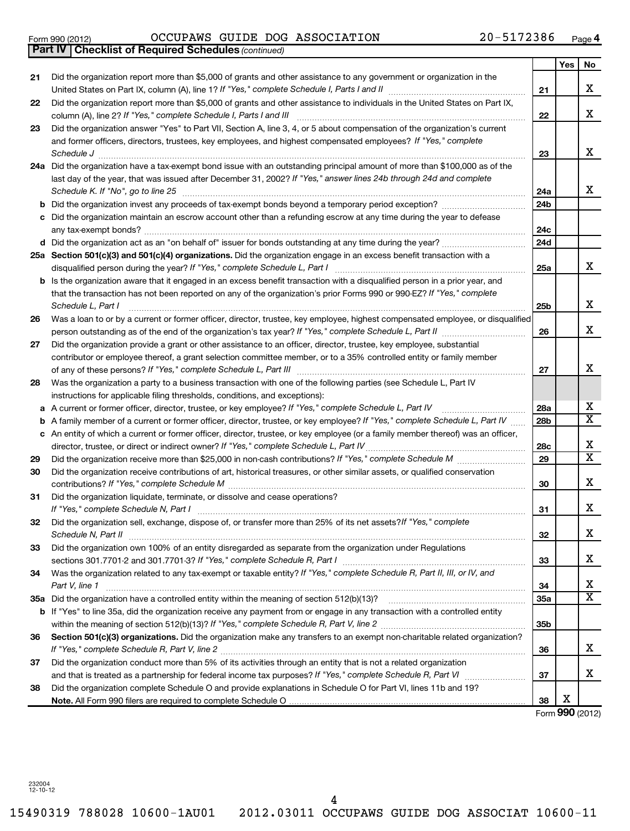15490319 788028 10600-1AU01 2012.03011 OCCUPAWS GUIDE DOG ASSOCIAT 10600-11

#### Form 990 (2012) OCCUPAWS GUIDE DOG ASSOCIATION ZU-5I7Z386 Page OCCUPAWS GUIDE DOG ASSOCIATION 20-5172386

| Yes<br>No<br>Did the organization report more than \$5,000 of grants and other assistance to any government or organization in the<br>21<br>X<br>21<br>Did the organization report more than \$5,000 of grants and other assistance to individuals in the United States on Part IX,<br>22<br>X<br>column (A), line 2? If "Yes," complete Schedule I, Parts I and III<br>22<br>Did the organization answer "Yes" to Part VII, Section A, line 3, 4, or 5 about compensation of the organization's current<br>23<br>and former officers, directors, trustees, key employees, and highest compensated employees? If "Yes," complete<br>X<br>Schedule J<br>23<br>24a Did the organization have a tax-exempt bond issue with an outstanding principal amount of more than \$100,000 as of the<br>last day of the year, that was issued after December 31, 2002? If "Yes," answer lines 24b through 24d and complete<br>X<br>Schedule K. If "No", go to line 25<br>24a<br>24b<br>b<br>Did the organization maintain an escrow account other than a refunding escrow at any time during the year to defease<br>24c<br>24d<br>25a Section 501(c)(3) and 501(c)(4) organizations. Did the organization engage in an excess benefit transaction with a<br>X<br>25a<br>Is the organization aware that it engaged in an excess benefit transaction with a disqualified person in a prior year, and<br>b<br>that the transaction has not been reported on any of the organization's prior Forms 990 or 990-EZ? If "Yes," complete<br>X<br>Schedule L, Part I<br>25b<br>Was a loan to or by a current or former officer, director, trustee, key employee, highest compensated employee, or disqualified<br>26<br>X<br>26<br>Did the organization provide a grant or other assistance to an officer, director, trustee, key employee, substantial<br>27<br>contributor or employee thereof, a grant selection committee member, or to a 35% controlled entity or family member<br>X<br>27<br>Was the organization a party to a business transaction with one of the following parties (see Schedule L, Part IV<br>28<br>instructions for applicable filing thresholds, conditions, and exceptions):<br>х<br>A current or former officer, director, trustee, or key employee? If "Yes," complete Schedule L, Part IV<br>28a<br>а<br>$\overline{\texttt{x}}$<br>A family member of a current or former officer, director, trustee, or key employee? If "Yes," complete Schedule L, Part IV<br>28b<br>b<br>c An entity of which a current or former officer, director, trustee, or key employee (or a family member thereof) was an officer,<br>X<br>director, trustee, or direct or indirect owner? If "Yes," complete Schedule L, Part IV<br>28c<br>$\overline{\text{x}}$<br>29<br>29<br>Did the organization receive contributions of art, historical treasures, or other similar assets, or qualified conservation<br>30<br>X<br>30<br>Did the organization liquidate, terminate, or dissolve and cease operations?<br>31<br>X<br>31<br>Did the organization sell, exchange, dispose of, or transfer more than 25% of its net assets?/f "Yes," complete<br>32<br>X<br>Schedule N, Part II<br>32<br>Did the organization own 100% of an entity disregarded as separate from the organization under Regulations<br>33<br>X<br>33<br>Was the organization related to any tax-exempt or taxable entity? If "Yes," complete Schedule R, Part II, III, or IV, and<br>34<br>X<br>Part V, line 1<br>34<br>$\overline{\mathtt{x}}$<br><b>35a</b><br>b If "Yes" to line 35a, did the organization receive any payment from or engage in any transaction with a controlled entity<br>35b<br>Section 501(c)(3) organizations. Did the organization make any transfers to an exempt non-charitable related organization?<br>36<br>X<br>36<br>Did the organization conduct more than 5% of its activities through an entity that is not a related organization<br>37<br>X<br>37<br>Did the organization complete Schedule O and provide explanations in Schedule O for Part VI, lines 11b and 19?<br>38<br>X<br>38 | <b>Part IV   Checklist of Required Schedules (continued)</b> |  |  |
|----------------------------------------------------------------------------------------------------------------------------------------------------------------------------------------------------------------------------------------------------------------------------------------------------------------------------------------------------------------------------------------------------------------------------------------------------------------------------------------------------------------------------------------------------------------------------------------------------------------------------------------------------------------------------------------------------------------------------------------------------------------------------------------------------------------------------------------------------------------------------------------------------------------------------------------------------------------------------------------------------------------------------------------------------------------------------------------------------------------------------------------------------------------------------------------------------------------------------------------------------------------------------------------------------------------------------------------------------------------------------------------------------------------------------------------------------------------------------------------------------------------------------------------------------------------------------------------------------------------------------------------------------------------------------------------------------------------------------------------------------------------------------------------------------------------------------------------------------------------------------------------------------------------------------------------------------------------------------------------------------------------------------------------------------------------------------------------------------------------------------------------------------------------------------------------------------------------------------------------------------------------------------------------------------------------------------------------------------------------------------------------------------------------------------------------------------------------------------------------------------------------------------------------------------------------------------------------------------------------------------------------------------------------------------------------------------------------------------------------------------------------------------------------------------------------------------------------------------------------------------------------------------------------------------------------------------------------------------------------------------------------------------------------------------------------------------------------------------------------------------------------------------------------------------------------------------------------------------------------------------------------------------------------------------------------------------------------------------------------------------------------------------------------------------------------------------------------------------------------------------------------------------------------------------------------------------------------------------------------------------------------------------------------------------------------------------------------------------------------------------------------------------------------------------------------------------------------------------------------------------------------------------------------------------------------------------------------------------------------------------------------------------------------------------------------------------------------|--------------------------------------------------------------|--|--|
|                                                                                                                                                                                                                                                                                                                                                                                                                                                                                                                                                                                                                                                                                                                                                                                                                                                                                                                                                                                                                                                                                                                                                                                                                                                                                                                                                                                                                                                                                                                                                                                                                                                                                                                                                                                                                                                                                                                                                                                                                                                                                                                                                                                                                                                                                                                                                                                                                                                                                                                                                                                                                                                                                                                                                                                                                                                                                                                                                                                                                                                                                                                                                                                                                                                                                                                                                                                                                                                                                                                                                                                                                                                                                                                                                                                                                                                                                                                                                                                                                                                                                        |                                                              |  |  |
|                                                                                                                                                                                                                                                                                                                                                                                                                                                                                                                                                                                                                                                                                                                                                                                                                                                                                                                                                                                                                                                                                                                                                                                                                                                                                                                                                                                                                                                                                                                                                                                                                                                                                                                                                                                                                                                                                                                                                                                                                                                                                                                                                                                                                                                                                                                                                                                                                                                                                                                                                                                                                                                                                                                                                                                                                                                                                                                                                                                                                                                                                                                                                                                                                                                                                                                                                                                                                                                                                                                                                                                                                                                                                                                                                                                                                                                                                                                                                                                                                                                                                        |                                                              |  |  |
|                                                                                                                                                                                                                                                                                                                                                                                                                                                                                                                                                                                                                                                                                                                                                                                                                                                                                                                                                                                                                                                                                                                                                                                                                                                                                                                                                                                                                                                                                                                                                                                                                                                                                                                                                                                                                                                                                                                                                                                                                                                                                                                                                                                                                                                                                                                                                                                                                                                                                                                                                                                                                                                                                                                                                                                                                                                                                                                                                                                                                                                                                                                                                                                                                                                                                                                                                                                                                                                                                                                                                                                                                                                                                                                                                                                                                                                                                                                                                                                                                                                                                        |                                                              |  |  |
|                                                                                                                                                                                                                                                                                                                                                                                                                                                                                                                                                                                                                                                                                                                                                                                                                                                                                                                                                                                                                                                                                                                                                                                                                                                                                                                                                                                                                                                                                                                                                                                                                                                                                                                                                                                                                                                                                                                                                                                                                                                                                                                                                                                                                                                                                                                                                                                                                                                                                                                                                                                                                                                                                                                                                                                                                                                                                                                                                                                                                                                                                                                                                                                                                                                                                                                                                                                                                                                                                                                                                                                                                                                                                                                                                                                                                                                                                                                                                                                                                                                                                        |                                                              |  |  |
|                                                                                                                                                                                                                                                                                                                                                                                                                                                                                                                                                                                                                                                                                                                                                                                                                                                                                                                                                                                                                                                                                                                                                                                                                                                                                                                                                                                                                                                                                                                                                                                                                                                                                                                                                                                                                                                                                                                                                                                                                                                                                                                                                                                                                                                                                                                                                                                                                                                                                                                                                                                                                                                                                                                                                                                                                                                                                                                                                                                                                                                                                                                                                                                                                                                                                                                                                                                                                                                                                                                                                                                                                                                                                                                                                                                                                                                                                                                                                                                                                                                                                        |                                                              |  |  |
|                                                                                                                                                                                                                                                                                                                                                                                                                                                                                                                                                                                                                                                                                                                                                                                                                                                                                                                                                                                                                                                                                                                                                                                                                                                                                                                                                                                                                                                                                                                                                                                                                                                                                                                                                                                                                                                                                                                                                                                                                                                                                                                                                                                                                                                                                                                                                                                                                                                                                                                                                                                                                                                                                                                                                                                                                                                                                                                                                                                                                                                                                                                                                                                                                                                                                                                                                                                                                                                                                                                                                                                                                                                                                                                                                                                                                                                                                                                                                                                                                                                                                        |                                                              |  |  |
|                                                                                                                                                                                                                                                                                                                                                                                                                                                                                                                                                                                                                                                                                                                                                                                                                                                                                                                                                                                                                                                                                                                                                                                                                                                                                                                                                                                                                                                                                                                                                                                                                                                                                                                                                                                                                                                                                                                                                                                                                                                                                                                                                                                                                                                                                                                                                                                                                                                                                                                                                                                                                                                                                                                                                                                                                                                                                                                                                                                                                                                                                                                                                                                                                                                                                                                                                                                                                                                                                                                                                                                                                                                                                                                                                                                                                                                                                                                                                                                                                                                                                        |                                                              |  |  |
|                                                                                                                                                                                                                                                                                                                                                                                                                                                                                                                                                                                                                                                                                                                                                                                                                                                                                                                                                                                                                                                                                                                                                                                                                                                                                                                                                                                                                                                                                                                                                                                                                                                                                                                                                                                                                                                                                                                                                                                                                                                                                                                                                                                                                                                                                                                                                                                                                                                                                                                                                                                                                                                                                                                                                                                                                                                                                                                                                                                                                                                                                                                                                                                                                                                                                                                                                                                                                                                                                                                                                                                                                                                                                                                                                                                                                                                                                                                                                                                                                                                                                        |                                                              |  |  |
|                                                                                                                                                                                                                                                                                                                                                                                                                                                                                                                                                                                                                                                                                                                                                                                                                                                                                                                                                                                                                                                                                                                                                                                                                                                                                                                                                                                                                                                                                                                                                                                                                                                                                                                                                                                                                                                                                                                                                                                                                                                                                                                                                                                                                                                                                                                                                                                                                                                                                                                                                                                                                                                                                                                                                                                                                                                                                                                                                                                                                                                                                                                                                                                                                                                                                                                                                                                                                                                                                                                                                                                                                                                                                                                                                                                                                                                                                                                                                                                                                                                                                        |                                                              |  |  |
|                                                                                                                                                                                                                                                                                                                                                                                                                                                                                                                                                                                                                                                                                                                                                                                                                                                                                                                                                                                                                                                                                                                                                                                                                                                                                                                                                                                                                                                                                                                                                                                                                                                                                                                                                                                                                                                                                                                                                                                                                                                                                                                                                                                                                                                                                                                                                                                                                                                                                                                                                                                                                                                                                                                                                                                                                                                                                                                                                                                                                                                                                                                                                                                                                                                                                                                                                                                                                                                                                                                                                                                                                                                                                                                                                                                                                                                                                                                                                                                                                                                                                        |                                                              |  |  |
|                                                                                                                                                                                                                                                                                                                                                                                                                                                                                                                                                                                                                                                                                                                                                                                                                                                                                                                                                                                                                                                                                                                                                                                                                                                                                                                                                                                                                                                                                                                                                                                                                                                                                                                                                                                                                                                                                                                                                                                                                                                                                                                                                                                                                                                                                                                                                                                                                                                                                                                                                                                                                                                                                                                                                                                                                                                                                                                                                                                                                                                                                                                                                                                                                                                                                                                                                                                                                                                                                                                                                                                                                                                                                                                                                                                                                                                                                                                                                                                                                                                                                        |                                                              |  |  |
|                                                                                                                                                                                                                                                                                                                                                                                                                                                                                                                                                                                                                                                                                                                                                                                                                                                                                                                                                                                                                                                                                                                                                                                                                                                                                                                                                                                                                                                                                                                                                                                                                                                                                                                                                                                                                                                                                                                                                                                                                                                                                                                                                                                                                                                                                                                                                                                                                                                                                                                                                                                                                                                                                                                                                                                                                                                                                                                                                                                                                                                                                                                                                                                                                                                                                                                                                                                                                                                                                                                                                                                                                                                                                                                                                                                                                                                                                                                                                                                                                                                                                        |                                                              |  |  |
|                                                                                                                                                                                                                                                                                                                                                                                                                                                                                                                                                                                                                                                                                                                                                                                                                                                                                                                                                                                                                                                                                                                                                                                                                                                                                                                                                                                                                                                                                                                                                                                                                                                                                                                                                                                                                                                                                                                                                                                                                                                                                                                                                                                                                                                                                                                                                                                                                                                                                                                                                                                                                                                                                                                                                                                                                                                                                                                                                                                                                                                                                                                                                                                                                                                                                                                                                                                                                                                                                                                                                                                                                                                                                                                                                                                                                                                                                                                                                                                                                                                                                        |                                                              |  |  |
|                                                                                                                                                                                                                                                                                                                                                                                                                                                                                                                                                                                                                                                                                                                                                                                                                                                                                                                                                                                                                                                                                                                                                                                                                                                                                                                                                                                                                                                                                                                                                                                                                                                                                                                                                                                                                                                                                                                                                                                                                                                                                                                                                                                                                                                                                                                                                                                                                                                                                                                                                                                                                                                                                                                                                                                                                                                                                                                                                                                                                                                                                                                                                                                                                                                                                                                                                                                                                                                                                                                                                                                                                                                                                                                                                                                                                                                                                                                                                                                                                                                                                        |                                                              |  |  |
|                                                                                                                                                                                                                                                                                                                                                                                                                                                                                                                                                                                                                                                                                                                                                                                                                                                                                                                                                                                                                                                                                                                                                                                                                                                                                                                                                                                                                                                                                                                                                                                                                                                                                                                                                                                                                                                                                                                                                                                                                                                                                                                                                                                                                                                                                                                                                                                                                                                                                                                                                                                                                                                                                                                                                                                                                                                                                                                                                                                                                                                                                                                                                                                                                                                                                                                                                                                                                                                                                                                                                                                                                                                                                                                                                                                                                                                                                                                                                                                                                                                                                        |                                                              |  |  |
|                                                                                                                                                                                                                                                                                                                                                                                                                                                                                                                                                                                                                                                                                                                                                                                                                                                                                                                                                                                                                                                                                                                                                                                                                                                                                                                                                                                                                                                                                                                                                                                                                                                                                                                                                                                                                                                                                                                                                                                                                                                                                                                                                                                                                                                                                                                                                                                                                                                                                                                                                                                                                                                                                                                                                                                                                                                                                                                                                                                                                                                                                                                                                                                                                                                                                                                                                                                                                                                                                                                                                                                                                                                                                                                                                                                                                                                                                                                                                                                                                                                                                        |                                                              |  |  |
|                                                                                                                                                                                                                                                                                                                                                                                                                                                                                                                                                                                                                                                                                                                                                                                                                                                                                                                                                                                                                                                                                                                                                                                                                                                                                                                                                                                                                                                                                                                                                                                                                                                                                                                                                                                                                                                                                                                                                                                                                                                                                                                                                                                                                                                                                                                                                                                                                                                                                                                                                                                                                                                                                                                                                                                                                                                                                                                                                                                                                                                                                                                                                                                                                                                                                                                                                                                                                                                                                                                                                                                                                                                                                                                                                                                                                                                                                                                                                                                                                                                                                        |                                                              |  |  |
|                                                                                                                                                                                                                                                                                                                                                                                                                                                                                                                                                                                                                                                                                                                                                                                                                                                                                                                                                                                                                                                                                                                                                                                                                                                                                                                                                                                                                                                                                                                                                                                                                                                                                                                                                                                                                                                                                                                                                                                                                                                                                                                                                                                                                                                                                                                                                                                                                                                                                                                                                                                                                                                                                                                                                                                                                                                                                                                                                                                                                                                                                                                                                                                                                                                                                                                                                                                                                                                                                                                                                                                                                                                                                                                                                                                                                                                                                                                                                                                                                                                                                        |                                                              |  |  |
|                                                                                                                                                                                                                                                                                                                                                                                                                                                                                                                                                                                                                                                                                                                                                                                                                                                                                                                                                                                                                                                                                                                                                                                                                                                                                                                                                                                                                                                                                                                                                                                                                                                                                                                                                                                                                                                                                                                                                                                                                                                                                                                                                                                                                                                                                                                                                                                                                                                                                                                                                                                                                                                                                                                                                                                                                                                                                                                                                                                                                                                                                                                                                                                                                                                                                                                                                                                                                                                                                                                                                                                                                                                                                                                                                                                                                                                                                                                                                                                                                                                                                        |                                                              |  |  |
|                                                                                                                                                                                                                                                                                                                                                                                                                                                                                                                                                                                                                                                                                                                                                                                                                                                                                                                                                                                                                                                                                                                                                                                                                                                                                                                                                                                                                                                                                                                                                                                                                                                                                                                                                                                                                                                                                                                                                                                                                                                                                                                                                                                                                                                                                                                                                                                                                                                                                                                                                                                                                                                                                                                                                                                                                                                                                                                                                                                                                                                                                                                                                                                                                                                                                                                                                                                                                                                                                                                                                                                                                                                                                                                                                                                                                                                                                                                                                                                                                                                                                        |                                                              |  |  |
|                                                                                                                                                                                                                                                                                                                                                                                                                                                                                                                                                                                                                                                                                                                                                                                                                                                                                                                                                                                                                                                                                                                                                                                                                                                                                                                                                                                                                                                                                                                                                                                                                                                                                                                                                                                                                                                                                                                                                                                                                                                                                                                                                                                                                                                                                                                                                                                                                                                                                                                                                                                                                                                                                                                                                                                                                                                                                                                                                                                                                                                                                                                                                                                                                                                                                                                                                                                                                                                                                                                                                                                                                                                                                                                                                                                                                                                                                                                                                                                                                                                                                        |                                                              |  |  |
|                                                                                                                                                                                                                                                                                                                                                                                                                                                                                                                                                                                                                                                                                                                                                                                                                                                                                                                                                                                                                                                                                                                                                                                                                                                                                                                                                                                                                                                                                                                                                                                                                                                                                                                                                                                                                                                                                                                                                                                                                                                                                                                                                                                                                                                                                                                                                                                                                                                                                                                                                                                                                                                                                                                                                                                                                                                                                                                                                                                                                                                                                                                                                                                                                                                                                                                                                                                                                                                                                                                                                                                                                                                                                                                                                                                                                                                                                                                                                                                                                                                                                        |                                                              |  |  |
|                                                                                                                                                                                                                                                                                                                                                                                                                                                                                                                                                                                                                                                                                                                                                                                                                                                                                                                                                                                                                                                                                                                                                                                                                                                                                                                                                                                                                                                                                                                                                                                                                                                                                                                                                                                                                                                                                                                                                                                                                                                                                                                                                                                                                                                                                                                                                                                                                                                                                                                                                                                                                                                                                                                                                                                                                                                                                                                                                                                                                                                                                                                                                                                                                                                                                                                                                                                                                                                                                                                                                                                                                                                                                                                                                                                                                                                                                                                                                                                                                                                                                        |                                                              |  |  |
|                                                                                                                                                                                                                                                                                                                                                                                                                                                                                                                                                                                                                                                                                                                                                                                                                                                                                                                                                                                                                                                                                                                                                                                                                                                                                                                                                                                                                                                                                                                                                                                                                                                                                                                                                                                                                                                                                                                                                                                                                                                                                                                                                                                                                                                                                                                                                                                                                                                                                                                                                                                                                                                                                                                                                                                                                                                                                                                                                                                                                                                                                                                                                                                                                                                                                                                                                                                                                                                                                                                                                                                                                                                                                                                                                                                                                                                                                                                                                                                                                                                                                        |                                                              |  |  |
|                                                                                                                                                                                                                                                                                                                                                                                                                                                                                                                                                                                                                                                                                                                                                                                                                                                                                                                                                                                                                                                                                                                                                                                                                                                                                                                                                                                                                                                                                                                                                                                                                                                                                                                                                                                                                                                                                                                                                                                                                                                                                                                                                                                                                                                                                                                                                                                                                                                                                                                                                                                                                                                                                                                                                                                                                                                                                                                                                                                                                                                                                                                                                                                                                                                                                                                                                                                                                                                                                                                                                                                                                                                                                                                                                                                                                                                                                                                                                                                                                                                                                        |                                                              |  |  |
|                                                                                                                                                                                                                                                                                                                                                                                                                                                                                                                                                                                                                                                                                                                                                                                                                                                                                                                                                                                                                                                                                                                                                                                                                                                                                                                                                                                                                                                                                                                                                                                                                                                                                                                                                                                                                                                                                                                                                                                                                                                                                                                                                                                                                                                                                                                                                                                                                                                                                                                                                                                                                                                                                                                                                                                                                                                                                                                                                                                                                                                                                                                                                                                                                                                                                                                                                                                                                                                                                                                                                                                                                                                                                                                                                                                                                                                                                                                                                                                                                                                                                        |                                                              |  |  |
|                                                                                                                                                                                                                                                                                                                                                                                                                                                                                                                                                                                                                                                                                                                                                                                                                                                                                                                                                                                                                                                                                                                                                                                                                                                                                                                                                                                                                                                                                                                                                                                                                                                                                                                                                                                                                                                                                                                                                                                                                                                                                                                                                                                                                                                                                                                                                                                                                                                                                                                                                                                                                                                                                                                                                                                                                                                                                                                                                                                                                                                                                                                                                                                                                                                                                                                                                                                                                                                                                                                                                                                                                                                                                                                                                                                                                                                                                                                                                                                                                                                                                        |                                                              |  |  |
|                                                                                                                                                                                                                                                                                                                                                                                                                                                                                                                                                                                                                                                                                                                                                                                                                                                                                                                                                                                                                                                                                                                                                                                                                                                                                                                                                                                                                                                                                                                                                                                                                                                                                                                                                                                                                                                                                                                                                                                                                                                                                                                                                                                                                                                                                                                                                                                                                                                                                                                                                                                                                                                                                                                                                                                                                                                                                                                                                                                                                                                                                                                                                                                                                                                                                                                                                                                                                                                                                                                                                                                                                                                                                                                                                                                                                                                                                                                                                                                                                                                                                        |                                                              |  |  |
|                                                                                                                                                                                                                                                                                                                                                                                                                                                                                                                                                                                                                                                                                                                                                                                                                                                                                                                                                                                                                                                                                                                                                                                                                                                                                                                                                                                                                                                                                                                                                                                                                                                                                                                                                                                                                                                                                                                                                                                                                                                                                                                                                                                                                                                                                                                                                                                                                                                                                                                                                                                                                                                                                                                                                                                                                                                                                                                                                                                                                                                                                                                                                                                                                                                                                                                                                                                                                                                                                                                                                                                                                                                                                                                                                                                                                                                                                                                                                                                                                                                                                        |                                                              |  |  |
|                                                                                                                                                                                                                                                                                                                                                                                                                                                                                                                                                                                                                                                                                                                                                                                                                                                                                                                                                                                                                                                                                                                                                                                                                                                                                                                                                                                                                                                                                                                                                                                                                                                                                                                                                                                                                                                                                                                                                                                                                                                                                                                                                                                                                                                                                                                                                                                                                                                                                                                                                                                                                                                                                                                                                                                                                                                                                                                                                                                                                                                                                                                                                                                                                                                                                                                                                                                                                                                                                                                                                                                                                                                                                                                                                                                                                                                                                                                                                                                                                                                                                        |                                                              |  |  |
|                                                                                                                                                                                                                                                                                                                                                                                                                                                                                                                                                                                                                                                                                                                                                                                                                                                                                                                                                                                                                                                                                                                                                                                                                                                                                                                                                                                                                                                                                                                                                                                                                                                                                                                                                                                                                                                                                                                                                                                                                                                                                                                                                                                                                                                                                                                                                                                                                                                                                                                                                                                                                                                                                                                                                                                                                                                                                                                                                                                                                                                                                                                                                                                                                                                                                                                                                                                                                                                                                                                                                                                                                                                                                                                                                                                                                                                                                                                                                                                                                                                                                        |                                                              |  |  |
|                                                                                                                                                                                                                                                                                                                                                                                                                                                                                                                                                                                                                                                                                                                                                                                                                                                                                                                                                                                                                                                                                                                                                                                                                                                                                                                                                                                                                                                                                                                                                                                                                                                                                                                                                                                                                                                                                                                                                                                                                                                                                                                                                                                                                                                                                                                                                                                                                                                                                                                                                                                                                                                                                                                                                                                                                                                                                                                                                                                                                                                                                                                                                                                                                                                                                                                                                                                                                                                                                                                                                                                                                                                                                                                                                                                                                                                                                                                                                                                                                                                                                        |                                                              |  |  |
|                                                                                                                                                                                                                                                                                                                                                                                                                                                                                                                                                                                                                                                                                                                                                                                                                                                                                                                                                                                                                                                                                                                                                                                                                                                                                                                                                                                                                                                                                                                                                                                                                                                                                                                                                                                                                                                                                                                                                                                                                                                                                                                                                                                                                                                                                                                                                                                                                                                                                                                                                                                                                                                                                                                                                                                                                                                                                                                                                                                                                                                                                                                                                                                                                                                                                                                                                                                                                                                                                                                                                                                                                                                                                                                                                                                                                                                                                                                                                                                                                                                                                        |                                                              |  |  |
|                                                                                                                                                                                                                                                                                                                                                                                                                                                                                                                                                                                                                                                                                                                                                                                                                                                                                                                                                                                                                                                                                                                                                                                                                                                                                                                                                                                                                                                                                                                                                                                                                                                                                                                                                                                                                                                                                                                                                                                                                                                                                                                                                                                                                                                                                                                                                                                                                                                                                                                                                                                                                                                                                                                                                                                                                                                                                                                                                                                                                                                                                                                                                                                                                                                                                                                                                                                                                                                                                                                                                                                                                                                                                                                                                                                                                                                                                                                                                                                                                                                                                        |                                                              |  |  |
|                                                                                                                                                                                                                                                                                                                                                                                                                                                                                                                                                                                                                                                                                                                                                                                                                                                                                                                                                                                                                                                                                                                                                                                                                                                                                                                                                                                                                                                                                                                                                                                                                                                                                                                                                                                                                                                                                                                                                                                                                                                                                                                                                                                                                                                                                                                                                                                                                                                                                                                                                                                                                                                                                                                                                                                                                                                                                                                                                                                                                                                                                                                                                                                                                                                                                                                                                                                                                                                                                                                                                                                                                                                                                                                                                                                                                                                                                                                                                                                                                                                                                        |                                                              |  |  |
|                                                                                                                                                                                                                                                                                                                                                                                                                                                                                                                                                                                                                                                                                                                                                                                                                                                                                                                                                                                                                                                                                                                                                                                                                                                                                                                                                                                                                                                                                                                                                                                                                                                                                                                                                                                                                                                                                                                                                                                                                                                                                                                                                                                                                                                                                                                                                                                                                                                                                                                                                                                                                                                                                                                                                                                                                                                                                                                                                                                                                                                                                                                                                                                                                                                                                                                                                                                                                                                                                                                                                                                                                                                                                                                                                                                                                                                                                                                                                                                                                                                                                        |                                                              |  |  |
|                                                                                                                                                                                                                                                                                                                                                                                                                                                                                                                                                                                                                                                                                                                                                                                                                                                                                                                                                                                                                                                                                                                                                                                                                                                                                                                                                                                                                                                                                                                                                                                                                                                                                                                                                                                                                                                                                                                                                                                                                                                                                                                                                                                                                                                                                                                                                                                                                                                                                                                                                                                                                                                                                                                                                                                                                                                                                                                                                                                                                                                                                                                                                                                                                                                                                                                                                                                                                                                                                                                                                                                                                                                                                                                                                                                                                                                                                                                                                                                                                                                                                        |                                                              |  |  |
|                                                                                                                                                                                                                                                                                                                                                                                                                                                                                                                                                                                                                                                                                                                                                                                                                                                                                                                                                                                                                                                                                                                                                                                                                                                                                                                                                                                                                                                                                                                                                                                                                                                                                                                                                                                                                                                                                                                                                                                                                                                                                                                                                                                                                                                                                                                                                                                                                                                                                                                                                                                                                                                                                                                                                                                                                                                                                                                                                                                                                                                                                                                                                                                                                                                                                                                                                                                                                                                                                                                                                                                                                                                                                                                                                                                                                                                                                                                                                                                                                                                                                        |                                                              |  |  |
|                                                                                                                                                                                                                                                                                                                                                                                                                                                                                                                                                                                                                                                                                                                                                                                                                                                                                                                                                                                                                                                                                                                                                                                                                                                                                                                                                                                                                                                                                                                                                                                                                                                                                                                                                                                                                                                                                                                                                                                                                                                                                                                                                                                                                                                                                                                                                                                                                                                                                                                                                                                                                                                                                                                                                                                                                                                                                                                                                                                                                                                                                                                                                                                                                                                                                                                                                                                                                                                                                                                                                                                                                                                                                                                                                                                                                                                                                                                                                                                                                                                                                        |                                                              |  |  |
|                                                                                                                                                                                                                                                                                                                                                                                                                                                                                                                                                                                                                                                                                                                                                                                                                                                                                                                                                                                                                                                                                                                                                                                                                                                                                                                                                                                                                                                                                                                                                                                                                                                                                                                                                                                                                                                                                                                                                                                                                                                                                                                                                                                                                                                                                                                                                                                                                                                                                                                                                                                                                                                                                                                                                                                                                                                                                                                                                                                                                                                                                                                                                                                                                                                                                                                                                                                                                                                                                                                                                                                                                                                                                                                                                                                                                                                                                                                                                                                                                                                                                        |                                                              |  |  |
|                                                                                                                                                                                                                                                                                                                                                                                                                                                                                                                                                                                                                                                                                                                                                                                                                                                                                                                                                                                                                                                                                                                                                                                                                                                                                                                                                                                                                                                                                                                                                                                                                                                                                                                                                                                                                                                                                                                                                                                                                                                                                                                                                                                                                                                                                                                                                                                                                                                                                                                                                                                                                                                                                                                                                                                                                                                                                                                                                                                                                                                                                                                                                                                                                                                                                                                                                                                                                                                                                                                                                                                                                                                                                                                                                                                                                                                                                                                                                                                                                                                                                        |                                                              |  |  |
|                                                                                                                                                                                                                                                                                                                                                                                                                                                                                                                                                                                                                                                                                                                                                                                                                                                                                                                                                                                                                                                                                                                                                                                                                                                                                                                                                                                                                                                                                                                                                                                                                                                                                                                                                                                                                                                                                                                                                                                                                                                                                                                                                                                                                                                                                                                                                                                                                                                                                                                                                                                                                                                                                                                                                                                                                                                                                                                                                                                                                                                                                                                                                                                                                                                                                                                                                                                                                                                                                                                                                                                                                                                                                                                                                                                                                                                                                                                                                                                                                                                                                        |                                                              |  |  |
|                                                                                                                                                                                                                                                                                                                                                                                                                                                                                                                                                                                                                                                                                                                                                                                                                                                                                                                                                                                                                                                                                                                                                                                                                                                                                                                                                                                                                                                                                                                                                                                                                                                                                                                                                                                                                                                                                                                                                                                                                                                                                                                                                                                                                                                                                                                                                                                                                                                                                                                                                                                                                                                                                                                                                                                                                                                                                                                                                                                                                                                                                                                                                                                                                                                                                                                                                                                                                                                                                                                                                                                                                                                                                                                                                                                                                                                                                                                                                                                                                                                                                        |                                                              |  |  |
|                                                                                                                                                                                                                                                                                                                                                                                                                                                                                                                                                                                                                                                                                                                                                                                                                                                                                                                                                                                                                                                                                                                                                                                                                                                                                                                                                                                                                                                                                                                                                                                                                                                                                                                                                                                                                                                                                                                                                                                                                                                                                                                                                                                                                                                                                                                                                                                                                                                                                                                                                                                                                                                                                                                                                                                                                                                                                                                                                                                                                                                                                                                                                                                                                                                                                                                                                                                                                                                                                                                                                                                                                                                                                                                                                                                                                                                                                                                                                                                                                                                                                        |                                                              |  |  |
|                                                                                                                                                                                                                                                                                                                                                                                                                                                                                                                                                                                                                                                                                                                                                                                                                                                                                                                                                                                                                                                                                                                                                                                                                                                                                                                                                                                                                                                                                                                                                                                                                                                                                                                                                                                                                                                                                                                                                                                                                                                                                                                                                                                                                                                                                                                                                                                                                                                                                                                                                                                                                                                                                                                                                                                                                                                                                                                                                                                                                                                                                                                                                                                                                                                                                                                                                                                                                                                                                                                                                                                                                                                                                                                                                                                                                                                                                                                                                                                                                                                                                        |                                                              |  |  |
|                                                                                                                                                                                                                                                                                                                                                                                                                                                                                                                                                                                                                                                                                                                                                                                                                                                                                                                                                                                                                                                                                                                                                                                                                                                                                                                                                                                                                                                                                                                                                                                                                                                                                                                                                                                                                                                                                                                                                                                                                                                                                                                                                                                                                                                                                                                                                                                                                                                                                                                                                                                                                                                                                                                                                                                                                                                                                                                                                                                                                                                                                                                                                                                                                                                                                                                                                                                                                                                                                                                                                                                                                                                                                                                                                                                                                                                                                                                                                                                                                                                                                        |                                                              |  |  |
|                                                                                                                                                                                                                                                                                                                                                                                                                                                                                                                                                                                                                                                                                                                                                                                                                                                                                                                                                                                                                                                                                                                                                                                                                                                                                                                                                                                                                                                                                                                                                                                                                                                                                                                                                                                                                                                                                                                                                                                                                                                                                                                                                                                                                                                                                                                                                                                                                                                                                                                                                                                                                                                                                                                                                                                                                                                                                                                                                                                                                                                                                                                                                                                                                                                                                                                                                                                                                                                                                                                                                                                                                                                                                                                                                                                                                                                                                                                                                                                                                                                                                        |                                                              |  |  |
|                                                                                                                                                                                                                                                                                                                                                                                                                                                                                                                                                                                                                                                                                                                                                                                                                                                                                                                                                                                                                                                                                                                                                                                                                                                                                                                                                                                                                                                                                                                                                                                                                                                                                                                                                                                                                                                                                                                                                                                                                                                                                                                                                                                                                                                                                                                                                                                                                                                                                                                                                                                                                                                                                                                                                                                                                                                                                                                                                                                                                                                                                                                                                                                                                                                                                                                                                                                                                                                                                                                                                                                                                                                                                                                                                                                                                                                                                                                                                                                                                                                                                        |                                                              |  |  |
|                                                                                                                                                                                                                                                                                                                                                                                                                                                                                                                                                                                                                                                                                                                                                                                                                                                                                                                                                                                                                                                                                                                                                                                                                                                                                                                                                                                                                                                                                                                                                                                                                                                                                                                                                                                                                                                                                                                                                                                                                                                                                                                                                                                                                                                                                                                                                                                                                                                                                                                                                                                                                                                                                                                                                                                                                                                                                                                                                                                                                                                                                                                                                                                                                                                                                                                                                                                                                                                                                                                                                                                                                                                                                                                                                                                                                                                                                                                                                                                                                                                                                        |                                                              |  |  |
|                                                                                                                                                                                                                                                                                                                                                                                                                                                                                                                                                                                                                                                                                                                                                                                                                                                                                                                                                                                                                                                                                                                                                                                                                                                                                                                                                                                                                                                                                                                                                                                                                                                                                                                                                                                                                                                                                                                                                                                                                                                                                                                                                                                                                                                                                                                                                                                                                                                                                                                                                                                                                                                                                                                                                                                                                                                                                                                                                                                                                                                                                                                                                                                                                                                                                                                                                                                                                                                                                                                                                                                                                                                                                                                                                                                                                                                                                                                                                                                                                                                                                        |                                                              |  |  |
|                                                                                                                                                                                                                                                                                                                                                                                                                                                                                                                                                                                                                                                                                                                                                                                                                                                                                                                                                                                                                                                                                                                                                                                                                                                                                                                                                                                                                                                                                                                                                                                                                                                                                                                                                                                                                                                                                                                                                                                                                                                                                                                                                                                                                                                                                                                                                                                                                                                                                                                                                                                                                                                                                                                                                                                                                                                                                                                                                                                                                                                                                                                                                                                                                                                                                                                                                                                                                                                                                                                                                                                                                                                                                                                                                                                                                                                                                                                                                                                                                                                                                        |                                                              |  |  |

Form (2012) **990**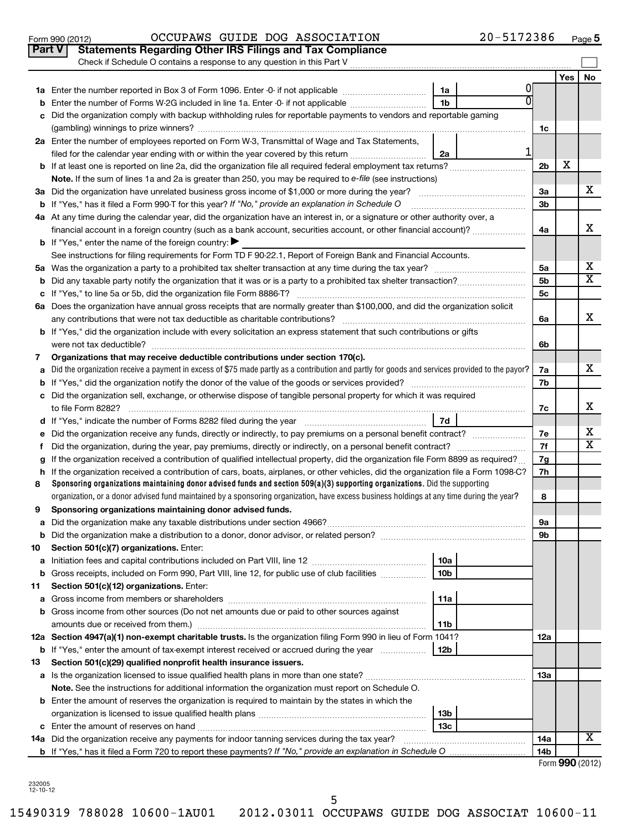|    | Check if Schedule O contains a response to any question in this Part V                                                                                                                              |                |     |    |
|----|-----------------------------------------------------------------------------------------------------------------------------------------------------------------------------------------------------|----------------|-----|----|
|    |                                                                                                                                                                                                     |                | Yes | No |
|    | 0<br>1a                                                                                                                                                                                             |                |     |    |
| b  | $\overline{0}$<br>1 <sub>b</sub><br>Enter the number of Forms W-2G included in line 1a. Enter -0- if not applicable                                                                                 |                |     |    |
| с  | Did the organization comply with backup withholding rules for reportable payments to vendors and reportable gaming                                                                                  |                |     |    |
|    |                                                                                                                                                                                                     | 1c             |     |    |
|    | 2a Enter the number of employees reported on Form W-3, Transmittal of Wage and Tax Statements,                                                                                                      |                |     |    |
|    | 1<br>filed for the calendar year ending with or within the year covered by this return<br>2a                                                                                                        |                |     |    |
|    |                                                                                                                                                                                                     | 2 <sub>b</sub> | х   |    |
|    | Note. If the sum of lines 1a and 2a is greater than 250, you may be required to e-file (see instructions)                                                                                           |                |     |    |
|    |                                                                                                                                                                                                     | За             |     | x. |
|    | <b>b</b> If "Yes," has it filed a Form 990-T for this year? If "No," provide an explanation in Schedule O                                                                                           | 3 <sub>b</sub> |     |    |
|    | 4a At any time during the calendar year, did the organization have an interest in, or a signature or other authority over, a                                                                        |                |     |    |
|    | financial account in a foreign country (such as a bank account, securities account, or other financial account)?                                                                                    | 4a             |     | x  |
|    | <b>b</b> If "Yes," enter the name of the foreign country:                                                                                                                                           |                |     |    |
|    | See instructions for filing requirements for Form TD F 90-22.1, Report of Foreign Bank and Financial Accounts.                                                                                      |                |     |    |
|    |                                                                                                                                                                                                     | 5a             |     | х  |
|    |                                                                                                                                                                                                     | 5 <sub>b</sub> |     | x  |
|    |                                                                                                                                                                                                     | 5c             |     |    |
|    | 6a Does the organization have annual gross receipts that are normally greater than \$100,000, and did the organization solicit                                                                      |                |     |    |
|    |                                                                                                                                                                                                     | 6a             |     | X. |
|    | b If "Yes," did the organization include with every solicitation an express statement that such contributions or gifts                                                                              |                |     |    |
|    |                                                                                                                                                                                                     | 6b             |     |    |
| 7  | Organizations that may receive deductible contributions under section 170(c).                                                                                                                       |                |     | x. |
| a  | Did the organization receive a payment in excess of \$75 made partly as a contribution and partly for goods and services provided to the payor?                                                     | 7a             |     |    |
| b  |                                                                                                                                                                                                     | 7b             |     |    |
|    | c Did the organization sell, exchange, or otherwise dispose of tangible personal property for which it was required                                                                                 | 7c             |     | х  |
|    | 7d<br>d If "Yes," indicate the number of Forms 8282 filed during the year [11] [11] Nest representation of the New Yes," indicate the number of Forms 8282 filed during the year [11] [12] $\sigma$ |                |     |    |
| е  | Did the organization receive any funds, directly or indirectly, to pay premiums on a personal benefit contract?                                                                                     | 7e             |     | х  |
| f  |                                                                                                                                                                                                     | 7f             |     | х  |
| g  | If the organization received a contribution of qualified intellectual property, did the organization file Form 8899 as required?                                                                    | 7g             |     |    |
|    | h If the organization received a contribution of cars, boats, airplanes, or other vehicles, did the organization file a Form 1098-C?                                                                | 7h             |     |    |
| 8  | Sponsoring organizations maintaining donor advised funds and section $509(a)(3)$ supporting organizations. Did the supporting                                                                       |                |     |    |
|    | organization, or a donor advised fund maintained by a sponsoring organization, have excess business holdings at any time during the year?                                                           | 8              |     |    |
| 9  | Sponsoring organizations maintaining donor advised funds.                                                                                                                                           |                |     |    |
|    |                                                                                                                                                                                                     | 9а             |     |    |
| b  |                                                                                                                                                                                                     | 9b             |     |    |
| 10 | Section 501(c)(7) organizations. Enter:                                                                                                                                                             |                |     |    |
| а  | 10a<br>Initiation fees and capital contributions included on Part VIII, line 12                                                                                                                     |                |     |    |
| b  | Gross receipts, included on Form 990, Part VIII, line 12, for public use of club facilities<br>10 <sub>b</sub>                                                                                      |                |     |    |
| 11 | Section 501(c)(12) organizations. Enter:                                                                                                                                                            |                |     |    |
| а  | 11a                                                                                                                                                                                                 |                |     |    |
| b  | Gross income from other sources (Do not net amounts due or paid to other sources against                                                                                                            |                |     |    |
|    | amounts due or received from them.)<br>11b                                                                                                                                                          |                |     |    |
|    | 12a Section 4947(a)(1) non-exempt charitable trusts. Is the organization filing Form 990 in lieu of Form 1041?                                                                                      | 12a            |     |    |
|    | <b>b</b> If "Yes," enter the amount of tax-exempt interest received or accrued during the year<br>12b                                                                                               |                |     |    |
| 13 | Section 501(c)(29) qualified nonprofit health insurance issuers.                                                                                                                                    |                |     |    |
|    |                                                                                                                                                                                                     | 13а            |     |    |
|    | Note. See the instructions for additional information the organization must report on Schedule O.                                                                                                   |                |     |    |
|    | <b>b</b> Enter the amount of reserves the organization is required to maintain by the states in which the                                                                                           |                |     |    |
|    | 13 <sub>b</sub>                                                                                                                                                                                     |                |     |    |
|    | 13c                                                                                                                                                                                                 |                |     | х  |
|    | 14a Did the organization receive any payments for indoor tanning services during the tax year?                                                                                                      | 14a<br>14b     |     |    |
|    |                                                                                                                                                                                                     |                |     |    |

| Form 990 (2012) |  |
|-----------------|--|
|-----------------|--|

232005 12-10-12

5

15490319 788028 10600-1AU01 2012.03011 OCCUPAWS GUIDE DOG ASSOCIAT 10600-11

Form 990 (2012)  $OCCUPANS$   $GUIDE$   $DOG$   $ASSOCIATION$   $20-5172386$   $Page$ **Part V** Statements Regarding Other IRS Filings and Tax Compliance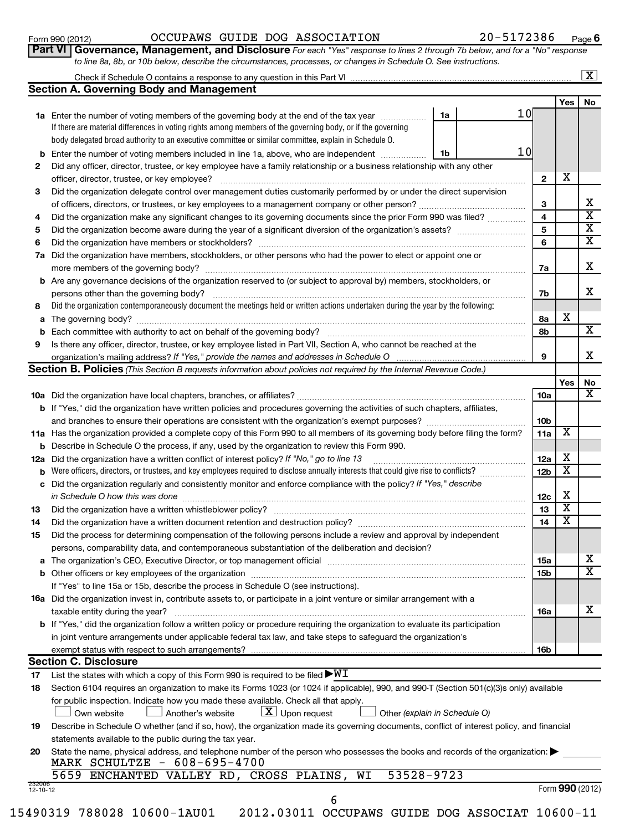232006 12-10-12

### Form 990 (2012)  $OCCUPANS$   $GUIDE$   $DOG$   $ASSOCIATION$   $20-5172386$   $Page$

20-5172386 Page 6

|    | umau<br>Part VI   Governance, Management, and Disclosure For each "Yes" response to lines 2 through 7b below, and for a "No" response<br>to line 8a, 8b, or 10b below, describe the circumstances, processes, or changes in Schedule O. See instructions. |    |    |                 |                         |                         |
|----|-----------------------------------------------------------------------------------------------------------------------------------------------------------------------------------------------------------------------------------------------------------|----|----|-----------------|-------------------------|-------------------------|
|    |                                                                                                                                                                                                                                                           |    |    |                 |                         | $\vert X \vert$         |
|    | <b>Section A. Governing Body and Management</b>                                                                                                                                                                                                           |    |    |                 |                         |                         |
|    |                                                                                                                                                                                                                                                           |    |    |                 | Yes                     | No                      |
|    | 1a Enter the number of voting members of the governing body at the end of the tax year                                                                                                                                                                    | 1a | 10 |                 |                         |                         |
|    | If there are material differences in voting rights among members of the governing body, or if the governing                                                                                                                                               |    |    |                 |                         |                         |
|    | body delegated broad authority to an executive committee or similar committee, explain in Schedule O.                                                                                                                                                     |    |    |                 |                         |                         |
|    | <b>b</b> Enter the number of voting members included in line 1a, above, who are independent <i>manumum</i>                                                                                                                                                | 1b | 10 |                 |                         |                         |
| 2  | Did any officer, director, trustee, or key employee have a family relationship or a business relationship with any other                                                                                                                                  |    |    |                 |                         |                         |
|    | officer, director, trustee, or key employee?                                                                                                                                                                                                              |    |    | $\mathbf{2}$    | х                       |                         |
| 3  | Did the organization delegate control over management duties customarily performed by or under the direct supervision                                                                                                                                     |    |    |                 |                         |                         |
|    |                                                                                                                                                                                                                                                           |    |    | 3               |                         | x                       |
| 4  | Did the organization make any significant changes to its governing documents since the prior Form 990 was filed?                                                                                                                                          |    |    | 4               |                         | $\overline{\mathbf{X}}$ |
| 5  |                                                                                                                                                                                                                                                           |    |    | 5               |                         | $\overline{\mathbf{X}}$ |
| 6  |                                                                                                                                                                                                                                                           |    |    | 6               |                         | $\overline{\mathbf{X}}$ |
|    | 7a Did the organization have members, stockholders, or other persons who had the power to elect or appoint one or                                                                                                                                         |    |    |                 |                         |                         |
|    | more members of the governing body?                                                                                                                                                                                                                       |    |    | 7a              |                         | x                       |
|    | <b>b</b> Are any governance decisions of the organization reserved to (or subject to approval by) members, stockholders, or                                                                                                                               |    |    |                 |                         |                         |
|    | persons other than the governing body?                                                                                                                                                                                                                    |    |    | 7b              |                         | x                       |
| 8  | Did the organization contemporaneously document the meetings held or written actions undertaken during the year by the following:                                                                                                                         |    |    |                 |                         |                         |
| a  |                                                                                                                                                                                                                                                           |    |    | 8а              | х                       |                         |
|    |                                                                                                                                                                                                                                                           |    |    |                 |                         | X                       |
| 9  | Is there any officer, director, trustee, or key employee listed in Part VII, Section A, who cannot be reached at the                                                                                                                                      |    |    |                 |                         |                         |
|    | organization's mailing address? If "Yes," provide the names and addresses in Schedule O                                                                                                                                                                   |    | 9  |                 | x                       |                         |
|    | Section B. Policies (This Section B requests information about policies not required by the Internal Revenue Code.)                                                                                                                                       |    |    |                 |                         |                         |
|    |                                                                                                                                                                                                                                                           |    |    |                 | Yes                     | No                      |
|    |                                                                                                                                                                                                                                                           |    |    | <b>10a</b>      |                         | x                       |
|    | b If "Yes," did the organization have written policies and procedures governing the activities of such chapters, affiliates,                                                                                                                              |    |    |                 |                         |                         |
|    |                                                                                                                                                                                                                                                           |    |    | 10 <sub>b</sub> |                         |                         |
|    | 11a Has the organization provided a complete copy of this Form 990 to all members of its governing body before filing the form?                                                                                                                           |    |    | 11a             | Х                       |                         |
|    | <b>b</b> Describe in Schedule O the process, if any, used by the organization to review this Form 990.                                                                                                                                                    |    |    |                 |                         |                         |
|    | 12a Did the organization have a written conflict of interest policy? If "No," go to line 13                                                                                                                                                               |    |    | 12a             | x                       |                         |
|    | <b>b</b> Were officers, directors, or trustees, and key employees required to disclose annually interests that could give rise to conflicts?                                                                                                              |    |    | 12 <sub>b</sub> | $\overline{\textbf{x}}$ |                         |
|    | c Did the organization regularly and consistently monitor and enforce compliance with the policy? If "Yes," describe                                                                                                                                      |    |    |                 |                         |                         |
|    | in Schedule O how this was done                                                                                                                                                                                                                           |    |    | 12c             | х                       |                         |
| 13 | Did the organization have a written whistleblower policy?                                                                                                                                                                                                 |    |    | 13              | $\overline{\textbf{x}}$ |                         |
| 14 | Did the organization have a written document retention and destruction policy? [11] manufaction manufaction in                                                                                                                                            |    |    | 14              | x                       |                         |
| 15 | Did the process for determining compensation of the following persons include a review and approval by independent                                                                                                                                        |    |    |                 |                         |                         |
|    | persons, comparability data, and contemporaneous substantiation of the deliberation and decision?                                                                                                                                                         |    |    |                 |                         |                         |
|    |                                                                                                                                                                                                                                                           |    |    | 15a             |                         | x                       |
|    |                                                                                                                                                                                                                                                           |    |    | 15b             |                         | $\overline{\mathtt{x}}$ |
|    | If "Yes" to line 15a or 15b, describe the process in Schedule O (see instructions).                                                                                                                                                                       |    |    |                 |                         |                         |
|    | 16a Did the organization invest in, contribute assets to, or participate in a joint venture or similar arrangement with a                                                                                                                                 |    |    |                 |                         |                         |
|    | taxable entity during the year?                                                                                                                                                                                                                           |    |    | 16a             |                         | x                       |
|    | <b>b</b> If "Yes," did the organization follow a written policy or procedure requiring the organization to evaluate its participation                                                                                                                     |    |    |                 |                         |                         |
|    | in joint venture arrangements under applicable federal tax law, and take steps to safeguard the organization's                                                                                                                                            |    |    |                 |                         |                         |
|    | exempt status with respect to such arrangements?                                                                                                                                                                                                          |    |    | 16b             |                         |                         |
|    | <b>Section C. Disclosure</b>                                                                                                                                                                                                                              |    |    |                 |                         |                         |
| 17 | List the states with which a copy of this Form 990 is required to be filed $\blacktriangleright\texttt{WI}$                                                                                                                                               |    |    |                 |                         |                         |

**17** List the states with which a copy of this Form 990 is required to be filed

|               |                                                                                     |                                 | 18 Section 6104 requires an organization to make its Forms 1023 (or 1024 if applicable), 990, and 990-T (Section 501(c)(3)s only) available |  |
|---------------|-------------------------------------------------------------------------------------|---------------------------------|---------------------------------------------------------------------------------------------------------------------------------------------|--|
|               | for public inspection. Indicate how you made these available. Check all that apply. |                                 |                                                                                                                                             |  |
| ∟ Own website | Another's website                                                                   | $\boxed{\text{X}}$ Upon request | $\Box$ Other (explain in Schedule O)                                                                                                        |  |

| 19 Describe in Schedule O whether (and if so, how), the organization made its governing documents, conflict of interest policy, and financial |
|-----------------------------------------------------------------------------------------------------------------------------------------------|
| statements available to the public during the tax year.                                                                                       |

15490319 788028 10600-1AU01 2012.03011 OCCUPAWS GUIDE DOG ASSOCIAT 10600-11

| 20 State the name, physical address, and telephone number of the person who possesses the books and records of the organization: |
|----------------------------------------------------------------------------------------------------------------------------------|
| MARK SCHULTZE - 608-695-4700                                                                                                     |

| 5659 ENCHANTED VALLEY RD, CROSS PLAINS, WI 53528-9723 |  |  |
|-------------------------------------------------------|--|--|
|-------------------------------------------------------|--|--|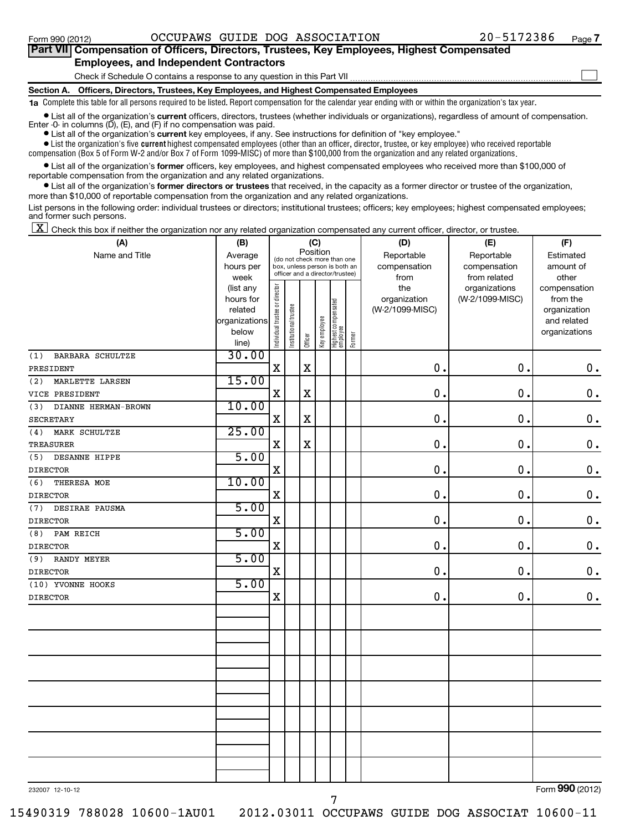| Part VII Compensation of Officers, Directors, Trustees, Key Employees, Highest Compensated                                                                        |  |
|-------------------------------------------------------------------------------------------------------------------------------------------------------------------|--|
| <b>Employees, and Independent Contractors</b>                                                                                                                     |  |
| Check if Schedule O contains a response to any question in this Part VII                                                                                          |  |
| Section A. Officers, Directors, Trustees, Key Employees, and Highest Compensated Employees                                                                        |  |
| <b>1a</b> Complete this table for all persons required to be listed. Report compensation for the calendar year ending with or within the organization's tax year. |  |

**•** List all of the organization's current officers, directors, trustees (whether individuals or organizations), regardless of amount of compensation. Enter -0- in columns  $(D)$ ,  $(E)$ , and  $(F)$  if no compensation was paid.

**•** List all of the organization's **current** key employees, if any. See instructions for definition of "key employee."

 $\bullet$  List the organization's five  $\tt current$  highest compensated employees (other than an officer, director, trustee, or key employee) who received reportable compensation (Box 5 of Form W-2 and/or Box 7 of Form 1099-MISC) of more than \$100,000 from the organization and any related organizations .

 $\bullet$  List all of the organization's former officers, key employees, and highest compensated employees who received more than \$100,000 of reportable compensation from the organization and any related organizations.

**•** List all of the organization's former directors or trustees that received, in the capacity as a former director or trustee of the organization, more than \$10,000 of reportable compensation from the organization and any related organizations.

List persons in the following order: individual trustees or directors; institutional trustees; officers; key employees; highest compensated employees; and former such persons.

 $\boxed{\textbf{X}}$  Check this box if neither the organization nor any related organization compensated any current officer, director, or trustee.

| (A)                        | (B)               |                                |                                                                                                             |             | (C)          |                                 |        | (D)             | (E)                           | (F)                   |  |
|----------------------------|-------------------|--------------------------------|-------------------------------------------------------------------------------------------------------------|-------------|--------------|---------------------------------|--------|-----------------|-------------------------------|-----------------------|--|
| Name and Title             | Average           |                                | Position<br>(do not check more than one<br>box, unless person is both an<br>officer and a director/trustee) |             |              |                                 |        | Reportable      | Reportable                    | Estimated             |  |
|                            | hours per         |                                |                                                                                                             |             |              |                                 |        | compensation    | compensation                  | amount of             |  |
|                            | week<br>(list any |                                |                                                                                                             |             |              |                                 |        | from<br>the     | from related<br>organizations | other<br>compensation |  |
|                            | hours for         |                                |                                                                                                             |             |              |                                 |        | organization    | (W-2/1099-MISC)               | from the              |  |
|                            | related           |                                |                                                                                                             |             |              |                                 |        | (W-2/1099-MISC) |                               | organization          |  |
|                            | organizations     |                                |                                                                                                             |             |              |                                 |        |                 |                               | and related           |  |
|                            | below             | Individual trustee or director | Institutional trustee                                                                                       |             | Key employee | Highest compensated<br>employee | Former |                 |                               | organizations         |  |
|                            | line)             |                                |                                                                                                             | Officer     |              |                                 |        |                 |                               |                       |  |
| BARBARA SCHULTZE<br>(1)    | 30.00             |                                |                                                                                                             |             |              |                                 |        |                 |                               |                       |  |
| PRESIDENT                  |                   | $\mathbf X$                    |                                                                                                             | X           |              |                                 |        | 0.              | $\mathbf 0$ .                 | $\mathbf 0$ .         |  |
| MARLETTE LARSEN<br>(2)     | 15.00             |                                |                                                                                                             |             |              |                                 |        |                 |                               |                       |  |
| VICE PRESIDENT             |                   | $\mathbf X$                    |                                                                                                             | $\mathbf X$ |              |                                 |        | $\mathbf 0$ .   | $\mathbf 0$                   | $\mathbf 0$ .         |  |
| DIANNE HERMAN-BROWN<br>(3) | 10.00             |                                |                                                                                                             |             |              |                                 |        |                 |                               |                       |  |
| <b>SECRETARY</b>           |                   | $\mathbf X$                    |                                                                                                             | $\mathbf X$ |              |                                 |        | 0.              | $\mathbf 0$                   | $\mathbf 0$ .         |  |
| (4)<br>MARK SCHULTZE       | 25.00             |                                |                                                                                                             |             |              |                                 |        |                 |                               |                       |  |
| <b>TREASURER</b>           |                   | $\mathbf X$                    |                                                                                                             | $\mathbf X$ |              |                                 |        | 0.              | $\mathbf 0$                   | $\mathbf 0$ .         |  |
| DESANNE HIPPE<br>(5)       | 5.00              |                                |                                                                                                             |             |              |                                 |        |                 |                               |                       |  |
| <b>DIRECTOR</b>            |                   | $\mathbf X$                    |                                                                                                             |             |              |                                 |        | 0.              | 0.                            | $\mathbf 0$ .         |  |
| (6)<br>THERESA MOE         | 10.00             |                                |                                                                                                             |             |              |                                 |        |                 |                               |                       |  |
| <b>DIRECTOR</b>            |                   | $\mathbf X$                    |                                                                                                             |             |              |                                 |        | $\mathbf 0$ .   | $\mathbf 0$                   | $\mathbf 0$ .         |  |
| DESIRAE PAUSMA<br>(7)      | 5.00              |                                |                                                                                                             |             |              |                                 |        |                 |                               |                       |  |
| <b>DIRECTOR</b>            |                   | X                              |                                                                                                             |             |              |                                 |        | $\mathbf 0$ .   | 0                             | $\mathbf 0$ .         |  |
| PAM REICH<br>(8)           | 5.00              |                                |                                                                                                             |             |              |                                 |        |                 |                               |                       |  |
| <b>DIRECTOR</b>            |                   | $\mathbf X$                    |                                                                                                             |             |              |                                 |        | $\mathbf 0$ .   | 0                             | $\mathbf 0$ .         |  |
| (9)<br><b>RANDY MEYER</b>  | 5.00              |                                |                                                                                                             |             |              |                                 |        |                 |                               |                       |  |
| <b>DIRECTOR</b>            |                   | $\mathbf X$                    |                                                                                                             |             |              |                                 |        | $\mathbf 0$ .   | $\mathbf 0$                   | $\mathbf 0$ .         |  |
| (10) YVONNE HOOKS          | 5.00              |                                |                                                                                                             |             |              |                                 |        |                 |                               |                       |  |
| <b>DIRECTOR</b>            |                   | $\mathbf X$                    |                                                                                                             |             |              |                                 |        | $\mathbf 0$ .   | 0                             | $\mathbf 0$ .         |  |
|                            |                   |                                |                                                                                                             |             |              |                                 |        |                 |                               |                       |  |
|                            |                   |                                |                                                                                                             |             |              |                                 |        |                 |                               |                       |  |
|                            |                   |                                |                                                                                                             |             |              |                                 |        |                 |                               |                       |  |
|                            |                   |                                |                                                                                                             |             |              |                                 |        |                 |                               |                       |  |
|                            |                   |                                |                                                                                                             |             |              |                                 |        |                 |                               |                       |  |
|                            |                   |                                |                                                                                                             |             |              |                                 |        |                 |                               |                       |  |
|                            |                   |                                |                                                                                                             |             |              |                                 |        |                 |                               |                       |  |
|                            |                   |                                |                                                                                                             |             |              |                                 |        |                 |                               |                       |  |
|                            |                   |                                |                                                                                                             |             |              |                                 |        |                 |                               |                       |  |
|                            |                   |                                |                                                                                                             |             |              |                                 |        |                 |                               |                       |  |
|                            |                   |                                |                                                                                                             |             |              |                                 |        |                 |                               |                       |  |
|                            |                   |                                |                                                                                                             |             |              |                                 |        |                 |                               |                       |  |
|                            |                   |                                |                                                                                                             |             |              |                                 |        |                 |                               |                       |  |
|                            |                   |                                |                                                                                                             |             |              |                                 |        |                 |                               |                       |  |
|                            |                   |                                |                                                                                                             |             |              |                                 |        |                 |                               |                       |  |

232007 12-10-12

15490319 788028 10600-1AU01 2012.03011 OCCUPAWS GUIDE DOG ASSOCIAT 10600-11

Form (2012) **990**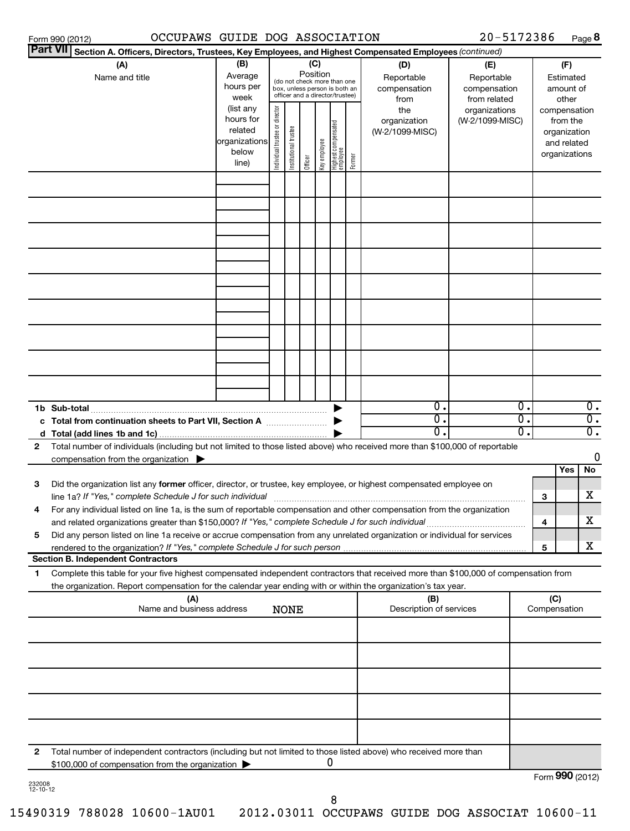| OCCUPAWS GUIDE DOG ASSOCIATION<br>Form 990 (2012)                                                                                                                                                                                                            |                                                                      |                                      |                                                                                                 |                 |              |                                  |        |                                           | 20-5172386                                        |                              |                     |                                                          | Page 8                                                   |
|--------------------------------------------------------------------------------------------------------------------------------------------------------------------------------------------------------------------------------------------------------------|----------------------------------------------------------------------|--------------------------------------|-------------------------------------------------------------------------------------------------|-----------------|--------------|----------------------------------|--------|-------------------------------------------|---------------------------------------------------|------------------------------|---------------------|----------------------------------------------------------|----------------------------------------------------------|
| <b>Part VII</b><br>Section A. Officers, Directors, Trustees, Key Employees, and Highest Compensated Employees (continued)                                                                                                                                    |                                                                      |                                      |                                                                                                 |                 |              |                                  |        |                                           |                                                   |                              |                     |                                                          |                                                          |
| (A)<br>Name and title                                                                                                                                                                                                                                        | (B)<br>Average<br>hours per<br>week                                  |                                      | (do not check more than one<br>box, unless person is both an<br>officer and a director/trustee) | (C)<br>Position |              |                                  |        | (D)<br>Reportable<br>compensation<br>from | (E)<br>Reportable<br>compensation<br>from related |                              |                     | (F)<br>Estimated<br>amount of<br>other                   |                                                          |
|                                                                                                                                                                                                                                                              | (list any<br>hours for<br>related<br>organizations<br>below<br>line) | or director<br>trustee<br>Individual | Institutional trustee                                                                           | Officer         | Key employee | Highest compensated<br> employee | Former | the<br>organization<br>(W-2/1099-MISC)    | organizations<br>(W-2/1099-MISC)                  |                              | compensation        | from the<br>organization<br>and related<br>organizations |                                                          |
|                                                                                                                                                                                                                                                              |                                                                      |                                      |                                                                                                 |                 |              |                                  |        |                                           |                                                   |                              |                     |                                                          |                                                          |
|                                                                                                                                                                                                                                                              |                                                                      |                                      |                                                                                                 |                 |              |                                  |        |                                           |                                                   |                              |                     |                                                          |                                                          |
|                                                                                                                                                                                                                                                              |                                                                      |                                      |                                                                                                 |                 |              |                                  |        |                                           |                                                   |                              |                     |                                                          |                                                          |
|                                                                                                                                                                                                                                                              |                                                                      |                                      |                                                                                                 |                 |              |                                  |        |                                           |                                                   |                              |                     |                                                          |                                                          |
|                                                                                                                                                                                                                                                              |                                                                      |                                      |                                                                                                 |                 |              |                                  |        |                                           |                                                   |                              |                     |                                                          |                                                          |
|                                                                                                                                                                                                                                                              |                                                                      |                                      |                                                                                                 |                 |              |                                  |        |                                           |                                                   |                              |                     |                                                          |                                                          |
|                                                                                                                                                                                                                                                              |                                                                      |                                      |                                                                                                 |                 |              |                                  |        |                                           |                                                   |                              |                     |                                                          |                                                          |
|                                                                                                                                                                                                                                                              |                                                                      |                                      |                                                                                                 |                 |              |                                  |        |                                           |                                                   |                              |                     |                                                          |                                                          |
| Total from continuation sheets to Part VII, Section A <b>manual</b> manuscription                                                                                                                                                                            |                                                                      |                                      |                                                                                                 |                 |              |                                  |        | $\overline{0}$ .<br>σ.<br>$\mathbf 0$ .   |                                                   | $\overline{0}$ .<br>σ.<br>0. |                     |                                                          | $\overline{0}$ .<br>$\overline{0}$ .<br>$\overline{0}$ . |
| Total number of individuals (including but not limited to those listed above) who received more than \$100,000 of reportable<br>2<br>compensation from the organization $\blacktriangleright$                                                                |                                                                      |                                      |                                                                                                 |                 |              |                                  |        |                                           |                                                   |                              |                     |                                                          | $\mathbf 0$                                              |
| 3<br>Did the organization list any former officer, director, or trustee, key employee, or highest compensated employee on                                                                                                                                    |                                                                      |                                      |                                                                                                 |                 |              |                                  |        |                                           |                                                   |                              |                     | Yes                                                      | No<br>x                                                  |
| For any individual listed on line 1a, is the sum of reportable compensation and other compensation from the organization<br>and related organizations greater than \$150,000? If "Yes," complete Schedule J for such individual                              |                                                                      |                                      |                                                                                                 |                 |              |                                  |        |                                           |                                                   |                              | 3<br>4              |                                                          | x                                                        |
| Did any person listed on line 1a receive or accrue compensation from any unrelated organization or individual for services<br>5<br>rendered to the organization? If "Yes," complete Schedule J for such person                                               |                                                                      |                                      |                                                                                                 |                 |              |                                  |        |                                           |                                                   |                              | 5                   |                                                          | x                                                        |
| <b>Section B. Independent Contractors</b>                                                                                                                                                                                                                    |                                                                      |                                      |                                                                                                 |                 |              |                                  |        |                                           |                                                   |                              |                     |                                                          |                                                          |
| Complete this table for your five highest compensated independent contractors that received more than \$100,000 of compensation from<br>1.<br>the organization. Report compensation for the calendar year ending with or within the organization's tax year. |                                                                      |                                      |                                                                                                 |                 |              |                                  |        |                                           |                                                   |                              |                     |                                                          |                                                          |
| (A)<br>Name and business address                                                                                                                                                                                                                             |                                                                      |                                      | <b>NONE</b>                                                                                     |                 |              |                                  |        | (B)<br>Description of services            |                                                   |                              | (C)<br>Compensation |                                                          |                                                          |
|                                                                                                                                                                                                                                                              |                                                                      |                                      |                                                                                                 |                 |              |                                  |        |                                           |                                                   |                              |                     |                                                          |                                                          |
|                                                                                                                                                                                                                                                              |                                                                      |                                      |                                                                                                 |                 |              |                                  |        |                                           |                                                   |                              |                     |                                                          |                                                          |
|                                                                                                                                                                                                                                                              |                                                                      |                                      |                                                                                                 |                 |              |                                  |        |                                           |                                                   |                              |                     |                                                          |                                                          |
|                                                                                                                                                                                                                                                              |                                                                      |                                      |                                                                                                 |                 |              |                                  |        |                                           |                                                   |                              |                     |                                                          |                                                          |
| Total number of independent contractors (including but not limited to those listed above) who received more than<br>2<br>\$100,000 of compensation from the organization                                                                                     |                                                                      |                                      |                                                                                                 |                 |              | 0                                |        |                                           |                                                   |                              |                     |                                                          |                                                          |

| ベンロハヌ |  |
|-------|--|
| - 10- |  |

Form (2012) **990**

8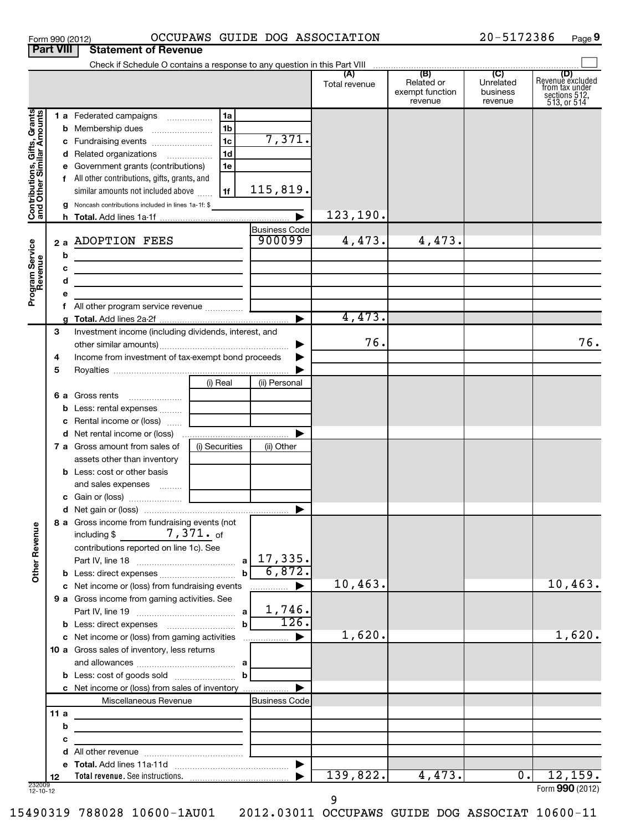| Form 990 (2012) |                                       | <b>OCCUPAW</b> |
|-----------------|---------------------------------------|----------------|
|                 | <b>Part VIII Statement of Revenue</b> |                |

## Form 990 (2012) OCCUPAWS GUIDE DOG ASSOCIATION 20-5172386 Page

20-5172386 Page 9

|                                                           |     | Check if Schedule O contains a response to any question in this Part VIII                                            |                                                                                                                       |                       |               |                                                 |                                         |                                                                                   |
|-----------------------------------------------------------|-----|----------------------------------------------------------------------------------------------------------------------|-----------------------------------------------------------------------------------------------------------------------|-----------------------|---------------|-------------------------------------------------|-----------------------------------------|-----------------------------------------------------------------------------------|
|                                                           |     |                                                                                                                      |                                                                                                                       |                       | Total revenue | (B)<br>Related or<br>exempt function<br>revenue | (C)<br>Unrelated<br>business<br>revenue | (D)<br>Revenue excluded<br>from tax under<br>sections $512$ ,<br>$513$ , or $514$ |
|                                                           |     | 1 a Federated campaigns                                                                                              | 1a                                                                                                                    |                       |               |                                                 |                                         |                                                                                   |
| Contributions, Gifts, Grants<br>and Other Similar Amounts |     |                                                                                                                      | 1 <sub>b</sub>                                                                                                        |                       |               |                                                 |                                         |                                                                                   |
|                                                           |     |                                                                                                                      | 1 <sub>c</sub>                                                                                                        | 7,371.                |               |                                                 |                                         |                                                                                   |
|                                                           |     | d Related organizations                                                                                              | 1 <sub>d</sub>                                                                                                        |                       |               |                                                 |                                         |                                                                                   |
|                                                           |     | e Government grants (contributions)                                                                                  | 1e                                                                                                                    |                       |               |                                                 |                                         |                                                                                   |
|                                                           |     | f All other contributions, gifts, grants, and                                                                        |                                                                                                                       |                       |               |                                                 |                                         |                                                                                   |
|                                                           |     | similar amounts not included above                                                                                   | 1f                                                                                                                    | 115,819.              |               |                                                 |                                         |                                                                                   |
|                                                           |     | g Noncash contributions included in lines 1a-1f: \$                                                                  |                                                                                                                       |                       |               |                                                 |                                         |                                                                                   |
|                                                           |     |                                                                                                                      |                                                                                                                       | $\blacktriangleright$ | 123,190.      |                                                 |                                         |                                                                                   |
|                                                           |     |                                                                                                                      |                                                                                                                       | <b>Business Code</b>  |               |                                                 |                                         |                                                                                   |
|                                                           |     | 2 a ADOPTION FEES                                                                                                    |                                                                                                                       | 900099                | 4,473.        | 4,473.                                          |                                         |                                                                                   |
| Program Service<br>Revenue                                | b   |                                                                                                                      |                                                                                                                       |                       |               |                                                 |                                         |                                                                                   |
|                                                           | c   | <u> 1989 - Johann Stein, marwolaethau a bhann an t-Amhair an t-Amhair an t-Amhair an t-Amhair an t-Amhair an t-A</u> |                                                                                                                       |                       |               |                                                 |                                         |                                                                                   |
|                                                           | d   | <u> 1989 - Johann Barn, amerikansk politiker (</u>                                                                   |                                                                                                                       |                       |               |                                                 |                                         |                                                                                   |
|                                                           | е   |                                                                                                                      |                                                                                                                       |                       |               |                                                 |                                         |                                                                                   |
|                                                           |     |                                                                                                                      |                                                                                                                       |                       |               |                                                 |                                         |                                                                                   |
|                                                           | a   |                                                                                                                      |                                                                                                                       | ▶                     | 4,473.        |                                                 |                                         |                                                                                   |
|                                                           | 3   | Investment income (including dividends, interest, and                                                                |                                                                                                                       |                       | 76.           |                                                 |                                         |                                                                                   |
|                                                           |     |                                                                                                                      |                                                                                                                       |                       |               |                                                 |                                         | 76.                                                                               |
|                                                           | 4   | Income from investment of tax-exempt bond proceeds                                                                   |                                                                                                                       |                       |               |                                                 |                                         |                                                                                   |
|                                                           | 5   |                                                                                                                      |                                                                                                                       |                       |               |                                                 |                                         |                                                                                   |
|                                                           |     |                                                                                                                      | (i) Real                                                                                                              | (ii) Personal         |               |                                                 |                                         |                                                                                   |
|                                                           | 6а  | Gross rents                                                                                                          |                                                                                                                       |                       |               |                                                 |                                         |                                                                                   |
|                                                           |     | b Less: rental expenses                                                                                              |                                                                                                                       |                       |               |                                                 |                                         |                                                                                   |
|                                                           |     | <b>c</b> Rental income or (loss) $\ldots$                                                                            |                                                                                                                       | ▶                     |               |                                                 |                                         |                                                                                   |
|                                                           |     | 7 a Gross amount from sales of                                                                                       | (i) Securities                                                                                                        |                       |               |                                                 |                                         |                                                                                   |
|                                                           |     | assets other than inventory                                                                                          |                                                                                                                       | (ii) Other            |               |                                                 |                                         |                                                                                   |
|                                                           |     | <b>b</b> Less: cost or other basis                                                                                   |                                                                                                                       |                       |               |                                                 |                                         |                                                                                   |
|                                                           |     | and sales expenses                                                                                                   |                                                                                                                       |                       |               |                                                 |                                         |                                                                                   |
|                                                           |     |                                                                                                                      |                                                                                                                       |                       |               |                                                 |                                         |                                                                                   |
|                                                           |     |                                                                                                                      |                                                                                                                       | ▶                     |               |                                                 |                                         |                                                                                   |
|                                                           |     | 8 a Gross income from fundraising events (not                                                                        |                                                                                                                       |                       |               |                                                 |                                         |                                                                                   |
| g                                                         |     | including $\frac{2}{3}$ 7, $\frac{371}{3}$ of                                                                        |                                                                                                                       |                       |               |                                                 |                                         |                                                                                   |
| Other Rever                                               |     | contributions reported on line 1c). See                                                                              |                                                                                                                       |                       |               |                                                 |                                         |                                                                                   |
|                                                           |     |                                                                                                                      | $\mathbf{a}$                                                                                                          | 17,335.               |               |                                                 |                                         |                                                                                   |
|                                                           |     |                                                                                                                      |                                                                                                                       | 6,872.                |               |                                                 |                                         |                                                                                   |
|                                                           |     | c Net income or (loss) from fundraising events                                                                       |                                                                                                                       | ▶<br>.                | 10,463.       |                                                 |                                         | 10,463.                                                                           |
|                                                           |     | 9 a Gross income from gaming activities. See                                                                         |                                                                                                                       |                       |               |                                                 |                                         |                                                                                   |
|                                                           |     |                                                                                                                      |                                                                                                                       | 1,746.                |               |                                                 |                                         |                                                                                   |
|                                                           |     | <b>b</b> Less: direct expenses <b>contained b</b> Less: direct expenses                                              | $\mathbf b$                                                                                                           | 126.                  |               |                                                 |                                         |                                                                                   |
|                                                           |     | c Net income or (loss) from gaming activities                                                                        |                                                                                                                       | ▶                     | 1,620.        |                                                 |                                         | 1,620.                                                                            |
|                                                           |     | 10 a Gross sales of inventory, less returns                                                                          |                                                                                                                       |                       |               |                                                 |                                         |                                                                                   |
|                                                           |     |                                                                                                                      |                                                                                                                       |                       |               |                                                 |                                         |                                                                                   |
|                                                           |     |                                                                                                                      | b                                                                                                                     |                       |               |                                                 |                                         |                                                                                   |
|                                                           |     | c Net income or (loss) from sales of inventory                                                                       |                                                                                                                       |                       |               |                                                 |                                         |                                                                                   |
|                                                           |     | Miscellaneous Revenue                                                                                                |                                                                                                                       | <b>Business Code</b>  |               |                                                 |                                         |                                                                                   |
|                                                           | 11a | <u> 1989 - Johann Stoff, fransk politik (d. 1989)</u>                                                                |                                                                                                                       |                       |               |                                                 |                                         |                                                                                   |
|                                                           | b   |                                                                                                                      |                                                                                                                       |                       |               |                                                 |                                         |                                                                                   |
|                                                           | с   |                                                                                                                      | <u> 1989 - Johann Harry Harry Harry Harry Harry Harry Harry Harry Harry Harry Harry Harry Harry Harry Harry Harry</u> |                       |               |                                                 |                                         |                                                                                   |
|                                                           | d   |                                                                                                                      |                                                                                                                       |                       |               |                                                 |                                         |                                                                                   |
|                                                           |     |                                                                                                                      |                                                                                                                       | $\blacktriangleright$ | 139,822.      | 4,473.                                          | $\overline{0}$ .                        | 12, 159.                                                                          |
| 232009<br>12-10-12                                        | 12  |                                                                                                                      |                                                                                                                       |                       |               |                                                 |                                         | Form 990 (2012)                                                                   |

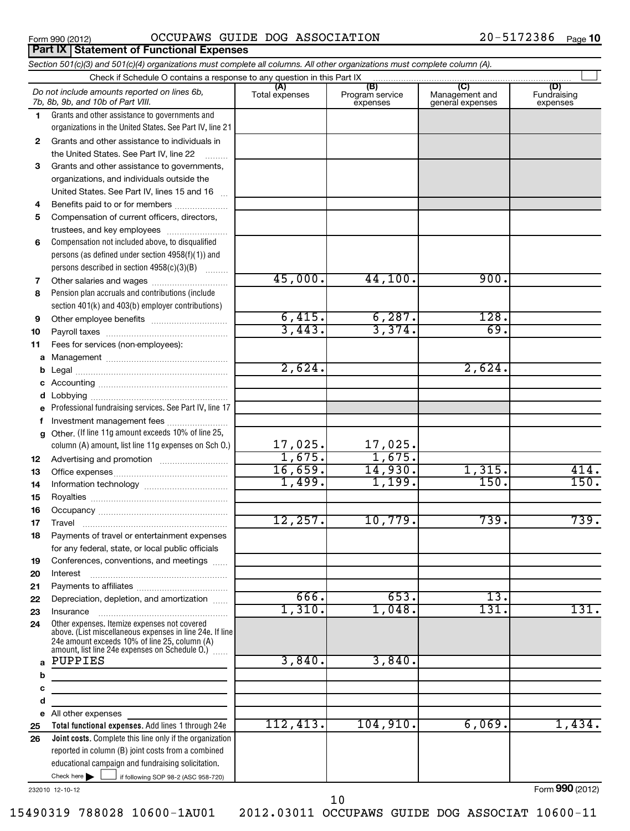|  | Form 990 (2012) |
|--|-----------------|
|  |                 |

**Part IX Statement of Functional Expenses**

### Form 990 (2012)  $OCCUPANS$   $GUIDE$   $DOG$   $ASSOCIATION$   $20-5172386$   $Page$

#### If following SOP 98-2 (ASC 958-720) **Total functional expenses.**  Add lines 1 through 24e **Joint costs.** Complete this line only if the organization **(A) (B) (C) (D) 1 2 3 4 5 6 7 8 9 10 11 a b c d e f g 12 13 14 15 16 17 18 19 20 21 22 23 24 a b c d e 25 26** *Section 501(c)(3) and 501(c)(4) organizations must complete all columns. All other organizations must complete column (A).* Grants and other assistance to governments and organizations in the United States. See Part IV, line 21 Compensation not included above, to disqualified persons (as defined under section 4958(f)(1)) and persons described in section 4958(c)(3)(B)  $\quad \quad \ldots \ldots \ldots$ Pension plan accruals and contributions (include section 401(k) and 403(b) employer contributions) Professional fundraising services. See Part IV, line 17 Other. (If line 11g amount exceeds 10% of line 25, column (A) amount, list line 11g expenses on Sch O.) Other expenses. Itemize expenses not covered above. (List miscellaneous expenses in line 24e. If line 24e amount exceeds 10% of line 25, column (A) amount, list line 24e expenses on Schedule O.)  $\, \ldots \,$ reported in column (B) joint costs from a combined educational campaign and fundraising solicitation. Check if Schedule O contains a response to any question in this Part IX Total expenses | Program service expenses Management and general expenses Fundraising expenses Grants and other assistance to individuals in the United States. See Part IV, line 22 Grants and other assistance to governments, organizations, and individuals outside the United States. See Part IV, lines 15 and 16 ~ Benefits paid to or for members .................... Compensation of current officers, directors, trustees, and key employees ......................... Other salaries and wages ~~~~~~~~~~ Other employee benefits ~~~~~~~~~~ Payroll taxes ~~~~~~~~~~~~~~~~ Fees for services (non-employees): Management ~~~~~~~~~~~~~~~~ Legal ~~~~~~~~~~~~~~~~~~~~ Accounting ~~~~~~~~~~~~~~~~~ Lobbying ~~~~~~~~~~~~~~~~~~ Investment management fees ........................ Advertising and promotion ~~~~~~~~~ Office expenses ~~~~~~~~~~~~~~~ Information technology ~~~~~~~~~~~ Royalties ~~~~~~~~~~~~~~~~~~ Occupancy ~~~~~~~~~~~~~~~~~ Travel ………………………………………………… Payments of travel or entertainment expenses for any federal, state, or local public officials Conferences, conventions, and meetings ...... Interest Payments to affiliates ~~~~~~~~~~~~ ~~~~~~~~~~~~~~~~~~ Depreciation, depletion, and amortization ...... Insurance ~~~~~~~~~~~~~~~~~ All other expenses Check here  $\blacktriangleright$ *Do not include amounts reported on lines 6b, 7b, 8b, 9b, and 10b of Part VIII.*  $\sim$  $\Box$ 45,000. 44,100. 900.  $\overline{6,415.}$   $\overline{6,287.}$   $\overline{128.}$  $3,443.$   $3,374.$  69.  $2.624.$  2.624. 17,025. 17,025. 1,675. 1,675. 16,659. 14,930. 1,315. 414. 1,499. 1,199. 150. 150. 150. 12,257. 10,779. 739. 739. 666. 653. 13. 1,310. 1,048. 131. 131. 131. PUPPIES 3,840. 3,840. 112,413. 104,910. 6,069. 1,434.

232010 12-10-12

Form **990** (2012)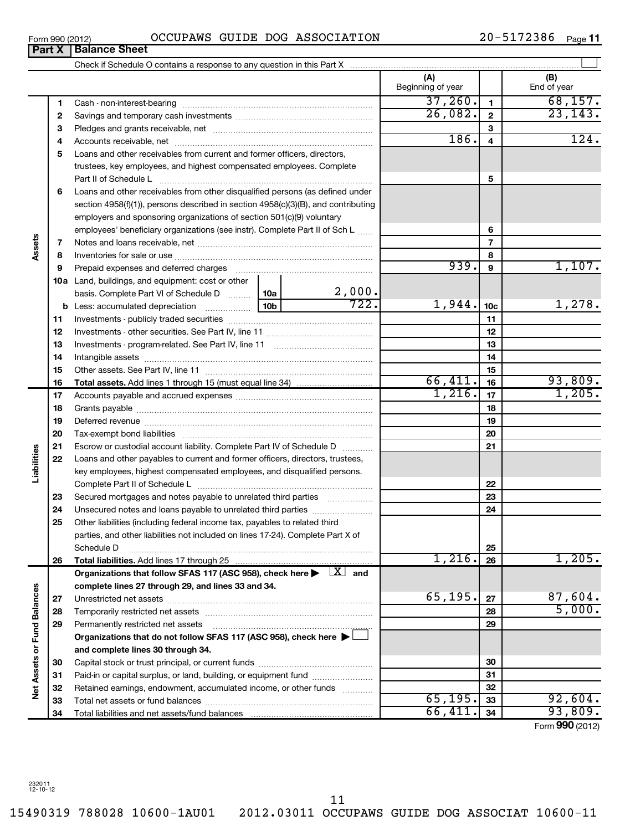$\overline{\phantom{0}}$ 

15490319 788028 10600-1AU01 2012.03011 OCCUPAWS GUIDE DOG ASSOCIAT 10600-11

| Form 990 (2012)               |  | OCCUPAWS GUIDE DOG ASSOCIATION | 20-5172386 | Page 11 |
|-------------------------------|--|--------------------------------|------------|---------|
| <b>Part X   Balance Sheet</b> |  |                                |            |         |

|                             |    |                                                                                                                                                          |             |                         | (A)<br>Beginning of year |                 | (B)<br>End of year |
|-----------------------------|----|----------------------------------------------------------------------------------------------------------------------------------------------------------|-------------|-------------------------|--------------------------|-----------------|--------------------|
|                             | 1  |                                                                                                                                                          |             |                         | 37,260.                  | $\mathbf{1}$    | 68, 157.           |
|                             | 2  |                                                                                                                                                          |             |                         | 26,082.                  | $\mathbf{2}$    | 23, 143.           |
|                             | З  |                                                                                                                                                          |             |                         |                          | 3               |                    |
|                             | 4  |                                                                                                                                                          | <b>186.</b> | $\overline{\mathbf{4}}$ | 124.                     |                 |                    |
|                             | 5  | Loans and other receivables from current and former officers, directors,                                                                                 |             |                         |                          |                 |                    |
|                             |    | trustees, key employees, and highest compensated employees. Complete                                                                                     |             |                         |                          |                 |                    |
|                             |    |                                                                                                                                                          |             |                         |                          | 5               |                    |
|                             | 6  | Loans and other receivables from other disqualified persons (as defined under                                                                            |             |                         |                          |                 |                    |
|                             |    | section $4958(f)(1)$ , persons described in section $4958(c)(3)(B)$ , and contributing                                                                   |             |                         |                          |                 |                    |
|                             |    | employers and sponsoring organizations of section 501(c)(9) voluntary                                                                                    |             |                         |                          |                 |                    |
|                             |    | employees' beneficiary organizations (see instr). Complete Part II of Sch L                                                                              |             |                         |                          | 6               |                    |
| Assets                      | 7  |                                                                                                                                                          |             |                         |                          | $\overline{7}$  |                    |
|                             | 8  |                                                                                                                                                          |             |                         |                          | 8               |                    |
|                             | 9  | Prepaid expenses and deferred charges [11] [11] prepaid expenses and deferred charges [11] [11] minimum and the P                                        |             |                         | 939.                     | 9               | 1,107.             |
|                             |    | <b>10a</b> Land, buildings, and equipment: cost or other                                                                                                 |             |                         |                          |                 |                    |
|                             |    | basis. Complete Part VI of Schedule D    10a                                                                                                             |             | $\frac{2,000}{722}$     |                          |                 |                    |
|                             |    |                                                                                                                                                          |             |                         | 1,944.                   | 10 <sub>c</sub> | 1,278.             |
|                             | 11 |                                                                                                                                                          |             |                         |                          | 11              |                    |
|                             | 12 |                                                                                                                                                          |             |                         |                          | 12              |                    |
|                             | 13 |                                                                                                                                                          |             |                         |                          | 13              |                    |
|                             | 14 |                                                                                                                                                          |             |                         | 14                       |                 |                    |
|                             | 15 |                                                                                                                                                          |             |                         |                          | 15              |                    |
|                             | 16 | <b>Total assets.</b> Add lines 1 through 15 (must equal line 34) <i></i>                                                                                 |             |                         | 66,411.<br>1,216.        | 16              | 93,809.<br>1,205.  |
|                             | 17 |                                                                                                                                                          |             |                         |                          | 17              |                    |
|                             | 18 |                                                                                                                                                          |             |                         |                          | 18              |                    |
|                             | 19 |                                                                                                                                                          |             |                         |                          | 19              |                    |
|                             | 20 |                                                                                                                                                          |             |                         |                          | 20              |                    |
| Liabilities                 | 21 | Escrow or custodial account liability. Complete Part IV of Schedule D                                                                                    |             |                         |                          | 21              |                    |
|                             | 22 | Loans and other payables to current and former officers, directors, trustees,<br>key employees, highest compensated employees, and disqualified persons. |             |                         |                          |                 |                    |
|                             |    |                                                                                                                                                          |             |                         |                          |                 |                    |
|                             | 23 | Secured mortgages and notes payable to unrelated third parties                                                                                           |             |                         |                          | 22<br>23        |                    |
|                             | 24 | Unsecured notes and loans payable to unrelated third parties                                                                                             |             |                         |                          | 24              |                    |
|                             | 25 | Other liabilities (including federal income tax, payables to related third                                                                               |             |                         |                          |                 |                    |
|                             |    | parties, and other liabilities not included on lines 17-24). Complete Part X of                                                                          |             |                         |                          |                 |                    |
|                             |    | Schedule D                                                                                                                                               |             |                         |                          | 25              |                    |
|                             | 26 | Total liabilities. Add lines 17 through 25                                                                                                               |             |                         | 1,216.                   | 26              | 1,205.             |
|                             |    | Organizations that follow SFAS 117 (ASC 958), check here $\blacktriangleright \begin{array}{c} \perp X \end{array}$ and                                  |             |                         |                          |                 |                    |
|                             |    | complete lines 27 through 29, and lines 33 and 34.                                                                                                       |             |                         |                          |                 |                    |
|                             | 27 |                                                                                                                                                          |             |                         | 65, 195.                 | 27              | 87,604.            |
|                             | 28 |                                                                                                                                                          |             |                         |                          | 28              | 5,000.             |
|                             | 29 | Permanently restricted net assets                                                                                                                        |             |                         |                          | 29              |                    |
|                             |    | Organizations that do not follow SFAS 117 (ASC 958), check here $\blacktriangleright$                                                                    |             |                         |                          |                 |                    |
| Net Assets or Fund Balances |    | and complete lines 30 through 34.                                                                                                                        |             |                         |                          |                 |                    |
|                             | 30 |                                                                                                                                                          |             |                         |                          | 30              |                    |
|                             | 31 | Paid-in or capital surplus, or land, building, or equipment fund                                                                                         |             |                         |                          | 31              |                    |
|                             | 32 | Retained earnings, endowment, accumulated income, or other funds                                                                                         |             |                         |                          | 32              |                    |
|                             | 33 |                                                                                                                                                          |             |                         | 65, 195.                 | 33              | 92,604.            |
|                             | 34 |                                                                                                                                                          | 66,411.     | 34                      | 93,809.                  |                 |                    |

Form (2012) **990**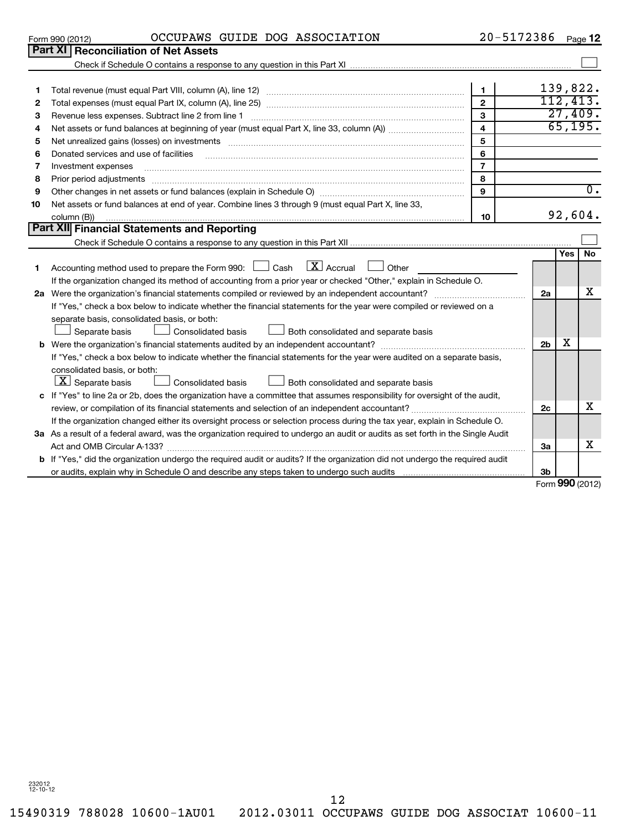15490319 788028 10600-1AU01 2012.03011 OCCUPAWS GUIDE DOG ASSOCIAT 10600-11 12

|                 |  | OCCUPAWS GUIDE DOG ASSOCIATION | 20-5172386 |         |
|-----------------|--|--------------------------------|------------|---------|
| Form 990 (2012) |  |                                |            | Page 12 |

|    | UIIII 990 IZU IZ                                                                                                                                                                                                               |                         |                | raue 11          |
|----|--------------------------------------------------------------------------------------------------------------------------------------------------------------------------------------------------------------------------------|-------------------------|----------------|------------------|
|    | Part XI<br><b>Reconciliation of Net Assets</b>                                                                                                                                                                                 |                         |                |                  |
|    |                                                                                                                                                                                                                                |                         |                |                  |
|    |                                                                                                                                                                                                                                |                         |                |                  |
| 1  |                                                                                                                                                                                                                                | $\mathbf{1}$            |                | 139,822.         |
| 2  |                                                                                                                                                                                                                                | $\overline{2}$          |                | 112,413.         |
| З  | Revenue less expenses. Subtract line 2 from line 1                                                                                                                                                                             | $\mathbf{3}$            |                | 27,409.          |
| 4  |                                                                                                                                                                                                                                | $\overline{\mathbf{4}}$ |                | 65, 195.         |
| 5  | Net unrealized gains (losses) on investments [111] matter in the contract of the contract of the contract of the contract of the contract of the contract of the contract of the contract of the contract of the contract of t | 5                       |                |                  |
| 6  | Donated services and use of facilities                                                                                                                                                                                         | 6                       |                |                  |
| 7  | Investment expenses                                                                                                                                                                                                            | $\overline{7}$          |                |                  |
| 8  | Prior period adjustments [111] All and the contract of the contract of the contract of the contract of the contract of the contract of the contract of the contract of the contract of the contract of the contract of the con | 8                       |                |                  |
| 9  |                                                                                                                                                                                                                                | $\mathbf{Q}$            |                | $\overline{0}$ . |
| 10 | Net assets or fund balances at end of year. Combine lines 3 through 9 (must equal Part X, line 33,                                                                                                                             |                         |                |                  |
|    | column (B))                                                                                                                                                                                                                    | 10                      |                | 92,604.          |
|    | Part XII Financial Statements and Reporting                                                                                                                                                                                    |                         |                |                  |
|    |                                                                                                                                                                                                                                |                         |                |                  |
|    |                                                                                                                                                                                                                                |                         |                | No<br>Yes        |
| 1. | $X$ Accrual<br>Accounting method used to prepare the Form 990: $\Box$ Cash<br>Other                                                                                                                                            |                         |                |                  |
|    | If the organization changed its method of accounting from a prior year or checked "Other," explain in Schedule O.                                                                                                              |                         |                |                  |
| 2a |                                                                                                                                                                                                                                |                         | 2a             | х                |
|    | If "Yes," check a box below to indicate whether the financial statements for the year were compiled or reviewed on a                                                                                                           |                         |                |                  |
|    | separate basis, consolidated basis, or both:                                                                                                                                                                                   |                         |                |                  |
|    | Separate basis<br>Consolidated basis<br>Both consolidated and separate basis                                                                                                                                                   |                         |                |                  |
|    |                                                                                                                                                                                                                                |                         | 2 <sub>b</sub> | X                |
|    | If "Yes," check a box below to indicate whether the financial statements for the year were audited on a separate basis,                                                                                                        |                         |                |                  |
|    | consolidated basis, or both:                                                                                                                                                                                                   |                         |                |                  |
|    | $ \underline{X} $ Separate basis<br>Both consolidated and separate basis<br>Consolidated basis                                                                                                                                 |                         |                |                  |
|    | c If "Yes" to line 2a or 2b, does the organization have a committee that assumes responsibility for oversight of the audit,                                                                                                    |                         |                |                  |
|    |                                                                                                                                                                                                                                |                         | 2c             | X                |
|    | If the organization changed either its oversight process or selection process during the tax year, explain in Schedule O.                                                                                                      |                         |                |                  |
|    | 3a As a result of a federal award, was the organization required to undergo an audit or audits as set forth in the Single Audit                                                                                                |                         |                |                  |
|    |                                                                                                                                                                                                                                |                         | 3a             | х                |
|    | <b>b</b> If "Yes," did the organization undergo the required audit or audits? If the organization did not undergo the required audit                                                                                           |                         |                |                  |
|    |                                                                                                                                                                                                                                |                         | 3b             |                  |
|    |                                                                                                                                                                                                                                |                         |                | $000$ ( $0010$ ) |

Form **990** (2012)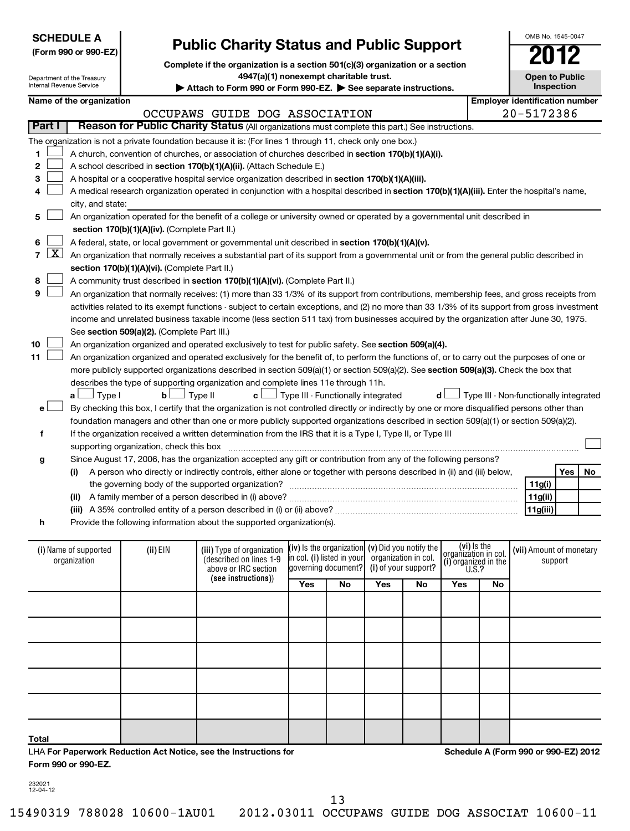|                                       | <b>SCHEDULE A</b><br>(Form 990 or 990-EZ)                     |                                               | <b>Public Charity Status and Public Support</b>                                                                                                                                            |                                                     |                     |                      |                      |                                     |    | OMB No. 1545-0047                      |    |
|---------------------------------------|---------------------------------------------------------------|-----------------------------------------------|--------------------------------------------------------------------------------------------------------------------------------------------------------------------------------------------|-----------------------------------------------------|---------------------|----------------------|----------------------|-------------------------------------|----|----------------------------------------|----|
|                                       | Department of the Treasury<br><b>Internal Revenue Service</b> |                                               | Complete if the organization is a section 501(c)(3) organization or a section<br>4947(a)(1) nonexempt charitable trust.<br>Attach to Form 990 or Form 990-EZ. > See separate instructions. |                                                     |                     |                      |                      |                                     |    | <b>Open to Public</b><br>Inspection    |    |
|                                       | Name of the organization                                      |                                               |                                                                                                                                                                                            |                                                     |                     |                      |                      |                                     |    | <b>Employer identification number</b>  |    |
|                                       |                                                               |                                               | OCCUPAWS GUIDE DOG ASSOCIATION                                                                                                                                                             |                                                     |                     |                      |                      |                                     |    | 20-5172386                             |    |
| Part I                                |                                                               |                                               | Reason for Public Charity Status (All organizations must complete this part.) See instructions.                                                                                            |                                                     |                     |                      |                      |                                     |    |                                        |    |
|                                       |                                                               |                                               | The organization is not a private foundation because it is: (For lines 1 through 11, check only one box.)                                                                                  |                                                     |                     |                      |                      |                                     |    |                                        |    |
| 1                                     |                                                               |                                               | A church, convention of churches, or association of churches described in section 170(b)(1)(A)(i).                                                                                         |                                                     |                     |                      |                      |                                     |    |                                        |    |
| 2                                     |                                                               |                                               | A school described in section 170(b)(1)(A)(ii). (Attach Schedule E.)                                                                                                                       |                                                     |                     |                      |                      |                                     |    |                                        |    |
| 3                                     |                                                               |                                               | A hospital or a cooperative hospital service organization described in section 170(b)(1)(A)(iii).                                                                                          |                                                     |                     |                      |                      |                                     |    |                                        |    |
|                                       |                                                               |                                               | A medical research organization operated in conjunction with a hospital described in section 170(b)(1)(A)(iii). Enter the hospital's name,                                                 |                                                     |                     |                      |                      |                                     |    |                                        |    |
|                                       | city, and state:                                              |                                               |                                                                                                                                                                                            |                                                     |                     |                      |                      |                                     |    |                                        |    |
| 5                                     |                                                               |                                               | An organization operated for the benefit of a college or university owned or operated by a governmental unit described in                                                                  |                                                     |                     |                      |                      |                                     |    |                                        |    |
|                                       |                                                               | section 170(b)(1)(A)(iv). (Complete Part II.) |                                                                                                                                                                                            |                                                     |                     |                      |                      |                                     |    |                                        |    |
| 6                                     |                                                               |                                               | A federal, state, or local government or governmental unit described in section 170(b)(1)(A)(v).                                                                                           |                                                     |                     |                      |                      |                                     |    |                                        |    |
| $\lfloor x \rfloor$<br>$\overline{7}$ |                                                               |                                               | An organization that normally receives a substantial part of its support from a governmental unit or from the general public described in                                                  |                                                     |                     |                      |                      |                                     |    |                                        |    |
|                                       |                                                               | section 170(b)(1)(A)(vi). (Complete Part II.) |                                                                                                                                                                                            |                                                     |                     |                      |                      |                                     |    |                                        |    |
| 8                                     |                                                               |                                               | A community trust described in section 170(b)(1)(A)(vi). (Complete Part II.)                                                                                                               |                                                     |                     |                      |                      |                                     |    |                                        |    |
| 9                                     |                                                               |                                               | An organization that normally receives: (1) more than 33 1/3% of its support from contributions, membership fees, and gross receipts from                                                  |                                                     |                     |                      |                      |                                     |    |                                        |    |
|                                       |                                                               |                                               | activities related to its exempt functions - subject to certain exceptions, and (2) no more than 33 1/3% of its support from gross investment                                              |                                                     |                     |                      |                      |                                     |    |                                        |    |
|                                       |                                                               |                                               | income and unrelated business taxable income (less section 511 tax) from businesses acquired by the organization after June 30, 1975.                                                      |                                                     |                     |                      |                      |                                     |    |                                        |    |
|                                       |                                                               | See section 509(a)(2). (Complete Part III.)   |                                                                                                                                                                                            |                                                     |                     |                      |                      |                                     |    |                                        |    |
| 10                                    |                                                               |                                               | An organization organized and operated exclusively to test for public safety. See section 509(a)(4).                                                                                       |                                                     |                     |                      |                      |                                     |    |                                        |    |
| 11                                    |                                                               |                                               | An organization organized and operated exclusively for the benefit of, to perform the functions of, or to carry out the purposes of one or                                                 |                                                     |                     |                      |                      |                                     |    |                                        |    |
|                                       |                                                               |                                               | more publicly supported organizations described in section 509(a)(1) or section 509(a)(2). See section 509(a)(3). Check the box that                                                       |                                                     |                     |                      |                      |                                     |    |                                        |    |
|                                       |                                                               |                                               | describes the type of supporting organization and complete lines 11e through 11h.                                                                                                          |                                                     |                     |                      |                      |                                     |    |                                        |    |
|                                       | $\Box$ Type I<br>a L                                          | $\Box$ Type II<br>bL                          | c L                                                                                                                                                                                        | $\Box$ Type III - Functionally integrated           |                     |                      |                      | d L                                 |    | Type III - Non-functionally integrated |    |
| e۱                                    |                                                               |                                               | By checking this box, I certify that the organization is not controlled directly or indirectly by one or more disqualified persons other than                                              |                                                     |                     |                      |                      |                                     |    |                                        |    |
|                                       |                                                               |                                               | foundation managers and other than one or more publicly supported organizations described in section 509(a)(1) or section 509(a)(2).                                                       |                                                     |                     |                      |                      |                                     |    |                                        |    |
| f                                     |                                                               |                                               | If the organization received a written determination from the IRS that it is a Type I, Type II, or Type III                                                                                |                                                     |                     |                      |                      |                                     |    |                                        |    |
|                                       |                                                               | supporting organization, check this box       |                                                                                                                                                                                            |                                                     |                     |                      |                      |                                     |    |                                        |    |
| g                                     |                                                               |                                               | Since August 17, 2006, has the organization accepted any gift or contribution from any of the following persons?                                                                           |                                                     |                     |                      |                      |                                     |    |                                        |    |
|                                       | (i)                                                           |                                               | A person who directly or indirectly controls, either alone or together with persons described in (ii) and (iii) below,                                                                     |                                                     |                     |                      |                      |                                     |    | Yes                                    | No |
|                                       |                                                               |                                               | the governing body of the supported organization?                                                                                                                                          |                                                     |                     |                      |                      |                                     |    | 11g(i)                                 |    |
|                                       |                                                               |                                               |                                                                                                                                                                                            |                                                     |                     |                      |                      |                                     |    | 11g(ii)                                |    |
|                                       |                                                               |                                               |                                                                                                                                                                                            |                                                     |                     |                      |                      |                                     |    | 11g(iii)                               |    |
| h                                     |                                                               |                                               | Provide the following information about the supported organization(s).                                                                                                                     |                                                     |                     |                      |                      |                                     |    |                                        |    |
|                                       |                                                               |                                               |                                                                                                                                                                                            |                                                     |                     |                      |                      |                                     |    |                                        |    |
|                                       | (i) Name of supported                                         | $(ii)$ EIN                                    | (iii) Type of organization                                                                                                                                                                 | $(iv)$ is the organization $(v)$ Did you notify the |                     |                      |                      | (vi) is the<br>organizátion in col. |    | (vii) Amount of monetary               |    |
|                                       | organization                                                  |                                               | (described on lines 1-9<br>above or IRC section                                                                                                                                            | in col. (i) listed in your                          | governing document? | organization in col. | (i) of your support? | (i) organized in the<br>U.S.?       |    | support                                |    |
|                                       |                                                               |                                               | (see instructions))                                                                                                                                                                        |                                                     |                     |                      |                      |                                     |    |                                        |    |
|                                       |                                                               |                                               |                                                                                                                                                                                            | Yes                                                 | No                  | Yes                  | No                   | Yes                                 | No |                                        |    |
|                                       |                                                               |                                               |                                                                                                                                                                                            |                                                     |                     |                      |                      |                                     |    |                                        |    |

| LHA For Paperwork Reduction Act Notice, see the Instructions for |
|------------------------------------------------------------------|
| Form 990 or 990-EZ.                                              |

**Schedule A (Form 990 or 990-EZ) 2012**

232021 12-04-12

**Total**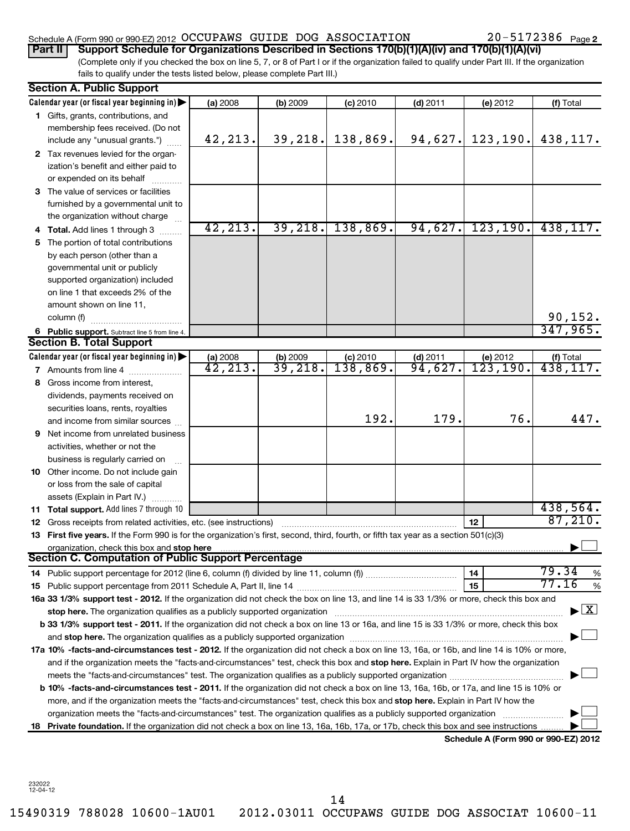## Schedule A (Form 990 or 990-EZ) 2012 Page OCCUPAWS GUIDE DOG ASSOCIATION 20-5172386

(Complete only if you checked the box on line 5, 7, or 8 of Part I or if the organization failed to qualify under Part III. If the organization fails to qualify under the tests listed below, please complete Part III.) **Part II Support Schedule for Organizations Described in Sections 170(b)(1)(A)(iv) and 170(b)(1)(A)(vi)**

|   | <b>Section A. Public Support</b>                                                                                                                                                                                              |                       |                       |            |            |                                      |                                    |
|---|-------------------------------------------------------------------------------------------------------------------------------------------------------------------------------------------------------------------------------|-----------------------|-----------------------|------------|------------|--------------------------------------|------------------------------------|
|   | Calendar year (or fiscal year beginning in)                                                                                                                                                                                   | (a) 2008              | (b) 2009              | $(c)$ 2010 | $(d)$ 2011 | (e) 2012                             | (f) Total                          |
|   | 1 Gifts, grants, contributions, and                                                                                                                                                                                           |                       |                       |            |            |                                      |                                    |
|   | membership fees received. (Do not                                                                                                                                                                                             |                       |                       |            |            |                                      |                                    |
|   | include any "unusual grants.")                                                                                                                                                                                                | 42,213.               | 39, 218.              | 138,869.   | 94,627.    | 123, 190.                            | 438,117.                           |
|   | 2 Tax revenues levied for the organ-                                                                                                                                                                                          |                       |                       |            |            |                                      |                                    |
|   | ization's benefit and either paid to                                                                                                                                                                                          |                       |                       |            |            |                                      |                                    |
|   | or expended on its behalf                                                                                                                                                                                                     |                       |                       |            |            |                                      |                                    |
|   | 3 The value of services or facilities                                                                                                                                                                                         |                       |                       |            |            |                                      |                                    |
|   | furnished by a governmental unit to                                                                                                                                                                                           |                       |                       |            |            |                                      |                                    |
|   | the organization without charge                                                                                                                                                                                               |                       |                       |            |            |                                      |                                    |
|   | <b>Total.</b> Add lines 1 through 3                                                                                                                                                                                           | 42, 213.              | 39, 218.              | 138,869.   | 94,627.    | 123, 190.                            | 438, 117.                          |
|   | 5 The portion of total contributions                                                                                                                                                                                          |                       |                       |            |            |                                      |                                    |
|   | by each person (other than a                                                                                                                                                                                                  |                       |                       |            |            |                                      |                                    |
|   | governmental unit or publicly                                                                                                                                                                                                 |                       |                       |            |            |                                      |                                    |
|   | supported organization) included                                                                                                                                                                                              |                       |                       |            |            |                                      |                                    |
|   | on line 1 that exceeds 2% of the                                                                                                                                                                                              |                       |                       |            |            |                                      |                                    |
|   | amount shown on line 11,                                                                                                                                                                                                      |                       |                       |            |            |                                      |                                    |
|   | column (f)<br>.                                                                                                                                                                                                               |                       |                       |            |            |                                      | $\frac{90,152}{347,965}$           |
|   | 6 Public support. Subtract line 5 from line 4.                                                                                                                                                                                |                       |                       |            |            |                                      |                                    |
|   | <b>Section B. Total Support</b>                                                                                                                                                                                               |                       |                       |            |            |                                      |                                    |
|   | Calendar year (or fiscal year beginning in)                                                                                                                                                                                   | (a) 2008              | $\frac{1}{39}$ , 218. | (c) 2010   | $(d)$ 2011 | (e) $2012$<br>$123, 190.$            | (f) Total                          |
|   | 7 Amounts from line 4                                                                                                                                                                                                         | $\overline{42,213}$ . |                       | 138,869.   | 94,627.    |                                      | $\overline{438,117.}$              |
|   | 8 Gross income from interest,                                                                                                                                                                                                 |                       |                       |            |            |                                      |                                    |
|   | dividends, payments received on                                                                                                                                                                                               |                       |                       |            |            |                                      |                                    |
|   | securities loans, rents, royalties                                                                                                                                                                                            |                       |                       |            |            |                                      |                                    |
|   | and income from similar sources                                                                                                                                                                                               |                       |                       | 192.       | 179.       | 76.                                  | 447.                               |
| 9 | Net income from unrelated business                                                                                                                                                                                            |                       |                       |            |            |                                      |                                    |
|   | activities, whether or not the                                                                                                                                                                                                |                       |                       |            |            |                                      |                                    |
|   | business is regularly carried on                                                                                                                                                                                              |                       |                       |            |            |                                      |                                    |
|   | 10 Other income. Do not include gain                                                                                                                                                                                          |                       |                       |            |            |                                      |                                    |
|   | or loss from the sale of capital                                                                                                                                                                                              |                       |                       |            |            |                                      |                                    |
|   | assets (Explain in Part IV.)                                                                                                                                                                                                  |                       |                       |            |            |                                      |                                    |
|   | <b>11 Total support.</b> Add lines 7 through 10                                                                                                                                                                               |                       |                       |            |            |                                      | 438,564.                           |
|   | 12 Gross receipts from related activities, etc. (see instructions)                                                                                                                                                            |                       |                       |            |            | 12                                   | 87,210.                            |
|   | 13 First five years. If the Form 990 is for the organization's first, second, third, fourth, or fifth tax year as a section 501(c)(3)                                                                                         |                       |                       |            |            |                                      |                                    |
|   | organization, check this box and stop here<br>Section C. Computation of Public Support Percentage                                                                                                                             |                       |                       |            |            |                                      |                                    |
|   |                                                                                                                                                                                                                               |                       |                       |            |            | 14                                   | 79.34                              |
|   |                                                                                                                                                                                                                               |                       |                       |            |            | 15                                   | %<br>77.16                         |
|   | 16a 33 1/3% support test - 2012. If the organization did not check the box on line 13, and line 14 is 33 1/3% or more, check this box and                                                                                     |                       |                       |            |            |                                      | %                                  |
|   | stop here. The organization qualifies as a publicly supported organization manufaction manufacture or the organization manufacture or the organization manufacture or the organization of the state of the state of the state |                       |                       |            |            |                                      | $\blacktriangleright$ $\mathbf{X}$ |
|   | b 33 1/3% support test - 2011. If the organization did not check a box on line 13 or 16a, and line 15 is 33 1/3% or more, check this box                                                                                      |                       |                       |            |            |                                      |                                    |
|   |                                                                                                                                                                                                                               |                       |                       |            |            |                                      |                                    |
|   | 17a 10% -facts-and-circumstances test - 2012. If the organization did not check a box on line 13, 16a, or 16b, and line 14 is 10% or more,                                                                                    |                       |                       |            |            |                                      |                                    |
|   | and if the organization meets the "facts-and-circumstances" test, check this box and stop here. Explain in Part IV how the organization                                                                                       |                       |                       |            |            |                                      |                                    |
|   | meets the "facts-and-circumstances" test. The organization qualifies as a publicly supported organization <i>[[[[[[[[]]</i>                                                                                                   |                       |                       |            |            |                                      |                                    |
|   | b 10% -facts-and-circumstances test - 2011. If the organization did not check a box on line 13, 16a, 16b, or 17a, and line 15 is 10% or                                                                                       |                       |                       |            |            |                                      |                                    |
|   | more, and if the organization meets the "facts-and-circumstances" test, check this box and stop here. Explain in Part IV how the                                                                                              |                       |                       |            |            |                                      |                                    |
|   | organization meets the "facts-and-circumstances" test. The organization qualifies as a publicly supported organization                                                                                                        |                       |                       |            |            |                                      |                                    |
|   | 18 Private foundation. If the organization did not check a box on line 13, 16a, 16b, 17a, or 17b, check this box and see instructions                                                                                         |                       |                       |            |            |                                      |                                    |
|   |                                                                                                                                                                                                                               |                       |                       |            |            | Schedule A (Form 990 or 990-EZ) 2012 |                                    |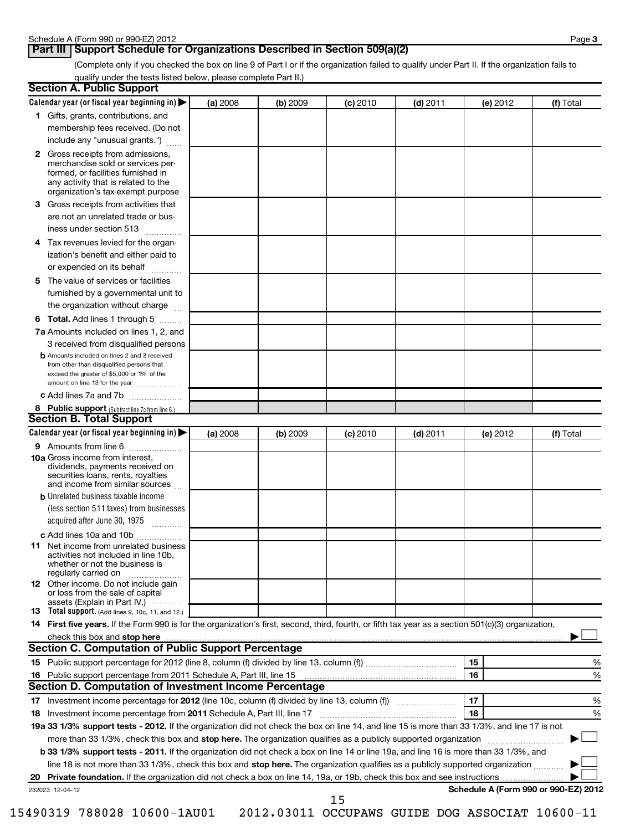## **Part III** Support Schedule for Organizations Described in Section 509(a)(2)

(Complete only if you checked the box on line 9 of Part I or if the organization failed to qualify under Part II. If the organization fails to qualify under the tests listed below, please complete Part II.)

|    | <b>Section A. Public Support</b>                                                                                                                                                                                               |          |          |            |            |                                      |           |
|----|--------------------------------------------------------------------------------------------------------------------------------------------------------------------------------------------------------------------------------|----------|----------|------------|------------|--------------------------------------|-----------|
|    | Calendar year (or fiscal year beginning in)                                                                                                                                                                                    | (a) 2008 | (b) 2009 | $(c)$ 2010 | $(d)$ 2011 | (e) 2012                             | (f) Total |
|    | 1 Gifts, grants, contributions, and                                                                                                                                                                                            |          |          |            |            |                                      |           |
|    | membership fees received. (Do not                                                                                                                                                                                              |          |          |            |            |                                      |           |
|    | include any "unusual grants.")                                                                                                                                                                                                 |          |          |            |            |                                      |           |
|    | <b>2</b> Gross receipts from admissions,<br>merchandise sold or services per-<br>formed, or facilities furnished in<br>any activity that is related to the<br>organization's tax-exempt purpose                                |          |          |            |            |                                      |           |
|    | 3 Gross receipts from activities that<br>are not an unrelated trade or bus-                                                                                                                                                    |          |          |            |            |                                      |           |
|    | iness under section 513                                                                                                                                                                                                        |          |          |            |            |                                      |           |
| 4  | Tax revenues levied for the organ-                                                                                                                                                                                             |          |          |            |            |                                      |           |
|    | ization's benefit and either paid to<br>or expended on its behalf                                                                                                                                                              |          |          |            |            |                                      |           |
|    | 5 The value of services or facilities                                                                                                                                                                                          |          |          |            |            |                                      |           |
|    | furnished by a governmental unit to<br>the organization without charge                                                                                                                                                         |          |          |            |            |                                      |           |
|    | <b>6 Total.</b> Add lines 1 through 5                                                                                                                                                                                          |          |          |            |            |                                      |           |
|    | 7a Amounts included on lines 1, 2, and                                                                                                                                                                                         |          |          |            |            |                                      |           |
|    | 3 received from disqualified persons                                                                                                                                                                                           |          |          |            |            |                                      |           |
|    | <b>b</b> Amounts included on lines 2 and 3 received<br>from other than disqualified persons that<br>exceed the greater of \$5,000 or 1% of the<br>amount on line 13 for the year                                               |          |          |            |            |                                      |           |
|    | c Add lines 7a and 7b                                                                                                                                                                                                          |          |          |            |            |                                      |           |
|    | 8 Public support (Subtract line 7c from line 6.)                                                                                                                                                                               |          |          |            |            |                                      |           |
|    | <b>Section B. Total Support</b>                                                                                                                                                                                                |          |          |            |            |                                      |           |
|    | Calendar year (or fiscal year beginning in)                                                                                                                                                                                    | (a) 2008 | (b) 2009 | (c) 2010   | $(d)$ 2011 | (e) 2012                             | (f) Total |
|    | 9 Amounts from line 6                                                                                                                                                                                                          |          |          |            |            |                                      |           |
|    | <b>10a</b> Gross income from interest,<br>dividends, payments received on<br>securities loans, rents, royalties<br>and income from similar sources                                                                             |          |          |            |            |                                      |           |
|    | <b>b</b> Unrelated business taxable income                                                                                                                                                                                     |          |          |            |            |                                      |           |
|    | (less section 511 taxes) from businesses<br>acquired after June 30, 1975<br>$\overline{\phantom{a}}$                                                                                                                           |          |          |            |            |                                      |           |
|    | c Add lines 10a and 10b                                                                                                                                                                                                        |          |          |            |            |                                      |           |
|    | <b>11</b> Net income from unrelated business<br>activities not included in line 10b,<br>whether or not the business is<br>regularly carried on                                                                                 |          |          |            |            |                                      |           |
|    | 12 Other income. Do not include gain<br>or loss from the sale of capital<br>assets (Explain in Part IV.)                                                                                                                       |          |          |            |            |                                      |           |
|    | <b>13</b> Total support. (Add lines 9, 10c, 11, and 12.)                                                                                                                                                                       |          |          |            |            |                                      |           |
|    | 14 First five years. If the Form 990 is for the organization's first, second, third, fourth, or fifth tax year as a section 501(c)(3) organization,                                                                            |          |          |            |            |                                      |           |
|    | check this box and stop here with the continuum control of the state of the state of the state of the state of the state of the state of the state of the state of the state of the state of the state of the state of the sta |          |          |            |            |                                      |           |
|    | <b>Section C. Computation of Public Support Percentage</b>                                                                                                                                                                     |          |          |            |            |                                      |           |
|    |                                                                                                                                                                                                                                |          |          |            |            | 15                                   | %         |
|    |                                                                                                                                                                                                                                |          |          |            |            | 16                                   | %         |
|    | Section D. Computation of Investment Income Percentage                                                                                                                                                                         |          |          |            |            |                                      |           |
|    |                                                                                                                                                                                                                                |          |          |            |            | 17                                   | %         |
|    | 18 Investment income percentage from 2011 Schedule A, Part III, line 17                                                                                                                                                        |          |          |            |            | 18                                   | %         |
|    | 19a 33 1/3% support tests - 2012. If the organization did not check the box on line 14, and line 15 is more than 33 1/3%, and line 17 is not                                                                                   |          |          |            |            |                                      |           |
|    | more than 33 1/3%, check this box and stop here. The organization qualifies as a publicly supported organization                                                                                                               |          |          |            |            |                                      |           |
|    | b 33 1/3% support tests - 2011. If the organization did not check a box on line 14 or line 19a, and line 16 is more than 33 1/3%, and                                                                                          |          |          |            |            |                                      |           |
|    | line 18 is not more than 33 1/3%, check this box and stop here. The organization qualifies as a publicly supported organization                                                                                                |          |          |            |            |                                      |           |
| 20 |                                                                                                                                                                                                                                |          |          |            |            |                                      |           |
|    | 232023 12-04-12                                                                                                                                                                                                                |          |          | 1 E        |            | Schedule A (Form 990 or 990-EZ) 2012 |           |

15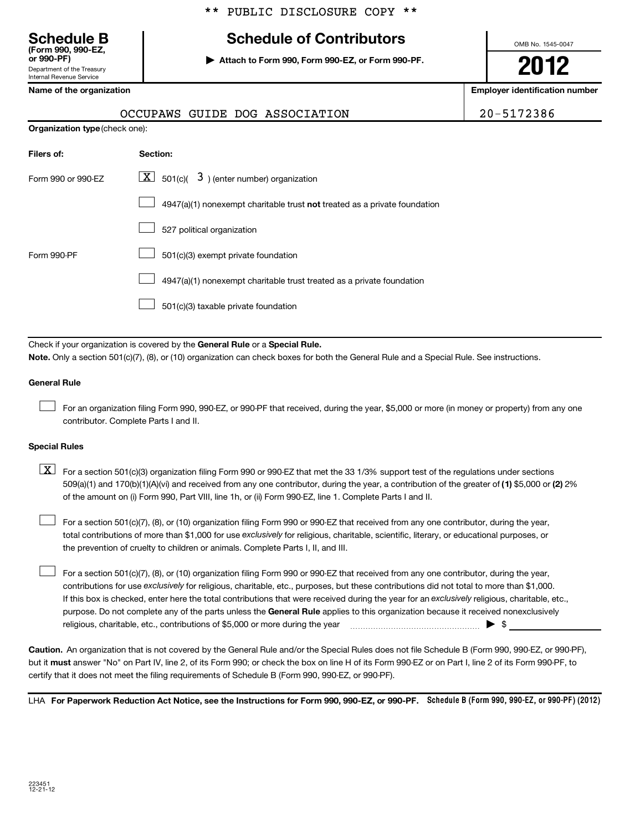# **Schedule B Schedule of Contributors**

**or 990-PF) | Attach to Form 990, Form 990-EZ, or Form 990-PF.**

OCCUPAWS GUIDE DOG ASSOCIATION 20-5172386

OMB No. 1545-0047

**2012**

**Name of the organization Employer identification number**

| or 990-PF)                 |
|----------------------------|
| Department of the Treasurv |
| Internal Revenue Service   |

**(Form 990, 990-EZ,**

| <b>Organization type (check one):</b> |                                                                             |
|---------------------------------------|-----------------------------------------------------------------------------|
| Filers of:                            | Section:                                                                    |
| Form 990 or 990-EZ                    | $\lfloor \underline{X} \rfloor$ 501(c)( 3) (enter number) organization      |
|                                       | $4947(a)(1)$ nonexempt charitable trust not treated as a private foundation |
|                                       | 527 political organization                                                  |
| Form 990-PF                           | 501(c)(3) exempt private foundation                                         |
|                                       | 4947(a)(1) nonexempt charitable trust treated as a private foundation       |
|                                       | 501(c)(3) taxable private foundation                                        |

Check if your organization is covered by the General Rule or a Special Rule. **Note.**  Only a section 501(c)(7), (8), or (10) organization can check boxes for both the General Rule and a Special Rule. See instructions.

#### **General Rule**

For an organization filing Form 990, 990-EZ, or 990-PF that received, during the year, \$5,000 or more (in money or property) from any one contributor. Complete Parts I and II.  $\pm$ 

#### **Special Rules**

509(a)(1) and 170(b)(1)(A)(vi) and received from any one contributor, during the year, a contribution of the greater of (1**)** \$5,000 or (**2**) 2%  $\boxed{\textbf{X}}$  For a section 501(c)(3) organization filing Form 990 or 990-EZ that met the 33 1/3% support test of the regulations under sections of the amount on (i) Form 990, Part VIII, line 1h, or (ii) Form 990-EZ, line 1. Complete Parts I and II.

total contributions of more than \$1,000 for use exclusively for religious, charitable, scientific, literary, or educational purposes, or For a section 501(c)(7), (8), or (10) organization filing Form 990 or 990-EZ that received from any one contributor, during the year, the prevention of cruelty to children or animals. Complete Parts I, II, and III.  $\pm$ 

purpose. Do not complete any of the parts unless the General Rule applies to this organization because it received nonexclusively contributions for use exclusively for religious, charitable, etc., purposes, but these contributions did not total to more than \$1,000. If this box is checked, enter here the total contributions that were received during the year for an exclusively religious, charitable, etc., For a section 501(c)(7), (8), or (10) organization filing Form 990 or 990-EZ that received from any one contributor, during the year, religious, charitable, etc., contributions of \$5,000 or more during the year  $\ldots$   $\ldots$   $\ldots$   $\ldots$   $\ldots$   $\ldots$   $\ldots$   $\ldots$   $\blacktriangleright$   $\uparrow$  $\pm$ 

**Caution.** An organization that is not covered by the General Rule and/or the Special Rules does not file Schedule B (Form 990, 990-EZ, or 990-PF), but it **must** answer "No" on Part IV, line 2, of its Form 990; or check the box on line H of its Form 990-EZ or on Part I, line 2 of its Form 990-PF, to certify that it does not meet the filing requirements of Schedule B (Form 990, 990-EZ, or 990-PF).

LHA For Paperwork Reduction Act Notice, see the Instructions for Form 990, 990-EZ, or 990-PF. Schedule B (Form 990, 990-EZ, or 990-PF) (2012)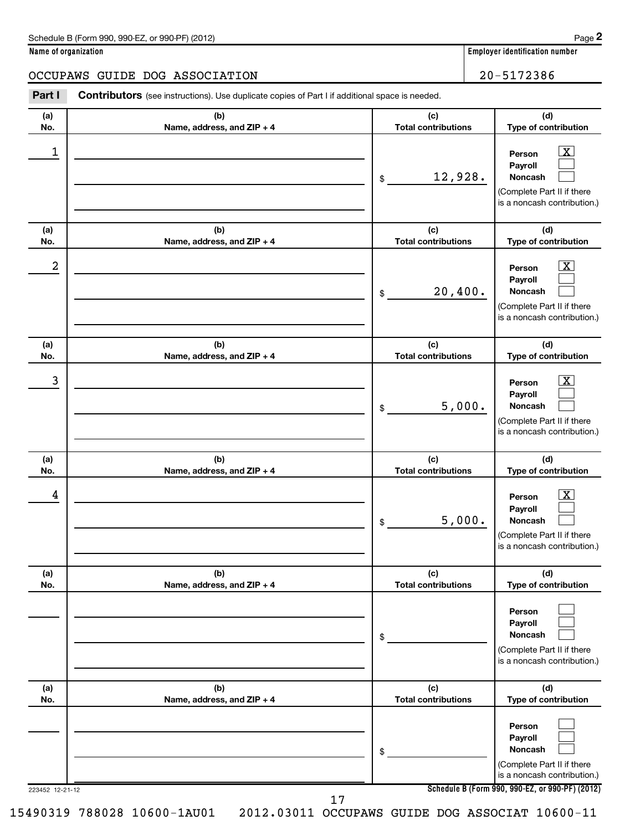#### **Name of organization Employer identification number**

### OCCUPAWS GUIDE DOG ASSOCIATION | 20-5172386

| Part I          | <b>Contributors</b> (see instructions). Use duplicate copies of Part I if additional space is needed. |                                   |                                                                                                                                                     |
|-----------------|-------------------------------------------------------------------------------------------------------|-----------------------------------|-----------------------------------------------------------------------------------------------------------------------------------------------------|
| (a)<br>No.      | (b)<br>Name, address, and ZIP + 4                                                                     | (c)<br><b>Total contributions</b> | (d)<br>Type of contribution                                                                                                                         |
| 1               |                                                                                                       | 12,928.<br>\$                     | $\mathbf{X}$<br>Person<br>Payroll<br>Noncash<br>(Complete Part II if there<br>is a noncash contribution.)                                           |
| (a)<br>No.      | (b)<br>Name, address, and ZIP + 4                                                                     | (c)<br><b>Total contributions</b> | (d)<br>Type of contribution                                                                                                                         |
| 2               |                                                                                                       | 20,400.<br>\$                     | $\mathbf{X}$<br>Person<br>Payroll<br>Noncash<br>(Complete Part II if there<br>is a noncash contribution.)                                           |
| (a)<br>No.      | (b)<br>Name, address, and ZIP + 4                                                                     | (c)<br><b>Total contributions</b> | (d)<br>Type of contribution                                                                                                                         |
| 3               |                                                                                                       | 5,000.<br>\$                      | $\mathbf{X}$<br>Person<br>Payroll<br>Noncash<br>(Complete Part II if there<br>is a noncash contribution.)                                           |
| (a)<br>No.      | (b)<br>Name, address, and ZIP + 4                                                                     | (c)<br><b>Total contributions</b> | (d)<br>Type of contribution                                                                                                                         |
| 4               |                                                                                                       | 5,000.<br>\$                      | $\mathbf{X}$<br>Person<br>Payroll<br>Noncash<br>(Complete Part II if there<br>is a noncash contribution.)                                           |
| (a)<br>No.      | (b)<br>Name, address, and ZIP + 4                                                                     | (c)<br><b>Total contributions</b> | (d)<br>Type of contribution                                                                                                                         |
|                 |                                                                                                       | \$                                | Person<br>Payroll<br><b>Noncash</b><br>(Complete Part II if there<br>is a noncash contribution.)                                                    |
| (a)<br>No.      | (b)<br>Name, address, and ZIP + 4                                                                     | (c)<br><b>Total contributions</b> | (d)<br>Type of contribution                                                                                                                         |
| 223452 12-21-12 |                                                                                                       | \$                                | Person<br>Payroll<br><b>Noncash</b><br>(Complete Part II if there<br>is a noncash contribution.)<br>Schedule B (Form 990, 990-EZ, or 990-PF) (2012) |

17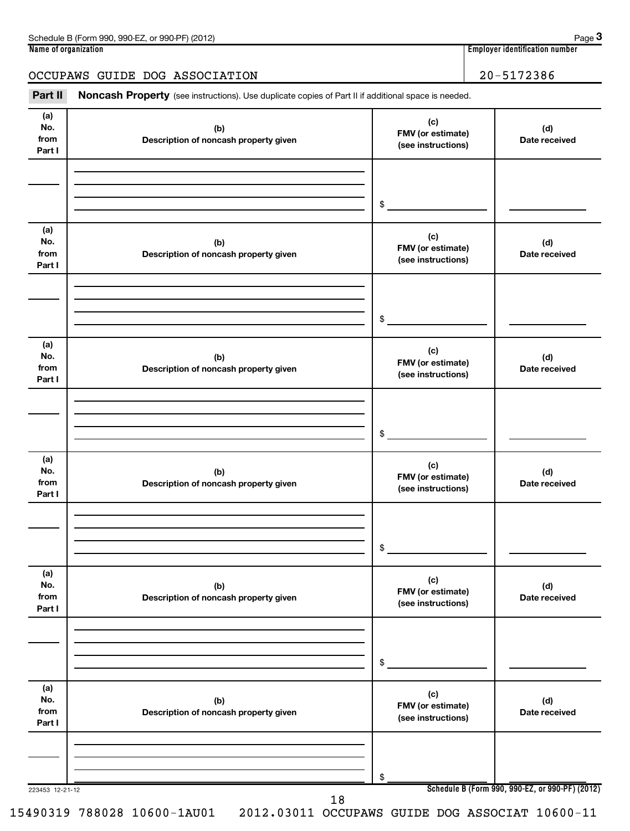| Schedule B (Form 990, 990-EZ, or 990-PF) (2012) | Page                           |
|-------------------------------------------------|--------------------------------|
| Name of organization                            | Emplover identification number |
|                                                 |                                |
| OCCUPAWS GUIDE DOG ASSOCIATION                  | 20-5172386                     |
|                                                 |                                |

**3**

Part II Noncash Property (see instructions). Use duplicate copies of Part II if additional space is needed.

| (a)<br>No.<br>from<br>Part I | (b)<br>Description of noncash property given | (c)<br>FMV (or estimate)<br>(see instructions) | (d)<br>Date received                            |
|------------------------------|----------------------------------------------|------------------------------------------------|-------------------------------------------------|
|                              |                                              |                                                |                                                 |
|                              |                                              | \$                                             |                                                 |
| (a)<br>No.<br>from<br>Part I | (b)<br>Description of noncash property given | (c)<br>FMV (or estimate)<br>(see instructions) | (d)<br>Date received                            |
|                              |                                              |                                                |                                                 |
|                              |                                              | $\sim$                                         |                                                 |
| (a)<br>No.<br>from<br>Part I | (b)<br>Description of noncash property given | (c)<br>FMV (or estimate)<br>(see instructions) | (d)<br>Date received                            |
|                              |                                              |                                                |                                                 |
|                              |                                              | $\sim$                                         |                                                 |
| (a)<br>No.<br>from<br>Part I | (b)<br>Description of noncash property given | (c)<br>FMV (or estimate)<br>(see instructions) | (d)<br>Date received                            |
|                              |                                              |                                                |                                                 |
|                              |                                              | $\frac{1}{2}$                                  |                                                 |
| (a)<br>No.<br>from<br>Part I | (b)<br>Description of noncash property given | (c)<br>FMV (or estimate)<br>(see instructions) | (d)<br>Date received                            |
|                              |                                              |                                                |                                                 |
|                              |                                              | \$                                             |                                                 |
| (a)<br>No.<br>from<br>Part I | (b)<br>Description of noncash property given | (c)<br>FMV (or estimate)<br>(see instructions) | (d)<br>Date received                            |
|                              |                                              |                                                |                                                 |
|                              |                                              | \$                                             |                                                 |
| 223453 12-21-12              | 18                                           |                                                | Schedule B (Form 990, 990-EZ, or 990-PF) (2012) |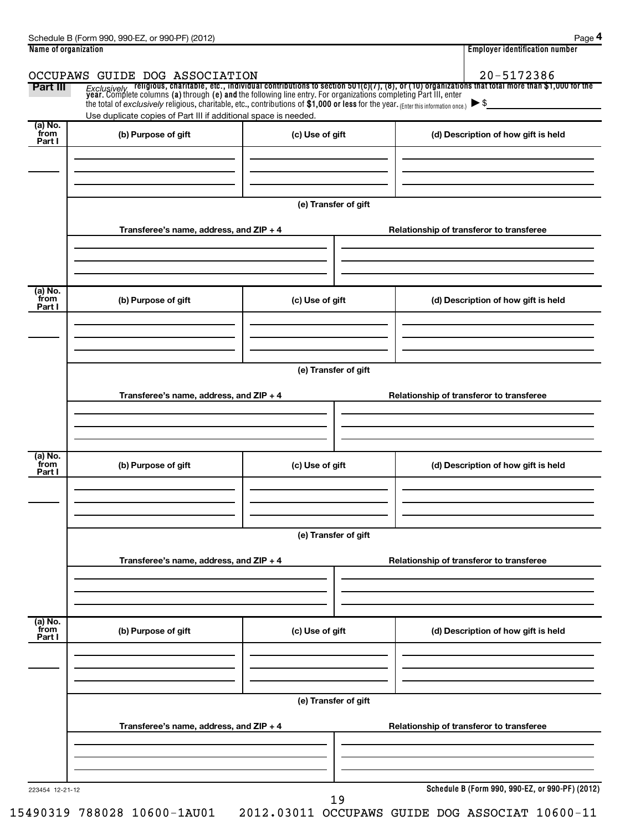| 20-5172386<br>OCCUPAWS GUIDE DOG ASSOCIATION<br>Exclusively religious, charitable, etc., individual contributions to section 501(c)(7), (8), or (10) organizations that total more than \$1,000 for the<br>year. Complete columns (a) through (e) and the following line entry. Fo<br>Part III<br>the total of exclusively religious, charitable, etc., contributions of \$1,000 or less for the year. (Enter this information once.)<br>$\blacktriangleright$ \$<br>Use duplicate copies of Part III if additional space is needed.<br>(a) No.<br>from<br>(b) Purpose of gift<br>(c) Use of gift<br>(d) Description of how gift is held<br>Part I<br>(e) Transfer of gift<br>Transferee's name, address, and ZIP + 4<br>Relationship of transferor to transferee |
|-------------------------------------------------------------------------------------------------------------------------------------------------------------------------------------------------------------------------------------------------------------------------------------------------------------------------------------------------------------------------------------------------------------------------------------------------------------------------------------------------------------------------------------------------------------------------------------------------------------------------------------------------------------------------------------------------------------------------------------------------------------------|
|                                                                                                                                                                                                                                                                                                                                                                                                                                                                                                                                                                                                                                                                                                                                                                   |
|                                                                                                                                                                                                                                                                                                                                                                                                                                                                                                                                                                                                                                                                                                                                                                   |
|                                                                                                                                                                                                                                                                                                                                                                                                                                                                                                                                                                                                                                                                                                                                                                   |
|                                                                                                                                                                                                                                                                                                                                                                                                                                                                                                                                                                                                                                                                                                                                                                   |
|                                                                                                                                                                                                                                                                                                                                                                                                                                                                                                                                                                                                                                                                                                                                                                   |
|                                                                                                                                                                                                                                                                                                                                                                                                                                                                                                                                                                                                                                                                                                                                                                   |
|                                                                                                                                                                                                                                                                                                                                                                                                                                                                                                                                                                                                                                                                                                                                                                   |
|                                                                                                                                                                                                                                                                                                                                                                                                                                                                                                                                                                                                                                                                                                                                                                   |
|                                                                                                                                                                                                                                                                                                                                                                                                                                                                                                                                                                                                                                                                                                                                                                   |
| (a) No.                                                                                                                                                                                                                                                                                                                                                                                                                                                                                                                                                                                                                                                                                                                                                           |
| from<br>(c) Use of gift<br>(b) Purpose of gift<br>(d) Description of how gift is held<br>Part I                                                                                                                                                                                                                                                                                                                                                                                                                                                                                                                                                                                                                                                                   |
|                                                                                                                                                                                                                                                                                                                                                                                                                                                                                                                                                                                                                                                                                                                                                                   |
| (e) Transfer of gift                                                                                                                                                                                                                                                                                                                                                                                                                                                                                                                                                                                                                                                                                                                                              |
| Transferee's name, address, and ZIP + 4                                                                                                                                                                                                                                                                                                                                                                                                                                                                                                                                                                                                                                                                                                                           |
| Relationship of transferor to transferee                                                                                                                                                                                                                                                                                                                                                                                                                                                                                                                                                                                                                                                                                                                          |
|                                                                                                                                                                                                                                                                                                                                                                                                                                                                                                                                                                                                                                                                                                                                                                   |
| (a) No.                                                                                                                                                                                                                                                                                                                                                                                                                                                                                                                                                                                                                                                                                                                                                           |
| from<br>(b) Purpose of gift<br>(c) Use of gift<br>(d) Description of how gift is held<br>Part I                                                                                                                                                                                                                                                                                                                                                                                                                                                                                                                                                                                                                                                                   |
|                                                                                                                                                                                                                                                                                                                                                                                                                                                                                                                                                                                                                                                                                                                                                                   |
|                                                                                                                                                                                                                                                                                                                                                                                                                                                                                                                                                                                                                                                                                                                                                                   |
| (e) Transfer of gift                                                                                                                                                                                                                                                                                                                                                                                                                                                                                                                                                                                                                                                                                                                                              |
| Transferee's name, address, and ZIP + 4<br>Relationship of transferor to transferee                                                                                                                                                                                                                                                                                                                                                                                                                                                                                                                                                                                                                                                                               |
|                                                                                                                                                                                                                                                                                                                                                                                                                                                                                                                                                                                                                                                                                                                                                                   |
| (a) No.                                                                                                                                                                                                                                                                                                                                                                                                                                                                                                                                                                                                                                                                                                                                                           |
| from<br>(c) Use of gift<br>(b) Purpose of gift<br>(d) Description of how gift is held<br>Part I                                                                                                                                                                                                                                                                                                                                                                                                                                                                                                                                                                                                                                                                   |
|                                                                                                                                                                                                                                                                                                                                                                                                                                                                                                                                                                                                                                                                                                                                                                   |
|                                                                                                                                                                                                                                                                                                                                                                                                                                                                                                                                                                                                                                                                                                                                                                   |
| (e) Transfer of gift                                                                                                                                                                                                                                                                                                                                                                                                                                                                                                                                                                                                                                                                                                                                              |
| Transferee's name, address, and ZIP + 4<br>Relationship of transferor to transferee                                                                                                                                                                                                                                                                                                                                                                                                                                                                                                                                                                                                                                                                               |
|                                                                                                                                                                                                                                                                                                                                                                                                                                                                                                                                                                                                                                                                                                                                                                   |
| Schedule B (Form 990, 990-EZ, or 990-PF) (2012)<br>223454 12-21-12                                                                                                                                                                                                                                                                                                                                                                                                                                                                                                                                                                                                                                                                                                |

19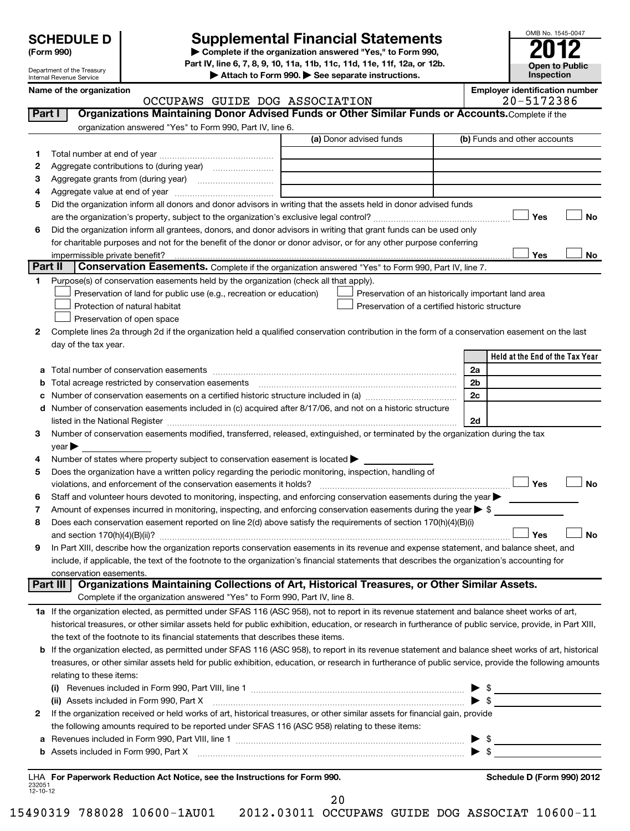Department of the Treasury Internal Revenue Service

# **Supplemental Financial Statements**

**(Form 990) | Complete if the organization answered "Yes," to Form 990, Part IV, line 6, 7, 8, 9, 10, 11a, 11b, 11c, 11d, 11e, 11f, 12a, or 12b.**

**| Attach to Form 990. | See separate instructions.**

**Open to Public Inspection**

OMB No. 1545-0047

|  | Name of the organization |
|--|--------------------------|

|                    | Name of the organization<br>OCCUPAWS GUIDE DOG ASSOCIATION                                                                                                                                                                     | <b>Employer identification number</b><br>20-5172386 |
|--------------------|--------------------------------------------------------------------------------------------------------------------------------------------------------------------------------------------------------------------------------|-----------------------------------------------------|
| Part I             | Organizations Maintaining Donor Advised Funds or Other Similar Funds or Accounts. Complete if the                                                                                                                              |                                                     |
|                    | organization answered "Yes" to Form 990, Part IV, line 6.                                                                                                                                                                      |                                                     |
|                    | (a) Donor advised funds                                                                                                                                                                                                        | (b) Funds and other accounts                        |
| 1.                 |                                                                                                                                                                                                                                |                                                     |
| 2                  |                                                                                                                                                                                                                                |                                                     |
| з                  |                                                                                                                                                                                                                                |                                                     |
| 4                  |                                                                                                                                                                                                                                |                                                     |
| 5                  | Did the organization inform all donors and donor advisors in writing that the assets held in donor advised funds                                                                                                               |                                                     |
|                    |                                                                                                                                                                                                                                | Yes<br><b>No</b>                                    |
| 6                  | Did the organization inform all grantees, donors, and donor advisors in writing that grant funds can be used only                                                                                                              |                                                     |
|                    | for charitable purposes and not for the benefit of the donor or donor advisor, or for any other purpose conferring                                                                                                             |                                                     |
|                    |                                                                                                                                                                                                                                | Yes<br>No                                           |
| Part II            | Conservation Easements. Complete if the organization answered "Yes" to Form 990, Part IV, line 7.                                                                                                                              |                                                     |
| 1.                 | Purpose(s) of conservation easements held by the organization (check all that apply).                                                                                                                                          |                                                     |
|                    | Preservation of land for public use (e.g., recreation or education)<br>Preservation of an historically important land area                                                                                                     |                                                     |
|                    | Protection of natural habitat<br>Preservation of a certified historic structure                                                                                                                                                |                                                     |
|                    | Preservation of open space                                                                                                                                                                                                     |                                                     |
| 2                  | Complete lines 2a through 2d if the organization held a qualified conservation contribution in the form of a conservation easement on the last                                                                                 |                                                     |
|                    | day of the tax year.                                                                                                                                                                                                           |                                                     |
|                    |                                                                                                                                                                                                                                | Held at the End of the Tax Year                     |
| а                  |                                                                                                                                                                                                                                | 2a                                                  |
| b                  |                                                                                                                                                                                                                                | 2 <sub>b</sub>                                      |
| с                  |                                                                                                                                                                                                                                | 2c                                                  |
| d                  | Number of conservation easements included in (c) acquired after 8/17/06, and not on a historic structure                                                                                                                       |                                                     |
|                    |                                                                                                                                                                                                                                | 2d                                                  |
| 3                  | Number of conservation easements modified, transferred, released, extinguished, or terminated by the organization during the tax                                                                                               |                                                     |
|                    | year                                                                                                                                                                                                                           |                                                     |
| 4                  | Number of states where property subject to conservation easement is located >                                                                                                                                                  |                                                     |
| 5                  | Does the organization have a written policy regarding the periodic monitoring, inspection, handling of                                                                                                                         |                                                     |
|                    |                                                                                                                                                                                                                                | Yes<br><b>No</b>                                    |
| 6                  | Staff and volunteer hours devoted to monitoring, inspecting, and enforcing conservation easements during the year                                                                                                              |                                                     |
| 7                  | Amount of expenses incurred in monitoring, inspecting, and enforcing conservation easements during the year $\triangleright$ \$                                                                                                |                                                     |
| 8                  | Does each conservation easement reported on line 2(d) above satisfy the requirements of section 170(h)(4)(B)(i)                                                                                                                |                                                     |
|                    |                                                                                                                                                                                                                                | Yes<br><b>No</b>                                    |
| 9                  | In Part XIII, describe how the organization reports conservation easements in its revenue and expense statement, and balance sheet, and                                                                                        |                                                     |
|                    | include, if applicable, the text of the footnote to the organization's financial statements that describes the organization's accounting for                                                                                   |                                                     |
|                    | conservation easements.                                                                                                                                                                                                        |                                                     |
| Part III           | Organizations Maintaining Collections of Art, Historical Treasures, or Other Similar Assets.                                                                                                                                   |                                                     |
|                    | Complete if the organization answered "Yes" to Form 990, Part IV, line 8.                                                                                                                                                      |                                                     |
|                    | 1a If the organization elected, as permitted under SFAS 116 (ASC 958), not to report in its revenue statement and balance sheet works of art,                                                                                  |                                                     |
|                    | historical treasures, or other similar assets held for public exhibition, education, or research in furtherance of public service, provide, in Part XIII,                                                                      |                                                     |
|                    | the text of the footnote to its financial statements that describes these items.                                                                                                                                               |                                                     |
|                    | b If the organization elected, as permitted under SFAS 116 (ASC 958), to report in its revenue statement and balance sheet works of art, historical                                                                            |                                                     |
|                    | treasures, or other similar assets held for public exhibition, education, or research in furtherance of public service, provide the following amounts                                                                          |                                                     |
|                    | relating to these items:                                                                                                                                                                                                       |                                                     |
|                    |                                                                                                                                                                                                                                | $\bullet$                                           |
|                    | (ii) Assets included in Form 990, Part X                                                                                                                                                                                       | - \$                                                |
| 2                  | If the organization received or held works of art, historical treasures, or other similar assets for financial gain, provide                                                                                                   |                                                     |
|                    | the following amounts required to be reported under SFAS 116 (ASC 958) relating to these items:                                                                                                                                |                                                     |
| а                  |                                                                                                                                                                                                                                | - \$                                                |
| b                  | Assets included in Form 990, Part X [11] Martin March 1990, Part X [11] Martin Martin Martin Martin March 1990, Part X [11] Martin Martin Martin March 1990, Part X [11] Martin March 1990, Part X [11] Martin March 1990, Par | - \$                                                |
|                    |                                                                                                                                                                                                                                |                                                     |
|                    | LHA For Paperwork Reduction Act Notice, see the Instructions for Form 990.                                                                                                                                                     | <b>Schedule D (Form 990) 2012</b>                   |
| 232051<br>12-10-12 |                                                                                                                                                                                                                                |                                                     |

20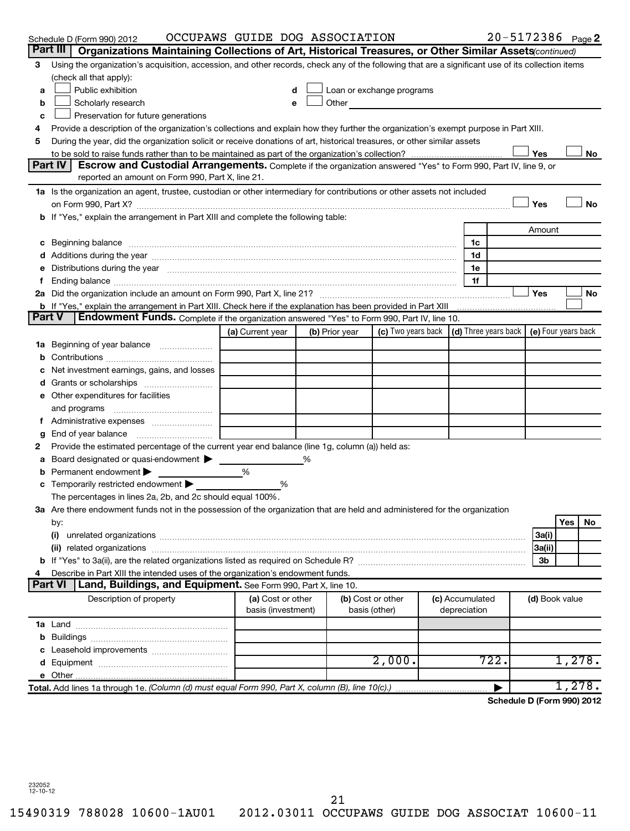|        | Schedule D (Form 990) 2012                                                                                                                                                                                                     | OCCUPAWS GUIDE DOG ASSOCIATION |                |                                                                                                                                                                                                                                |                 | 20-5172386 Page 2          |                |            |        |
|--------|--------------------------------------------------------------------------------------------------------------------------------------------------------------------------------------------------------------------------------|--------------------------------|----------------|--------------------------------------------------------------------------------------------------------------------------------------------------------------------------------------------------------------------------------|-----------------|----------------------------|----------------|------------|--------|
|        | Part III<br>Organizations Maintaining Collections of Art, Historical Treasures, or Other Similar Assets (continued)                                                                                                            |                                |                |                                                                                                                                                                                                                                |                 |                            |                |            |        |
| 3      | Using the organization's acquisition, accession, and other records, check any of the following that are a significant use of its collection items                                                                              |                                |                |                                                                                                                                                                                                                                |                 |                            |                |            |        |
|        | (check all that apply):                                                                                                                                                                                                        |                                |                |                                                                                                                                                                                                                                |                 |                            |                |            |        |
| a      | Public exhibition                                                                                                                                                                                                              |                                |                | Loan or exchange programs                                                                                                                                                                                                      |                 |                            |                |            |        |
| b      | Scholarly research                                                                                                                                                                                                             |                                |                | Other and the control of the control of the control of the control of the control of the control of the control of the control of the control of the control of the control of the control of the control of the control of th |                 |                            |                |            |        |
| c      | Preservation for future generations                                                                                                                                                                                            |                                |                |                                                                                                                                                                                                                                |                 |                            |                |            |        |
| 4      | Provide a description of the organization's collections and explain how they further the organization's exempt purpose in Part XIII.                                                                                           |                                |                |                                                                                                                                                                                                                                |                 |                            |                |            |        |
| 5      | During the year, did the organization solicit or receive donations of art, historical treasures, or other similar assets                                                                                                       |                                |                |                                                                                                                                                                                                                                |                 |                            |                |            |        |
|        |                                                                                                                                                                                                                                |                                |                |                                                                                                                                                                                                                                |                 |                            | Yes            |            | No     |
|        | Part IV<br><b>Escrow and Custodial Arrangements.</b> Complete if the organization answered "Yes" to Form 990, Part IV, line 9, or                                                                                              |                                |                |                                                                                                                                                                                                                                |                 |                            |                |            |        |
|        | reported an amount on Form 990, Part X, line 21.                                                                                                                                                                               |                                |                |                                                                                                                                                                                                                                |                 |                            |                |            |        |
|        | 1a Is the organization an agent, trustee, custodian or other intermediary for contributions or other assets not included                                                                                                       |                                |                |                                                                                                                                                                                                                                |                 |                            |                |            |        |
|        |                                                                                                                                                                                                                                |                                |                |                                                                                                                                                                                                                                |                 |                            | Yes            |            | No     |
|        | b If "Yes," explain the arrangement in Part XIII and complete the following table:                                                                                                                                             |                                |                |                                                                                                                                                                                                                                |                 |                            |                |            |        |
|        |                                                                                                                                                                                                                                |                                |                |                                                                                                                                                                                                                                |                 |                            | Amount         |            |        |
|        | c Beginning balance measurements and the contract of the contract of the contract of the contract of the contract of the contract of the contract of the contract of the contract of the contract of the contract of the contr |                                |                |                                                                                                                                                                                                                                | 1c              |                            |                |            |        |
|        |                                                                                                                                                                                                                                |                                |                |                                                                                                                                                                                                                                | 1d              |                            |                |            |        |
|        | Distributions during the year manufactured and an account of the year manufactured and the year manufactured and the year manufactured and the year manufactured and the year manufactured and the year manufactured and the y |                                |                |                                                                                                                                                                                                                                | 1e              |                            |                |            |        |
|        |                                                                                                                                                                                                                                |                                |                |                                                                                                                                                                                                                                | 1f              |                            |                |            |        |
|        |                                                                                                                                                                                                                                |                                |                |                                                                                                                                                                                                                                |                 |                            | Yes            |            | No     |
|        | b If "Yes," explain the arrangement in Part XIII. Check here if the explanation has been provided in Part XIII<br><b>Part V</b>                                                                                                |                                |                |                                                                                                                                                                                                                                |                 |                            |                |            |        |
|        | Endowment Funds. Complete if the organization answered "Yes" to Form 990, Part IV, line 10.                                                                                                                                    |                                |                |                                                                                                                                                                                                                                |                 |                            |                |            |        |
|        |                                                                                                                                                                                                                                | (a) Current year               | (b) Prior year | (c) Two years back $\vert$ (d) Three years back $\vert$ (e) Four years back                                                                                                                                                    |                 |                            |                |            |        |
|        |                                                                                                                                                                                                                                |                                |                |                                                                                                                                                                                                                                |                 |                            |                |            |        |
|        |                                                                                                                                                                                                                                |                                |                |                                                                                                                                                                                                                                |                 |                            |                |            |        |
|        | Net investment earnings, gains, and losses                                                                                                                                                                                     |                                |                |                                                                                                                                                                                                                                |                 |                            |                |            |        |
|        |                                                                                                                                                                                                                                |                                |                |                                                                                                                                                                                                                                |                 |                            |                |            |        |
|        | e Other expenditures for facilities                                                                                                                                                                                            |                                |                |                                                                                                                                                                                                                                |                 |                            |                |            |        |
|        | and programs                                                                                                                                                                                                                   |                                |                |                                                                                                                                                                                                                                |                 |                            |                |            |        |
|        |                                                                                                                                                                                                                                |                                |                |                                                                                                                                                                                                                                |                 |                            |                |            |        |
| g<br>2 | End of year balance<br>Provide the estimated percentage of the current year end balance (line 1g, column (a)) held as:                                                                                                         |                                |                |                                                                                                                                                                                                                                |                 |                            |                |            |        |
|        | Board designated or quasi-endowment >                                                                                                                                                                                          |                                |                |                                                                                                                                                                                                                                |                 |                            |                |            |        |
| а<br>b | Permanent endowment                                                                                                                                                                                                            | %                              |                |                                                                                                                                                                                                                                |                 |                            |                |            |        |
|        | c Temporarily restricted endowment                                                                                                                                                                                             | %                              |                |                                                                                                                                                                                                                                |                 |                            |                |            |        |
|        | The percentages in lines 2a, 2b, and 2c should equal 100%.                                                                                                                                                                     |                                |                |                                                                                                                                                                                                                                |                 |                            |                |            |        |
|        | 3a Are there endowment funds not in the possession of the organization that are held and administered for the organization                                                                                                     |                                |                |                                                                                                                                                                                                                                |                 |                            |                |            |        |
|        | by:                                                                                                                                                                                                                            |                                |                |                                                                                                                                                                                                                                |                 |                            |                | <b>Yes</b> | No.    |
|        | (i)                                                                                                                                                                                                                            |                                |                |                                                                                                                                                                                                                                |                 |                            | 3a(i)          |            |        |
|        |                                                                                                                                                                                                                                |                                |                |                                                                                                                                                                                                                                |                 |                            | 3a(ii)         |            |        |
|        |                                                                                                                                                                                                                                |                                |                |                                                                                                                                                                                                                                |                 |                            | 3b             |            |        |
|        | Describe in Part XIII the intended uses of the organization's endowment funds.                                                                                                                                                 |                                |                |                                                                                                                                                                                                                                |                 |                            |                |            |        |
|        | Part VI<br>Land, Buildings, and Equipment. See Form 990, Part X, line 10.                                                                                                                                                      |                                |                |                                                                                                                                                                                                                                |                 |                            |                |            |        |
|        | Description of property                                                                                                                                                                                                        | (a) Cost or other              |                | (b) Cost or other                                                                                                                                                                                                              | (c) Accumulated |                            | (d) Book value |            |        |
|        |                                                                                                                                                                                                                                | basis (investment)             |                | basis (other)                                                                                                                                                                                                                  | depreciation    |                            |                |            |        |
|        |                                                                                                                                                                                                                                |                                |                |                                                                                                                                                                                                                                |                 |                            |                |            |        |
|        |                                                                                                                                                                                                                                |                                |                |                                                                                                                                                                                                                                |                 |                            |                |            |        |
|        |                                                                                                                                                                                                                                |                                |                |                                                                                                                                                                                                                                |                 |                            |                |            |        |
|        |                                                                                                                                                                                                                                |                                |                | 2,000.                                                                                                                                                                                                                         |                 | 722.                       |                |            | 1,278. |
|        |                                                                                                                                                                                                                                |                                |                |                                                                                                                                                                                                                                |                 |                            |                |            |        |
|        | Total. Add lines 1a through 1e. (Column (d) must equal Form 990, Part X, column (B), line 10(c).)                                                                                                                              |                                |                |                                                                                                                                                                                                                                |                 |                            |                |            | 1,278. |
|        |                                                                                                                                                                                                                                |                                |                |                                                                                                                                                                                                                                |                 | Schedule D (Form 990) 2012 |                |            |        |

232052 12-10-12

21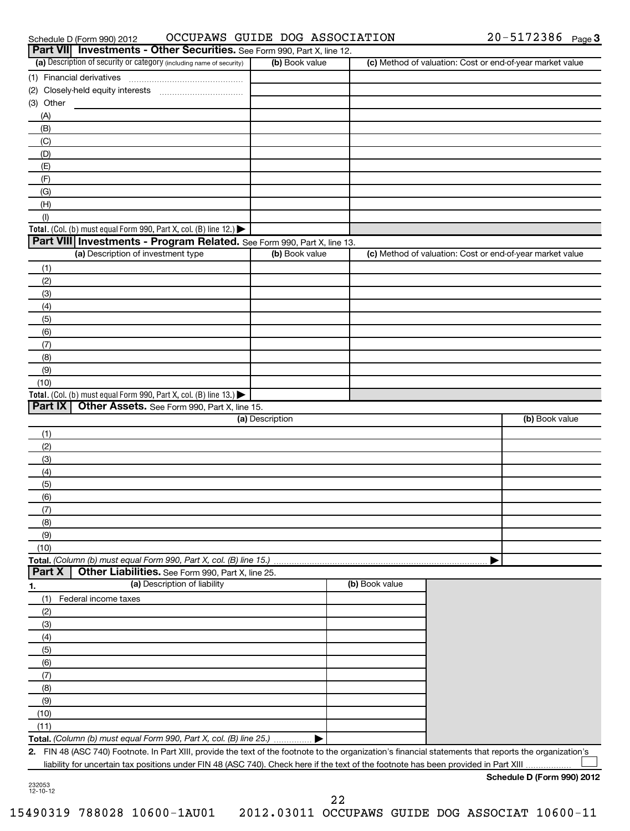|                | OCCUPAWS GUIDE DOG ASSOCIATION<br>Schedule D (Form 990) 2012                                                                                            |                 |                | 20-5172386 Page 3                                         |
|----------------|---------------------------------------------------------------------------------------------------------------------------------------------------------|-----------------|----------------|-----------------------------------------------------------|
|                | Part VII Investments - Other Securities. See Form 990, Part X, line 12.                                                                                 |                 |                |                                                           |
|                | (a) Description of security or category (including name of security)                                                                                    | (b) Book value  |                | (c) Method of valuation: Cost or end-of-year market value |
|                | (1) Financial derivatives                                                                                                                               |                 |                |                                                           |
|                | (2) Closely-held equity interests                                                                                                                       |                 |                |                                                           |
| (3) Other      |                                                                                                                                                         |                 |                |                                                           |
| (A)            |                                                                                                                                                         |                 |                |                                                           |
| (B)            |                                                                                                                                                         |                 |                |                                                           |
| (C)            |                                                                                                                                                         |                 |                |                                                           |
| (D)            |                                                                                                                                                         |                 |                |                                                           |
| (E)<br>(F)     |                                                                                                                                                         |                 |                |                                                           |
| (G)            |                                                                                                                                                         |                 |                |                                                           |
| (H)            |                                                                                                                                                         |                 |                |                                                           |
| (1)            |                                                                                                                                                         |                 |                |                                                           |
|                | Total. (Col. (b) must equal Form 990, Part X, col. (B) line 12.)                                                                                        |                 |                |                                                           |
|                | Part VIII Investments - Program Related. See Form 990, Part X, line 13.                                                                                 |                 |                |                                                           |
|                | (a) Description of investment type                                                                                                                      | (b) Book value  |                | (c) Method of valuation: Cost or end-of-year market value |
| (1)            |                                                                                                                                                         |                 |                |                                                           |
| (2)            |                                                                                                                                                         |                 |                |                                                           |
| (3)            |                                                                                                                                                         |                 |                |                                                           |
| (4)            |                                                                                                                                                         |                 |                |                                                           |
| (5)            |                                                                                                                                                         |                 |                |                                                           |
| (6)            |                                                                                                                                                         |                 |                |                                                           |
| (7)            |                                                                                                                                                         |                 |                |                                                           |
| (8)            |                                                                                                                                                         |                 |                |                                                           |
| (9)            |                                                                                                                                                         |                 |                |                                                           |
| (10)           |                                                                                                                                                         |                 |                |                                                           |
|                | Total. (Col. (b) must equal Form 990, Part X, col. (B) line 13.) $\blacktriangleright$                                                                  |                 |                |                                                           |
| <b>Part IX</b> | Other Assets. See Form 990, Part X, line 15.                                                                                                            |                 |                |                                                           |
|                |                                                                                                                                                         | (a) Description |                | (b) Book value                                            |
| (1)            |                                                                                                                                                         |                 |                |                                                           |
| (2)            |                                                                                                                                                         |                 |                |                                                           |
| (3)            |                                                                                                                                                         |                 |                |                                                           |
| (4)            |                                                                                                                                                         |                 |                |                                                           |
| (5)            |                                                                                                                                                         |                 |                |                                                           |
| (6)            |                                                                                                                                                         |                 |                |                                                           |
| (7)            |                                                                                                                                                         |                 |                |                                                           |
| (8)            |                                                                                                                                                         |                 |                |                                                           |
| (9)            |                                                                                                                                                         |                 |                |                                                           |
| (10)           |                                                                                                                                                         |                 |                |                                                           |
| Part X         | Total. (Column (b) must equal Form 990, Part X, col. (B) line 15.)<br>Other Liabilities. See Form 990, Part X, line 25.                                 |                 |                |                                                           |
|                | (a) Description of liability                                                                                                                            |                 | (b) Book value |                                                           |
| 1.<br>(1)      | Federal income taxes                                                                                                                                    |                 |                |                                                           |
| (2)            |                                                                                                                                                         |                 |                |                                                           |
| (3)            |                                                                                                                                                         |                 |                |                                                           |
| (4)            |                                                                                                                                                         |                 |                |                                                           |
| (5)            |                                                                                                                                                         |                 |                |                                                           |
| (6)            |                                                                                                                                                         |                 |                |                                                           |
| (7)            |                                                                                                                                                         |                 |                |                                                           |
| (8)            |                                                                                                                                                         |                 |                |                                                           |
| (9)            |                                                                                                                                                         |                 |                |                                                           |
| (10)           |                                                                                                                                                         |                 |                |                                                           |
| (11)           |                                                                                                                                                         |                 |                |                                                           |
|                | Total. (Column (b) must equal Form 990, Part X, col. (B) line 25.)                                                                                      |                 |                |                                                           |
|                | 2. FIN 48 (ASC 740) Footnote. In Part XIII, provide the text of the footnote to the organization's financial statements that reports the organization's |                 |                |                                                           |
|                | liability for uncertain tax positions under FIN 48 (ASC 740). Check here if the text of the footnote has been provided in Part XIII                     |                 |                |                                                           |
| 222052         |                                                                                                                                                         |                 |                | Schedule D (Form 990) 2012                                |

232053 12-10-12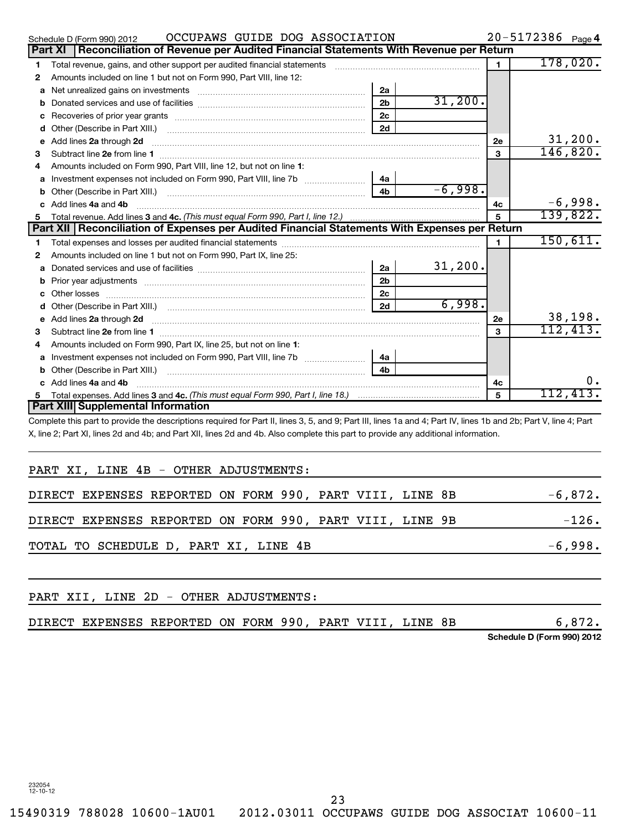|    | OCCUPAWS GUIDE DOG ASSOCIATION<br>Schedule D (Form 990) 2012                                                                                                                                                                        |                |           |                | $20 - 5172386$ Page 4 |
|----|-------------------------------------------------------------------------------------------------------------------------------------------------------------------------------------------------------------------------------------|----------------|-----------|----------------|-----------------------|
|    | Part XI   Reconciliation of Revenue per Audited Financial Statements With Revenue per Return                                                                                                                                        |                |           |                |                       |
| 1  | Total revenue, gains, and other support per audited financial statements                                                                                                                                                            |                |           | $\mathbf{1}$   | 178,020.              |
| 2  | Amounts included on line 1 but not on Form 990, Part VIII, line 12:                                                                                                                                                                 |                |           |                |                       |
| a  |                                                                                                                                                                                                                                     | 2a             |           |                |                       |
| b  |                                                                                                                                                                                                                                     | 2 <sub>b</sub> | 31,200.   |                |                       |
| с  |                                                                                                                                                                                                                                     | 2c             |           |                |                       |
| d  |                                                                                                                                                                                                                                     | 2d             |           |                |                       |
| е  | Add lines 2a through 2d <b>contained a contained a contained a contained a</b> contained a contained a contained a contained a contact a contact a contact a contact a contact a contact a contact a contact a contact a contact a  |                |           | 2е             | 31,200.               |
| 3  |                                                                                                                                                                                                                                     |                |           | 3              | 146,820.              |
| 4  | Amounts included on Form 990, Part VIII, line 12, but not on line 1:                                                                                                                                                                |                |           |                |                       |
| a  |                                                                                                                                                                                                                                     | 4a             |           |                |                       |
|    |                                                                                                                                                                                                                                     | 4 <sub>b</sub> | $-6,998.$ |                |                       |
| c. | Add lines 4a and 4b                                                                                                                                                                                                                 |                |           | 4c             | $-6,998.$             |
| 5. |                                                                                                                                                                                                                                     |                |           | 5              | 139,822.              |
|    | Part XII   Reconciliation of Expenses per Audited Financial Statements With Expenses per Return                                                                                                                                     |                |           |                |                       |
| 1  |                                                                                                                                                                                                                                     |                |           | $\blacksquare$ | 150,611.              |
| 2  | Amounts included on line 1 but not on Form 990, Part IX, line 25:                                                                                                                                                                   |                |           |                |                       |
| a  |                                                                                                                                                                                                                                     | 2a             | 31,200.   |                |                       |
| b  |                                                                                                                                                                                                                                     | 2 <sub>b</sub> |           |                |                       |
|    |                                                                                                                                                                                                                                     | 2 <sub>c</sub> |           |                |                       |
| d  |                                                                                                                                                                                                                                     | 2d             | 6,998.    |                |                       |
| е  | Add lines 2a through 2d <b>contained a contained a contained a contained a</b> contained a contained a contained a contained a contained a contained a contained a contained a contained a contained a contained a contained a cont |                |           | 2e             | 38,198.               |
| з  |                                                                                                                                                                                                                                     |                |           | 3              | 112,413.              |
| 4  | Amounts included on Form 990, Part IX, line 25, but not on line 1:                                                                                                                                                                  |                |           |                |                       |
| a  |                                                                                                                                                                                                                                     | 4a             |           |                |                       |
| b  |                                                                                                                                                                                                                                     | 4 <sub>h</sub> |           |                |                       |
|    | Add lines 4a and 4b                                                                                                                                                                                                                 |                |           | 4c             | ο.                    |
| 5  |                                                                                                                                                                                                                                     |                |           | 5              | 112,413.              |
|    | <b>Part XIII</b> Supplemental Information                                                                                                                                                                                           |                |           |                |                       |

Complete this part to provide the descriptions required for Part II, lines 3, 5, and 9; Part III, lines 1a and 4; Part IV, lines 1b and 2b; Part V, line 4; Part X, line 2; Part XI, lines 2d and 4b; and Part XII, lines 2d and 4b. Also complete this part to provide any additional information.

| PART XI, LINE 4B - OTHER ADJUSTMENTS:                    |  |  |  |           |
|----------------------------------------------------------|--|--|--|-----------|
| DIRECT EXPENSES REPORTED ON FORM 990, PART VIII, LINE 8B |  |  |  | $-6,872.$ |
| DIRECT EXPENSES REPORTED ON FORM 990, PART VIII, LINE 9B |  |  |  | $-126.$   |
| TOTAL TO SCHEDULE D, PART XI, LINE 4B                    |  |  |  | $-6,998.$ |
|                                                          |  |  |  |           |

| PART XII, LINE 2D - OTHER ADJUSTMENTS: |  |  |  |  |                                                          |  |                            |
|----------------------------------------|--|--|--|--|----------------------------------------------------------|--|----------------------------|
|                                        |  |  |  |  | DIRECT EXPENSES REPORTED ON FORM 990, PART VIII, LINE 8B |  | 6,872.                     |
|                                        |  |  |  |  |                                                          |  | Schedule D (Form 990) 2012 |

23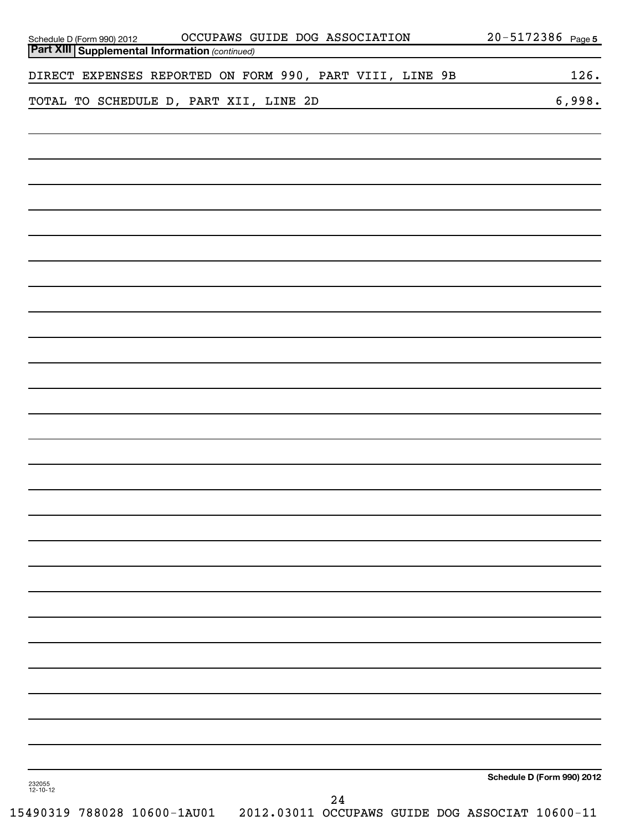| OCCUPAWS GUIDE DOG ASSOCIATION<br>Schedule D (Form 990) 2012   0CCUPAWS G<br><b>Part XIII Supplemental Information</b> (continued) | 20-5172386 Page 5          |
|------------------------------------------------------------------------------------------------------------------------------------|----------------------------|
| DIRECT EXPENSES REPORTED ON FORM 990, PART VIII, LINE 9B                                                                           | 126.                       |
| TOTAL TO SCHEDULE D, PART XII, LINE 2D                                                                                             | 6,998.                     |
|                                                                                                                                    |                            |
|                                                                                                                                    |                            |
|                                                                                                                                    |                            |
|                                                                                                                                    |                            |
|                                                                                                                                    |                            |
|                                                                                                                                    |                            |
|                                                                                                                                    |                            |
|                                                                                                                                    |                            |
|                                                                                                                                    |                            |
|                                                                                                                                    |                            |
|                                                                                                                                    |                            |
|                                                                                                                                    |                            |
|                                                                                                                                    |                            |
|                                                                                                                                    |                            |
|                                                                                                                                    |                            |
|                                                                                                                                    |                            |
| 232055<br>12-10-12<br>24                                                                                                           | Schedule D (Form 990) 2012 |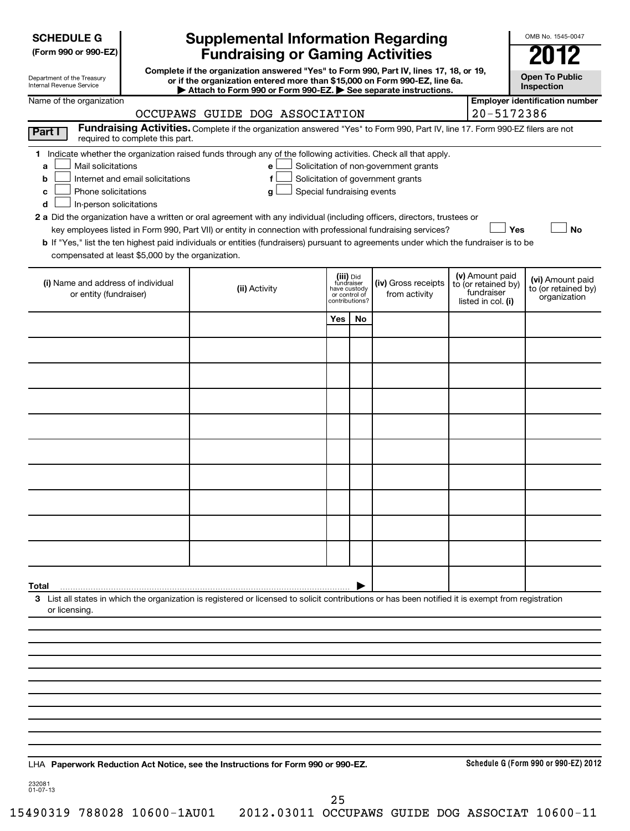| <b>SCHEDULE G</b> |
|-------------------|
|-------------------|

| (Form 990 or 990-EZ) |  |  |  |  |
|----------------------|--|--|--|--|
|----------------------|--|--|--|--|

Department of the Treasury Internal Revenue Service

# **Supplemental Information Regarding Fundraising or Gaming Activities**

**Complete if the organization answered "Yes" to Form 990, Part IV, lines 17, 18, or 19, or if the organization entered more than \$15,000 on Form 990-EZ, line 6a. | Attach to Form 990 or Form 990-EZ. | See separate instructions.**

**Open To Public Inspection**

**Employer identification number**

OMB No. 1545-0047

#### Name of the organization

|                                                                                                                                                                                                                                                                                                                                                                                                                                                                                                                                                                                                                                                                                            | OCCUPAWS GUIDE DOG ASSOCIATION            |     |                                                                            |                                                                            | 20-5172386                                                                 |                                                         |  |  |  |  |
|--------------------------------------------------------------------------------------------------------------------------------------------------------------------------------------------------------------------------------------------------------------------------------------------------------------------------------------------------------------------------------------------------------------------------------------------------------------------------------------------------------------------------------------------------------------------------------------------------------------------------------------------------------------------------------------------|-------------------------------------------|-----|----------------------------------------------------------------------------|----------------------------------------------------------------------------|----------------------------------------------------------------------------|---------------------------------------------------------|--|--|--|--|
| Fundraising Activities. Complete if the organization answered "Yes" to Form 990, Part IV, line 17. Form 990-EZ filers are not<br>Part I<br>required to complete this part.                                                                                                                                                                                                                                                                                                                                                                                                                                                                                                                 |                                           |     |                                                                            |                                                                            |                                                                            |                                                         |  |  |  |  |
| 1 Indicate whether the organization raised funds through any of the following activities. Check all that apply.<br>Mail solicitations<br>a<br>Internet and email solicitations<br>b<br>Phone solicitations<br>C<br>In-person solicitations<br>d<br>2 a Did the organization have a written or oral agreement with any individual (including officers, directors, trustees or<br>key employees listed in Form 990, Part VII) or entity in connection with professional fundraising services?<br>b If "Yes," list the ten highest paid individuals or entities (fundraisers) pursuant to agreements under which the fundraiser is to be<br>compensated at least \$5,000 by the organization. | e<br>f<br>Special fundraising events<br>g |     |                                                                            | Solicitation of non-government grants<br>Solicitation of government grants | Yes                                                                        | <b>No</b>                                               |  |  |  |  |
| (i) Name and address of individual<br>or entity (fundraiser)                                                                                                                                                                                                                                                                                                                                                                                                                                                                                                                                                                                                                               | (ii) Activity                             |     | (iii) Did<br>fundraiser<br>have custody<br>or control of<br>contributions? | (iv) Gross receipts<br>from activity                                       | (v) Amount paid<br>to (or retained by)<br>fundraiser<br>listed in col. (i) | (vi) Amount paid<br>to (or retained by)<br>organization |  |  |  |  |
|                                                                                                                                                                                                                                                                                                                                                                                                                                                                                                                                                                                                                                                                                            |                                           | Yes | No                                                                         |                                                                            |                                                                            |                                                         |  |  |  |  |
|                                                                                                                                                                                                                                                                                                                                                                                                                                                                                                                                                                                                                                                                                            |                                           |     |                                                                            |                                                                            |                                                                            |                                                         |  |  |  |  |
|                                                                                                                                                                                                                                                                                                                                                                                                                                                                                                                                                                                                                                                                                            |                                           |     |                                                                            |                                                                            |                                                                            |                                                         |  |  |  |  |
|                                                                                                                                                                                                                                                                                                                                                                                                                                                                                                                                                                                                                                                                                            |                                           |     |                                                                            |                                                                            |                                                                            |                                                         |  |  |  |  |
|                                                                                                                                                                                                                                                                                                                                                                                                                                                                                                                                                                                                                                                                                            |                                           |     |                                                                            |                                                                            |                                                                            |                                                         |  |  |  |  |
|                                                                                                                                                                                                                                                                                                                                                                                                                                                                                                                                                                                                                                                                                            |                                           |     |                                                                            |                                                                            |                                                                            |                                                         |  |  |  |  |
|                                                                                                                                                                                                                                                                                                                                                                                                                                                                                                                                                                                                                                                                                            |                                           |     |                                                                            |                                                                            |                                                                            |                                                         |  |  |  |  |
|                                                                                                                                                                                                                                                                                                                                                                                                                                                                                                                                                                                                                                                                                            |                                           |     |                                                                            |                                                                            |                                                                            |                                                         |  |  |  |  |
|                                                                                                                                                                                                                                                                                                                                                                                                                                                                                                                                                                                                                                                                                            |                                           |     |                                                                            |                                                                            |                                                                            |                                                         |  |  |  |  |
|                                                                                                                                                                                                                                                                                                                                                                                                                                                                                                                                                                                                                                                                                            |                                           |     |                                                                            |                                                                            |                                                                            |                                                         |  |  |  |  |
| Total                                                                                                                                                                                                                                                                                                                                                                                                                                                                                                                                                                                                                                                                                      |                                           |     |                                                                            |                                                                            |                                                                            |                                                         |  |  |  |  |
| 3 List all states in which the organization is registered or licensed to solicit contributions or has been notified it is exempt from registration<br>or licensing.                                                                                                                                                                                                                                                                                                                                                                                                                                                                                                                        |                                           |     |                                                                            |                                                                            |                                                                            |                                                         |  |  |  |  |
|                                                                                                                                                                                                                                                                                                                                                                                                                                                                                                                                                                                                                                                                                            |                                           |     |                                                                            |                                                                            |                                                                            |                                                         |  |  |  |  |
|                                                                                                                                                                                                                                                                                                                                                                                                                                                                                                                                                                                                                                                                                            |                                           |     |                                                                            |                                                                            |                                                                            |                                                         |  |  |  |  |
|                                                                                                                                                                                                                                                                                                                                                                                                                                                                                                                                                                                                                                                                                            |                                           |     |                                                                            |                                                                            |                                                                            |                                                         |  |  |  |  |
|                                                                                                                                                                                                                                                                                                                                                                                                                                                                                                                                                                                                                                                                                            |                                           |     |                                                                            |                                                                            |                                                                            |                                                         |  |  |  |  |
|                                                                                                                                                                                                                                                                                                                                                                                                                                                                                                                                                                                                                                                                                            |                                           |     |                                                                            |                                                                            |                                                                            |                                                         |  |  |  |  |
|                                                                                                                                                                                                                                                                                                                                                                                                                                                                                                                                                                                                                                                                                            |                                           |     |                                                                            |                                                                            |                                                                            |                                                         |  |  |  |  |
|                                                                                                                                                                                                                                                                                                                                                                                                                                                                                                                                                                                                                                                                                            |                                           |     |                                                                            |                                                                            |                                                                            |                                                         |  |  |  |  |
|                                                                                                                                                                                                                                                                                                                                                                                                                                                                                                                                                                                                                                                                                            |                                           |     |                                                                            |                                                                            |                                                                            |                                                         |  |  |  |  |

**Paperwork Reduction Act Notice, see the Instructions for Form 990 or 990-EZ.** LHA

**Schedule G (Form 990 or 990-EZ) 2012**

232081 01-07-13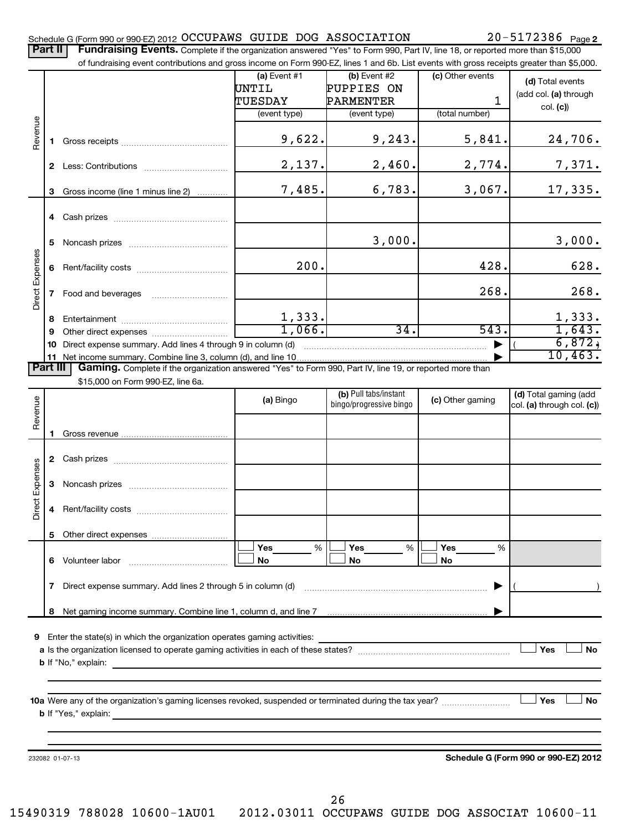#### Schedule G (Form 990 or 990-EZ) 2012 OCCUPAWS GUIDE DOG ASSOCIATION ZU-5I/Z386 Page OCCUPAWS GUIDE DOG ASSOCIATION 20-5172386

Part II | Fundraising Events. Complete if the organization answered "Yes" to Form 990, Part IV, line 18, or reported more than \$15,000

|                 |    | of fundraising event contributions and gross income on Form 990-EZ, lines 1 and 6b. List events with gross receipts greater than \$5,000. |                         |                                                  |                  |                                                     |
|-----------------|----|-------------------------------------------------------------------------------------------------------------------------------------------|-------------------------|--------------------------------------------------|------------------|-----------------------------------------------------|
|                 |    |                                                                                                                                           | (a) Event $#1$          | $(b)$ Event #2                                   | (c) Other events | (d) Total events                                    |
|                 |    |                                                                                                                                           | UNTIL                   | PUPPIES ON                                       |                  | (add col. (a) through                               |
|                 |    |                                                                                                                                           | TUESDAY                 | PARMENTER                                        | 1                | col. (c)                                            |
|                 |    |                                                                                                                                           | (event type)            | (event type)                                     | (total number)   |                                                     |
| Revenue         |    |                                                                                                                                           | 9,622.                  | 9,243.                                           | 5,841.           | 24,706.                                             |
|                 |    |                                                                                                                                           | 2,137.                  | 2,460.                                           | 2,774.           | 7,371.                                              |
|                 |    | 3 Gross income (line 1 minus line 2)                                                                                                      | 7,485.                  | 6,783.                                           | 3,067.           | 17,335.                                             |
|                 |    |                                                                                                                                           |                         |                                                  |                  |                                                     |
|                 |    |                                                                                                                                           |                         |                                                  |                  |                                                     |
|                 | 5. |                                                                                                                                           |                         | 3,000.                                           |                  | 3,000.                                              |
|                 |    |                                                                                                                                           | 200.                    |                                                  | 428.             | 628.                                                |
| Direct Expenses |    |                                                                                                                                           |                         |                                                  | 268.             | 268.                                                |
|                 | 8  |                                                                                                                                           |                         |                                                  |                  | 1,333.                                              |
|                 | 9  |                                                                                                                                           | $\frac{1,333.}{1,066.}$ | $\overline{34}$ .                                | 543.             | 1,643.                                              |
|                 | 10 | Direct expense summary. Add lines 4 through 9 in column (d)                                                                               |                         |                                                  |                  | 6,872,                                              |
|                 |    | 11 Net income summary. Combine line 3, column (d), and line 10.                                                                           |                         |                                                  |                  | 10,463.                                             |
| Part III        |    | Gaming. Complete if the organization answered "Yes" to Form 990, Part IV, line 19, or reported more than                                  |                         |                                                  |                  |                                                     |
|                 |    | \$15,000 on Form 990-EZ, line 6a.                                                                                                         |                         |                                                  |                  |                                                     |
| Revenue         |    |                                                                                                                                           | (a) Bingo               | (b) Pull tabs/instant<br>bingo/progressive bingo | (c) Other gaming | (d) Total gaming (add<br>col. (a) through col. (c)) |
|                 |    |                                                                                                                                           |                         |                                                  |                  |                                                     |
|                 |    |                                                                                                                                           |                         |                                                  |                  |                                                     |
|                 |    |                                                                                                                                           |                         |                                                  |                  |                                                     |
|                 |    |                                                                                                                                           |                         |                                                  |                  |                                                     |
| Direct Expenses |    |                                                                                                                                           |                         |                                                  |                  |                                                     |
|                 | 4  |                                                                                                                                           |                         |                                                  |                  |                                                     |
|                 | 5  |                                                                                                                                           |                         |                                                  |                  |                                                     |
|                 | 6. | Volunteer labor                                                                                                                           | Yes<br>%<br>No          | <b>Yes</b><br>%<br>No                            | Yes<br>%<br>No   |                                                     |
|                 | 7  | Direct expense summary. Add lines 2 through 5 in column (d)                                                                               |                         |                                                  |                  |                                                     |
|                 | 8  | Net gaming income summary. Combine line 1, column d, and line 7 [11] www.communition.communition.com                                      |                         |                                                  |                  |                                                     |
|                 |    |                                                                                                                                           |                         |                                                  |                  |                                                     |
|                 |    | 9 Enter the state(s) in which the organization operates gaming activities:                                                                |                         |                                                  |                  |                                                     |
|                 |    |                                                                                                                                           |                         |                                                  |                  | Yes<br><b>No</b>                                    |
|                 |    | <b>b</b> If "No," explain:                                                                                                                |                         |                                                  |                  |                                                     |
|                 |    |                                                                                                                                           |                         |                                                  |                  |                                                     |
|                 |    |                                                                                                                                           |                         |                                                  |                  |                                                     |
|                 |    | 10a Were any of the organization's gaming licenses revoked, suspended or terminated during the tax year?                                  |                         |                                                  |                  | <b>No</b><br>Yes                                    |
|                 |    | <b>b</b> If "Yes," explain:                                                                                                               |                         |                                                  |                  |                                                     |
|                 |    |                                                                                                                                           |                         |                                                  |                  |                                                     |
|                 |    |                                                                                                                                           |                         |                                                  |                  |                                                     |
|                 |    | 232082 01-07-13                                                                                                                           |                         |                                                  |                  | Schedule G (Form 990 or 990-EZ) 2012                |
|                 |    |                                                                                                                                           |                         |                                                  |                  |                                                     |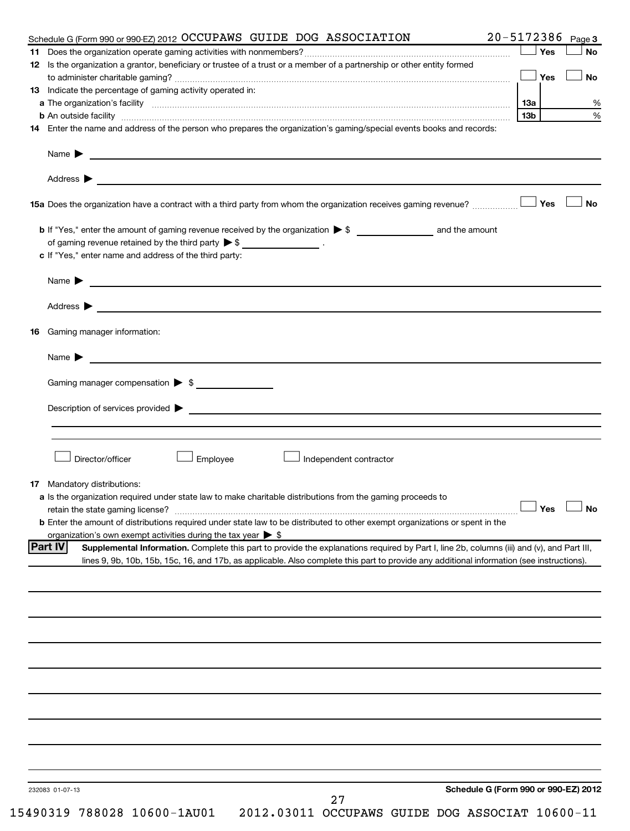|     | 20-5172386 Page 3<br>Schedule G (Form 990 or 990-EZ) 2012 OCCUPAWS GUIDE DOG ASSOCIATION                                                                                                                                             |     |     |           |
|-----|--------------------------------------------------------------------------------------------------------------------------------------------------------------------------------------------------------------------------------------|-----|-----|-----------|
|     |                                                                                                                                                                                                                                      |     | Yes | No        |
|     | 12 Is the organization a grantor, beneficiary or trustee of a trust or a member of a partnership or other entity formed                                                                                                              |     |     |           |
|     |                                                                                                                                                                                                                                      |     | Yes | <b>No</b> |
|     | 13 Indicate the percentage of gaming activity operated in:                                                                                                                                                                           |     |     |           |
|     |                                                                                                                                                                                                                                      |     |     |           |
|     |                                                                                                                                                                                                                                      | 13b |     |           |
|     | 14 Enter the name and address of the person who prepares the organization's gaming/special events books and records:                                                                                                                 |     |     |           |
|     | Name <b>Decision and Contract Contract Contract Contract Contract Contract Contract Contract Contract Contract Contract Contract Contract Contract Contract Contract Contract Contract Contract Contract Contract Contract Contr</b> |     |     |           |
|     |                                                                                                                                                                                                                                      |     |     |           |
|     | 15a Does the organization have a contract with a third party from whom the organization receives gaming revenue?                                                                                                                     |     | Yes | <b>No</b> |
|     |                                                                                                                                                                                                                                      |     |     |           |
|     | of gaming revenue retained by the third party $\triangleright$ \$ __________________.                                                                                                                                                |     |     |           |
|     |                                                                                                                                                                                                                                      |     |     |           |
|     | c If "Yes," enter name and address of the third party:                                                                                                                                                                               |     |     |           |
|     | Name <b>Decision and Contract Contract Contract Contract Contract Contract Contract Contract Contract Contract Contract Contract Contract Contract Contract Contract Contract Contract Contract Contract Contract Contract Contr</b> |     |     |           |
|     | Address > the contract of the contract of the contract of the contract of the contract of the contract of the contract of the contract of the contract of the contract of the contract of the contract of the contract of the        |     |     |           |
| 16. | Gaming manager information:                                                                                                                                                                                                          |     |     |           |
|     | Name > 2008 - 2008 - 2009 - 2009 - 2009 - 2009 - 2009 - 2009 - 2009 - 2009 - 2009 - 2009 - 2009 - 2009 - 2009 - 2009 - 2009 - 2009 - 2009 - 2009 - 2009 - 2009 - 2009 - 2009 - 2009 - 2009 - 2009 - 2009 - 2009 - 2009 - 2009        |     |     |           |
|     | Gaming manager compensation > \$                                                                                                                                                                                                     |     |     |           |
|     |                                                                                                                                                                                                                                      |     |     |           |
|     |                                                                                                                                                                                                                                      |     |     |           |
|     |                                                                                                                                                                                                                                      |     |     |           |
|     |                                                                                                                                                                                                                                      |     |     |           |
|     | Director/officer<br>Employee                                                                                                                                                                                                         |     |     |           |
|     | Independent contractor                                                                                                                                                                                                               |     |     |           |
|     | 17 Mandatory distributions:                                                                                                                                                                                                          |     |     |           |
|     | a Is the organization required under state law to make charitable distributions from the gaming proceeds to                                                                                                                          |     |     |           |
|     | retain the state gaming license? $\Box$ No                                                                                                                                                                                           |     |     |           |
|     | b Enter the amount of distributions required under state law to be distributed to other exempt organizations or spent in the                                                                                                         |     |     |           |
|     | organization's own exempt activities during the tax year $\triangleright$ \$                                                                                                                                                         |     |     |           |
|     | <b>Part IV</b><br>Supplemental Information. Complete this part to provide the explanations required by Part I, line 2b, columns (iii) and (v), and Part III,                                                                         |     |     |           |
|     | lines 9, 9b, 10b, 15b, 15c, 16, and 17b, as applicable. Also complete this part to provide any additional information (see instructions).                                                                                            |     |     |           |
|     |                                                                                                                                                                                                                                      |     |     |           |
|     |                                                                                                                                                                                                                                      |     |     |           |
|     |                                                                                                                                                                                                                                      |     |     |           |
|     |                                                                                                                                                                                                                                      |     |     |           |
|     |                                                                                                                                                                                                                                      |     |     |           |
|     |                                                                                                                                                                                                                                      |     |     |           |
|     |                                                                                                                                                                                                                                      |     |     |           |
|     |                                                                                                                                                                                                                                      |     |     |           |
|     |                                                                                                                                                                                                                                      |     |     |           |
|     | Schedule G (Form 990 or 990-EZ) 2012<br>232083 01-07-13<br>27                                                                                                                                                                        |     |     |           |
|     | 15490319 788028 10600-1AU01<br>2012.03011 OCCUPAWS GUIDE DOG ASSOCIAT 10600-11                                                                                                                                                       |     |     |           |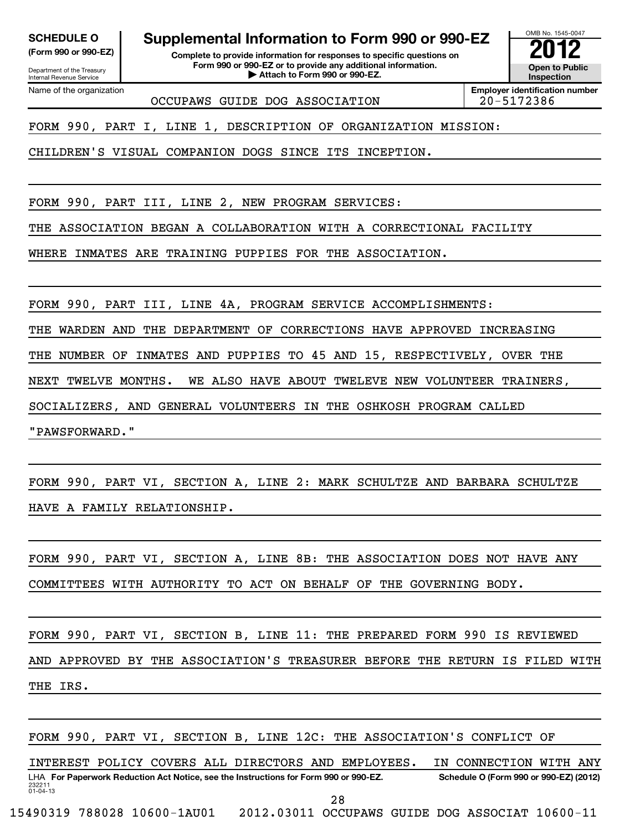Department of the Treasury Internal Revenue Service Name of the organization

**SCHEDULE O Supplemental Information to Form 990 or 990-EZ 2012**

**(Form 990 or 990-EZ) Complete to provide information for responses to specific questions on Form 990 or 990-EZ or to provide any additional information.** <del>U</del> Open to Provide any additional information. <br>
→ Attach to Form 990 or 990-EZ.

**Inspection**

OMB No. 1545-0047

OCCUPAWS GUIDE DOG ASSOCIATION 20-5172386

**Employer identification number**

FORM 990, PART I, LINE 1, DESCRIPTION OF ORGANIZATION MISSION:

CHILDREN'S VISUAL COMPANION DOGS SINCE ITS INCEPTION.

FORM 990, PART III, LINE 2, NEW PROGRAM SERVICES:

THE ASSOCIATION BEGAN A COLLABORATION WITH A CORRECTIONAL FACILITY

WHERE INMATES ARE TRAINING PUPPIES FOR THE ASSOCIATION.

FORM 990, PART III, LINE 4A, PROGRAM SERVICE ACCOMPLISHMENTS:

THE WARDEN AND THE DEPARTMENT OF CORRECTIONS HAVE APPROVED INCREASING

THE NUMBER OF INMATES AND PUPPIES TO 45 AND 15, RESPECTIVELY, OVER THE

NEXT TWELVE MONTHS. WE ALSO HAVE ABOUT TWELEVE NEW VOLUNTEER TRAINERS,

SOCIALIZERS, AND GENERAL VOLUNTEERS IN THE OSHKOSH PROGRAM CALLED

"PAWSFORWARD."

FORM 990, PART VI, SECTION A, LINE 2: MARK SCHULTZE AND BARBARA SCHULTZE HAVE A FAMILY RELATIONSHIP.

FORM 990, PART VI, SECTION A, LINE 8B: THE ASSOCIATION DOES NOT HAVE ANY COMMITTEES WITH AUTHORITY TO ACT ON BEHALF OF THE GOVERNING BODY.

FORM 990, PART VI, SECTION B, LINE 11: THE PREPARED FORM 990 IS REVIEWED AND APPROVED BY THE ASSOCIATION'S TREASURER BEFORE THE RETURN IS FILED WITH THE IRS.

232211 01-04-13 LHA For Paperwork Reduction Act Notice, see the Instructions for Form 990 or 990-EZ. Schedule O (Form 990 or 990-EZ) (2012) FORM 990, PART VI, SECTION B, LINE 12C: THE ASSOCIATION'S CONFLICT OF INTEREST POLICY COVERS ALL DIRECTORS AND EMPLOYEES. IN CONNECTION WITH ANY 15490319 788028 10600-1AU01 2012.03011 OCCUPAWS GUIDE DOG ASSOCIAT 10600-11 28